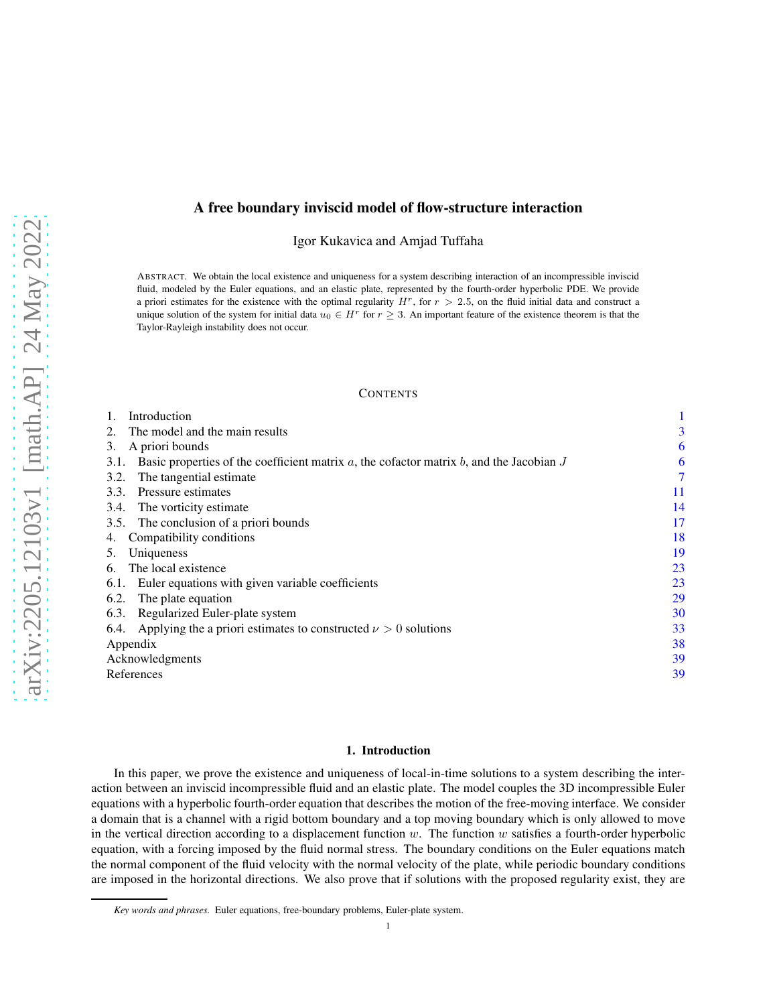# A free boundary inviscid model of flow-structure interaction

Igor Kukavica and Amjad Tuffaha

ABSTRACT. We obtain the local existence and uniqueness for a system describing interaction of an incompressible inviscid fluid, modeled by the Euler equations, and an elastic plate, represented by the fourth-order hyperbolic PDE. We provide a priori estimates for the existence with the optimal regularity  $H<sup>r</sup>$ , for  $r > 2.5$ , on the fluid initial data and construct a unique solution of the system for initial data  $u_0 \in H^r$  for  $r \geq 3$ . An important feature of the existence theorem is that the Taylor-Rayleigh instability does not occur.

#### **CONTENTS**

| Introduction                                                                                            |    |
|---------------------------------------------------------------------------------------------------------|----|
| The model and the main results<br>$2_{\cdot}$                                                           | 3  |
| A priori bounds<br>3.                                                                                   | 6  |
| Basic properties of the coefficient matrix $a$ , the cofactor matrix $b$ , and the Jacobian $J$<br>3.1. | 6  |
| The tangential estimate.<br>3.2.                                                                        | 7  |
| Pressure estimates<br>3.3.                                                                              | 11 |
| The vorticity estimate<br>3.4.                                                                          | 14 |
| 3.5.<br>The conclusion of a priori bounds                                                               | 17 |
| Compatibility conditions<br>4.                                                                          | 18 |
| Uniqueness<br>5.                                                                                        | 19 |
| The local existence<br>6.                                                                               | 23 |
| Euler equations with given variable coefficients<br>6.1.                                                | 23 |
| 6.2.<br>The plate equation                                                                              | 29 |
| Regularized Euler-plate system<br>6.3.                                                                  | 30 |
| 6.4. Applying the a priori estimates to constructed $\nu > 0$ solutions                                 | 33 |
| Appendix                                                                                                | 38 |
| Acknowledgments                                                                                         | 39 |
| References                                                                                              | 39 |
|                                                                                                         |    |

### 1. Introduction

<span id="page-0-0"></span>In this paper, we prove the existence and uniqueness of local-in-time solutions to a system describing the interaction between an inviscid incompressible fluid and an elastic plate. The model couples the 3D incompressible Euler equations with a hyperbolic fourth-order equation that describes the motion of the free-moving interface. We consider a domain that is a channel with a rigid bottom boundary and a top moving boundary which is only allowed to move in the vertical direction according to a displacement function w. The function w satisfies a fourth-order hyperbolic equation, with a forcing imposed by the fluid normal stress. The boundary conditions on the Euler equations match the normal component of the fluid velocity with the normal velocity of the plate, while periodic boundary conditions are imposed in the horizontal directions. We also prove that if solutions with the proposed regularity exist, they are

*Key words and phrases.* Euler equations, free-boundary problems, Euler-plate system.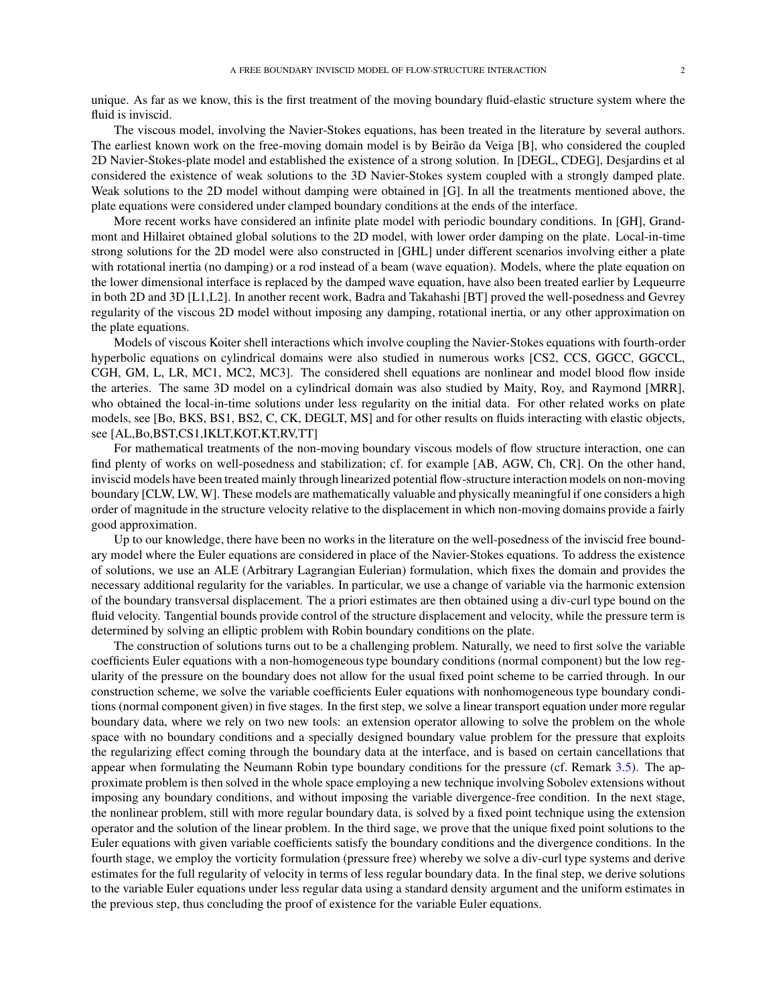unique. As far as we know, this is the first treatment of the moving boundary fluid-elastic structure system where the fluid is inviscid.

The viscous model, involving the Navier-Stokes equations, has been treated in the literature by several authors. The earliest known work on the free-moving domain model is by Beirão da Veiga [B], who considered the coupled 2D Navier-Stokes-plate model and established the existence of a strong solution. In [DEGL, CDEG], Desjardins et al considered the existence of weak solutions to the 3D Navier-Stokes system coupled with a strongly damped plate. Weak solutions to the 2D model without damping were obtained in [G]. In all the treatments mentioned above, the plate equations were considered under clamped boundary conditions at the ends of the interface.

More recent works have considered an infinite plate model with periodic boundary conditions. In [GH], Grandmont and Hillairet obtained global solutions to the 2D model, with lower order damping on the plate. Local-in-time strong solutions for the 2D model were also constructed in [GHL] under different scenarios involving either a plate with rotational inertia (no damping) or a rod instead of a beam (wave equation). Models, where the plate equation on the lower dimensional interface is replaced by the damped wave equation, have also been treated earlier by Lequeurre in both 2D and 3D [L1,L2]. In another recent work, Badra and Takahashi [BT] proved the well-posedness and Gevrey regularity of the viscous 2D model without imposing any damping, rotational inertia, or any other approximation on the plate equations.

Models of viscous Koiter shell interactions which involve coupling the Navier-Stokes equations with fourth-order hyperbolic equations on cylindrical domains were also studied in numerous works [CS2, CCS, GGCC, GGCCL, CGH, GM, L, LR, MC1, MC2, MC3]. The considered shell equations are nonlinear and model blood flow inside the arteries. The same 3D model on a cylindrical domain was also studied by Maity, Roy, and Raymond [MRR], who obtained the local-in-time solutions under less regularity on the initial data. For other related works on plate models, see [Bo, BKS, BS1, BS2, C, CK, DEGLT, MS] and for other results on fluids interacting with elastic objects, see [AL,Bo,BST,CS1,IKLT,KOT,KT,RV,TT]

For mathematical treatments of the non-moving boundary viscous models of flow structure interaction, one can find plenty of works on well-posedness and stabilization; cf. for example [AB, AGW, Ch, CR]. On the other hand, inviscid models have been treated mainly through linearized potential flow-structure interaction models on non-moving boundary [CLW, LW, W]. These models are mathematically valuable and physically meaningful if one considers a high order of magnitude in the structure velocity relative to the displacement in which non-moving domains provide a fairly good approximation.

Up to our knowledge, there have been no works in the literature on the well-posedness of the inviscid free boundary model where the Euler equations are considered in place of the Navier-Stokes equations. To address the existence of solutions, we use an ALE (Arbitrary Lagrangian Eulerian) formulation, which fixes the domain and provides the necessary additional regularity for the variables. In particular, we use a change of variable via the harmonic extension of the boundary transversal displacement. The a priori estimates are then obtained using a div-curl type bound on the fluid velocity. Tangential bounds provide control of the structure displacement and velocity, while the pressure term is determined by solving an elliptic problem with Robin boundary conditions on the plate.

The construction of solutions turns out to be a challenging problem. Naturally, we need to first solve the variable coefficients Euler equations with a non-homogeneous type boundary conditions (normal component) but the low regularity of the pressure on the boundary does not allow for the usual fixed point scheme to be carried through. In our construction scheme, we solve the variable coefficients Euler equations with nonhomogeneous type boundary conditions (normal component given) in five stages. In the first step, we solve a linear transport equation under more regular boundary data, where we rely on two new tools: an extension operator allowing to solve the problem on the whole space with no boundary conditions and a specially designed boundary value problem for the pressure that exploits the regularizing effect coming through the boundary data at the interface, and is based on certain cancellations that appear when formulating the Neumann Robin type boundary conditions for the pressure (cf. Remark [3.5\)](#page-11-0). The approximate problem is then solved in the whole space employing a new technique involving Sobolev extensions without imposing any boundary conditions, and without imposing the variable divergence-free condition. In the next stage, the nonlinear problem, still with more regular boundary data, is solved by a fixed point technique using the extension operator and the solution of the linear problem. In the third sage, we prove that the unique fixed point solutions to the Euler equations with given variable coefficients satisfy the boundary conditions and the divergence conditions. In the fourth stage, we employ the vorticity formulation (pressure free) whereby we solve a div-curl type systems and derive estimates for the full regularity of velocity in terms of less regular boundary data. In the final step, we derive solutions to the variable Euler equations under less regular data using a standard density argument and the uniform estimates in the previous step, thus concluding the proof of existence for the variable Euler equations.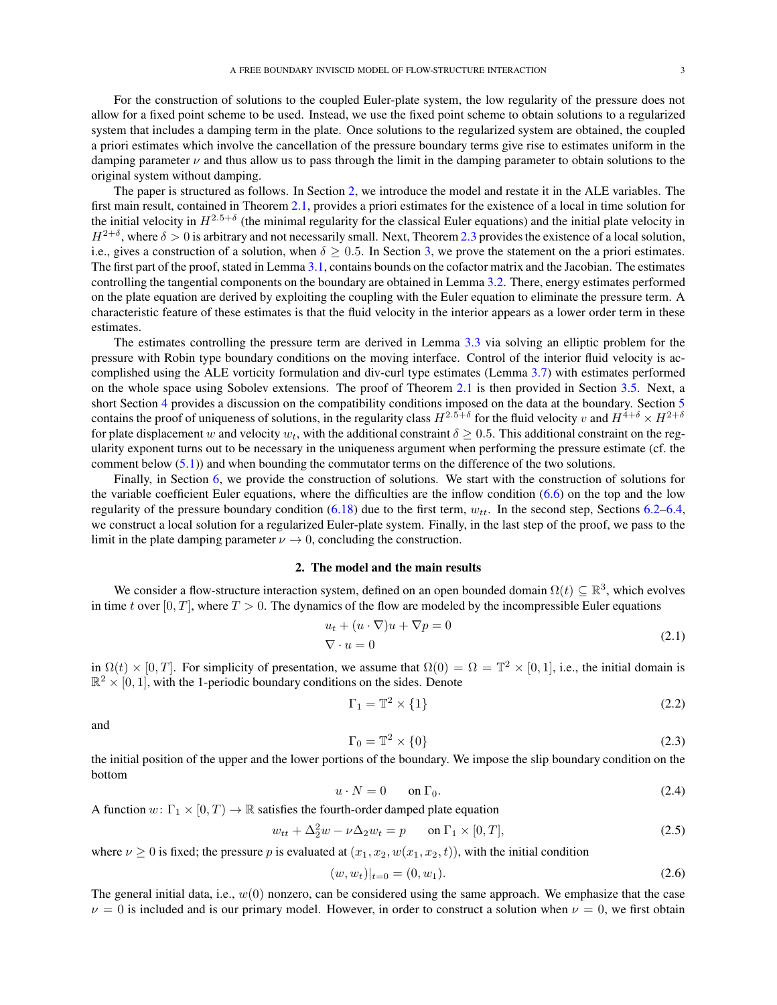For the construction of solutions to the coupled Euler-plate system, the low regularity of the pressure does not allow for a fixed point scheme to be used. Instead, we use the fixed point scheme to obtain solutions to a regularized system that includes a damping term in the plate. Once solutions to the regularized system are obtained, the coupled a priori estimates which involve the cancellation of the pressure boundary terms give rise to estimates uniform in the damping parameter  $\nu$  and thus allow us to pass through the limit in the damping parameter to obtain solutions to the original system without damping.

The paper is structured as follows. In Section [2,](#page-2-0) we introduce the model and restate it in the ALE variables. The first main result, contained in Theorem [2.1,](#page-4-0) provides a priori estimates for the existence of a local in time solution for the initial velocity in  $H^{2.5+\delta}$  (the minimal regularity for the classical Euler equations) and the initial plate velocity in  $H^{2+\delta}$ , where  $\delta > 0$  is arbitrary and not necessarily small. Next, Theorem [2.3](#page-4-1) provides the existence of a local solution, i.e., gives a construction of a solution, when  $\delta \geq 0.5$ . In Section [3,](#page-5-0) we prove the statement on the a priori estimates. The first part of the proof, stated in Lemma [3.1,](#page-5-2) contains bounds on the cofactor matrix and the Jacobian. The estimates controlling the tangential components on the boundary are obtained in Lemma [3.2.](#page-6-1) There, energy estimates performed on the plate equation are derived by exploiting the coupling with the Euler equation to eliminate the pressure term. A characteristic feature of these estimates is that the fluid velocity in the interior appears as a lower order term in these estimates.

The estimates controlling the pressure term are derived in Lemma [3.3](#page-10-1) via solving an elliptic problem for the pressure with Robin type boundary conditions on the moving interface. Control of the interior fluid velocity is accomplished using the ALE vorticity formulation and div-curl type estimates (Lemma [3.7\)](#page-14-0) with estimates performed on the whole space using Sobolev extensions. The proof of Theorem [2.1](#page-4-0) is then provided in Section [3.5.](#page-16-0) Next, a short Section [4](#page-17-0) provides a discussion on the compatibility conditions imposed on the data at the boundary. Section [5](#page-18-0) contains the proof of uniqueness of solutions, in the regularity class  $H^{2.5+\delta}$  for the fluid velocity  $v$  and  $H^{4+\delta}\times H^{2+\delta}$ for plate displacement w and velocity  $w_t$ , with the additional constraint  $\delta \geq 0.5$ . This additional constraint on the regularity exponent turns out to be necessary in the uniqueness argument when performing the pressure estimate (cf. the comment below  $(5.1)$  and when bounding the commutator terms on the difference of the two solutions.

Finally, in Section [6,](#page-22-0) we provide the construction of solutions. We start with the construction of solutions for the variable coefficient Euler equations, where the difficulties are the inflow condition [\(6.6\)](#page-23-0) on the top and the low regularity of the pressure boundary condition [\(6.18\)](#page-24-0) due to the first term,  $w_{tt}$ . In the second step, Sections [6.2](#page-28-0)[–6.4,](#page-32-0) we construct a local solution for a regularized Euler-plate system. Finally, in the last step of the proof, we pass to the limit in the plate damping parameter  $\nu \to 0$ , concluding the construction.

### 2. The model and the main results

<span id="page-2-0"></span>We consider a flow-structure interaction system, defined on an open bounded domain  $\Omega(t) \subseteq \mathbb{R}^3$ , which evolves in time t over  $[0, T]$ , where  $T > 0$ . The dynamics of the flow are modeled by the incompressible Euler equations

$$
u_t + (u \cdot \nabla)u + \nabla p = 0
$$
  

$$
\nabla \cdot u = 0
$$
 (2.1)

in  $\Omega(t) \times [0, T]$ . For simplicity of presentation, we assume that  $\Omega(0) = \Omega = \mathbb{T}^2 \times [0, 1]$ , i.e., the initial domain is  $\mathbb{R}^2 \times [0,1]$ , with the 1-periodic boundary conditions on the sides. Denote

<span id="page-2-1"></span>
$$
\Gamma_1 = \mathbb{T}^2 \times \{1\} \tag{2.2}
$$

and

$$
\Gamma_0 = \mathbb{T}^2 \times \{0\} \tag{2.3}
$$

the initial position of the upper and the lower portions of the boundary. We impose the slip boundary condition on the bottom

<span id="page-2-3"></span>
$$
u \cdot N = 0 \qquad \text{on } \Gamma_0. \tag{2.4}
$$

A function  $w: \Gamma_1 \times [0, T) \to \mathbb{R}$  satisfies the fourth-order damped plate equation

<span id="page-2-2"></span>
$$
w_{tt} + \Delta_2^2 w - \nu \Delta_2 w_t = p \qquad \text{on } \Gamma_1 \times [0, T], \tag{2.5}
$$

where  $\nu \ge 0$  is fixed; the pressure p is evaluated at  $(x_1, x_2, w(x_1, x_2, t))$ , with the initial condition

$$
(w, wt)|t=0 = (0, w1).
$$
\n(2.6)

The general initial data, i.e.,  $w(0)$  nonzero, can be considered using the same approach. We emphasize that the case  $\nu = 0$  is included and is our primary model. However, in order to construct a solution when  $\nu = 0$ , we first obtain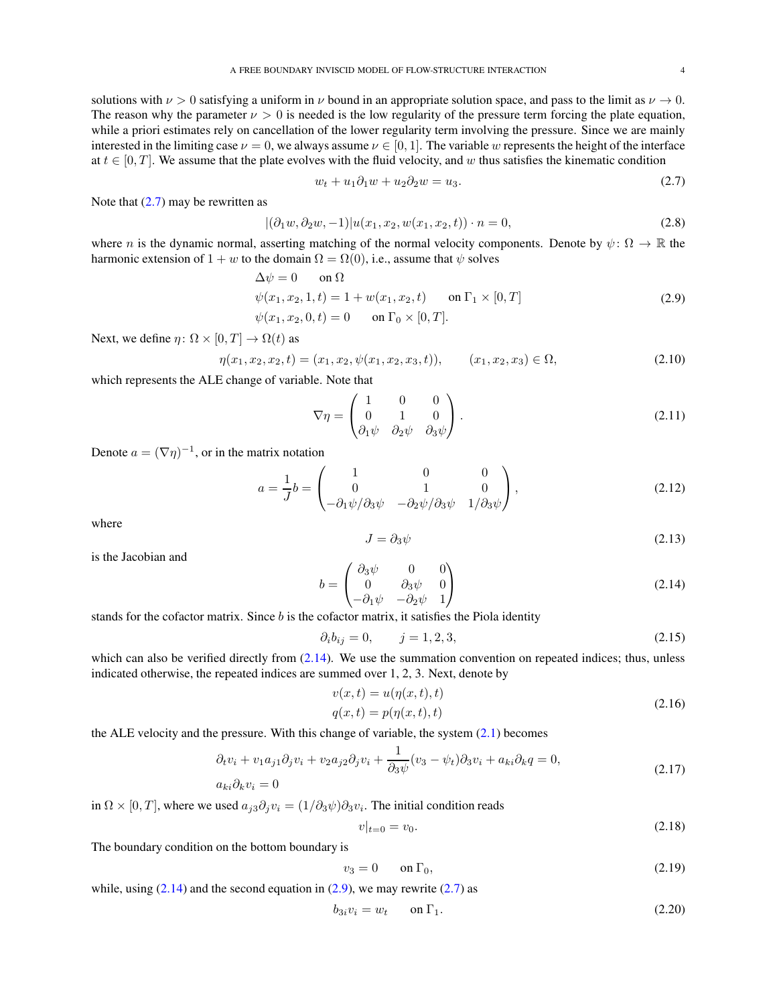solutions with  $\nu > 0$  satisfying a uniform in  $\nu$  bound in an appropriate solution space, and pass to the limit as  $\nu \to 0$ . The reason why the parameter  $\nu > 0$  is needed is the low regularity of the pressure term forcing the plate equation, while a priori estimates rely on cancellation of the lower regularity term involving the pressure. Since we are mainly interested in the limiting case  $\nu = 0$ , we always assume  $\nu \in [0, 1]$ . The variable w represents the height of the interface at  $t \in [0, T]$ . We assume that the plate evolves with the fluid velocity, and w thus satisfies the kinematic condition

<span id="page-3-2"></span><span id="page-3-0"></span>
$$
w_t + u_1 \partial_1 w + u_2 \partial_2 w = u_3. \tag{2.7}
$$

Note that  $(2.7)$  may be rewritten as

$$
|(\partial_1 w, \partial_2 w, -1)| u(x_1, x_2, w(x_1, x_2, t)) \cdot n = 0,
$$
\n(2.8)

where n is the dynamic normal, asserting matching of the normal velocity components. Denote by  $\psi \colon \Omega \to \mathbb{R}$  the harmonic extension of  $1 + w$  to the domain  $\Omega = \Omega(0)$ , i.e., assume that  $\psi$  solves

$$
\Delta \psi = 0 \quad \text{on } \Omega \n\psi(x_1, x_2, 1, t) = 1 + w(x_1, x_2, t) \quad \text{on } \Gamma_1 \times [0, T] \n\psi(x_1, x_2, 0, t) = 0 \quad \text{on } \Gamma_0 \times [0, T].
$$
\n(2.9)

Next, we define  $\eta \colon \Omega \times [0, T] \to \Omega(t)$  as

<span id="page-3-7"></span>
$$
\eta(x_1, x_2, x_2, t) = (x_1, x_2, \psi(x_1, x_2, x_3, t)), \qquad (x_1, x_2, x_3) \in \Omega,
$$
\n(2.10)

which represents the ALE change of variable. Note that

$$
\nabla \eta = \begin{pmatrix} 1 & 0 & 0 \\ 0 & 1 & 0 \\ \partial_1 \psi & \partial_2 \psi & \partial_3 \psi \end{pmatrix} . \tag{2.11}
$$

Denote  $a = (\nabla \eta)^{-1}$ , or in the matrix notation

$$
a = \frac{1}{J}b = \begin{pmatrix} 1 & 0 & 0 \\ 0 & 1 & 0 \\ -\partial_1 \psi / \partial_3 \psi & -\partial_2 \psi / \partial_3 \psi & 1 / \partial_3 \psi \end{pmatrix},
$$
(2.12)

where

$$
J = \partial_3 \psi \tag{2.13}
$$

is the Jacobian and

<span id="page-3-1"></span>
$$
b = \begin{pmatrix} \partial_3 \psi & 0 & 0 \\ 0 & \partial_3 \psi & 0 \\ -\partial_1 \psi & -\partial_2 \psi & 1 \end{pmatrix}
$$
 (2.14)

stands for the cofactor matrix. Since  $b$  is the cofactor matrix, it satisfies the Piola identity

<span id="page-3-5"></span>
$$
\partial_i b_{ij} = 0, \qquad j = 1, 2, 3,
$$
\n(2.15)

which can also be verified directly from  $(2.14)$ . We use the summation convention on repeated indices; thus, unless indicated otherwise, the repeated indices are summed over 1, 2, 3. Next, denote by

$$
v(x,t) = u(\eta(x,t),t)
$$
  
 
$$
q(x,t) = p(\eta(x,t),t)
$$
 (2.16)

the ALE velocity and the pressure. With this change of variable, the system [\(2.1\)](#page-2-1) becomes

$$
\partial_t v_i + v_1 a_{j1} \partial_j v_i + v_2 a_{j2} \partial_j v_i + \frac{1}{\partial_3 \psi} (v_3 - \psi_t) \partial_3 v_i + a_{ki} \partial_k q = 0,
$$
\n
$$
a_{ki} \partial_k v_i = 0
$$
\n(2.17)

in  $\Omega \times [0, T]$ , where we used  $a_{j3} \partial_j v_i = (1/\partial_3 \psi) \partial_3 v_i$ . The initial condition reads

<span id="page-3-3"></span>
$$
v|_{t=0} = v_0. \t\t(2.18)
$$

The boundary condition on the bottom boundary is

<span id="page-3-4"></span>
$$
v_3 = 0 \qquad \text{on } \Gamma_0,\tag{2.19}
$$

while, using  $(2.14)$  and the second equation in  $(2.9)$ , we may rewrite  $(2.7)$  as

<span id="page-3-6"></span>
$$
b_{3i}v_i = w_t \qquad \text{on } \Gamma_1. \tag{2.20}
$$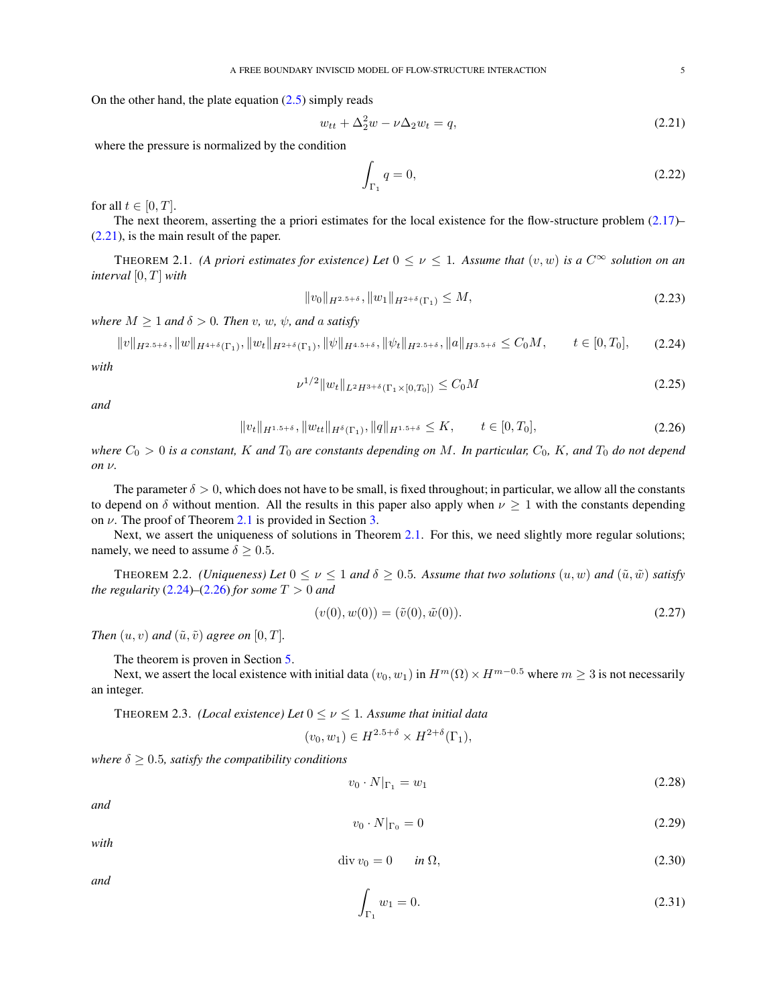On the other hand, the plate equation  $(2.5)$  simply reads

$$
w_{tt} + \Delta_2^2 w - \nu \Delta_2 w_t = q,\tag{2.21}
$$

where the pressure is normalized by the condition

<span id="page-4-5"></span><span id="page-4-3"></span><span id="page-4-2"></span>
$$
\int_{\Gamma_1} q = 0,\tag{2.22}
$$

for all  $t \in [0, T]$ .

The next theorem, asserting the a priori estimates for the local existence for the flow-structure problem  $(2.17)$ – [\(2.21\)](#page-4-2), is the main result of the paper.

<span id="page-4-0"></span>THEOREM 2.1. *(A priori estimates for existence) Let*  $0 \le \nu \le 1$ . Assume that  $(v, w)$  is a  $C^{\infty}$  solution on an *interval*  $[0, T]$  *with* 

$$
||v_0||_{H^{2.5+\delta}}, ||w_1||_{H^{2+\delta}(\Gamma_1)} \le M,\tag{2.23}
$$

*where*  $M \geq 1$  *and*  $\delta > 0$ *. Then* v*,* w*,*  $\psi$ *, and* a *satisfy* 

$$
||v||_{H^{2.5+\delta}}, ||w||_{H^{4+\delta}(\Gamma_1)}, ||w_t||_{H^{2+\delta}(\Gamma_1)}, ||\psi||_{H^{4.5+\delta}}, ||\psi_t||_{H^{2.5+\delta}}, ||a||_{H^{3.5+\delta}} \le C_0 M, \qquad t \in [0, T_0], \tag{2.24}
$$

*with*

<span id="page-4-10"></span><span id="page-4-4"></span>
$$
\nu^{1/2} \|w_t\|_{L^2 H^{3+\delta}(\Gamma_1 \times [0, T_0])} \le C_0 M \tag{2.25}
$$

*and*

$$
||v_t||_{H^{1.5+\delta}}, ||w_{tt}||_{H^{\delta}(\Gamma_1)}, ||q||_{H^{1.5+\delta}} \le K, \qquad t \in [0, T_0],
$$
\n(2.26)

*where*  $C_0 > 0$  *is a constant,* K and  $T_0$  *are constants depending on* M. In particular,  $C_0$ , K, and  $T_0$  *do not depend on* ν*.*

The parameter  $\delta > 0$ , which does not have to be small, is fixed throughout; in particular, we allow all the constants to depend on  $\delta$  without mention. All the results in this paper also apply when  $\nu \geq 1$  with the constants depending on  $\nu$ . The proof of Theorem [2.1](#page-4-0) is provided in Section [3.](#page-5-0)

Next, we assert the uniqueness of solutions in Theorem [2.1.](#page-4-0) For this, we need slightly more regular solutions; namely, we need to assume  $\delta \geq 0.5$ .

<span id="page-4-6"></span>THEOREM 2.2. *(Uniqueness) Let*  $0 \le \nu \le 1$  *and*  $\delta \ge 0.5$ *. Assume that two solutions*  $(u, w)$  *and*  $(\tilde{u}, \tilde{w})$  *satisfy the regularity*  $(2.24)$ – $(2.26)$  *for some*  $T > 0$  *and* 

$$
(v(0), w(0)) = (\tilde{v}(0), \tilde{w}(0)).
$$
\n(2.27)

*Then*  $(u, v)$  *and*  $(\tilde{u}, \tilde{v})$  *agree on*  $[0, T]$ *.* 

The theorem is proven in Section [5.](#page-18-0)

Next, we assert the local existence with initial data  $(v_0, w_1)$  in  $H^m(\Omega) \times H^{m-0.5}$  where  $m \geq 3$  is not necessarily an integer.

<span id="page-4-1"></span>THEOREM 2.3. *(Local existence) Let*  $0 \le \nu \le 1$ . Assume that initial data

$$
(v_0, w_1) \in H^{2.5+\delta} \times H^{2+\delta}(\Gamma_1),
$$

*where*  $\delta \geq 0.5$ *, satisfy the compatibility conditions* 

<span id="page-4-7"></span>
$$
v_0 \cdot N|_{\Gamma_1} = w_1 \tag{2.28}
$$

*and*

$$
v_0 \cdot N|_{\Gamma_0} = 0 \tag{2.29}
$$

*with*

<span id="page-4-8"></span>
$$
\operatorname{div} v_0 = 0 \qquad \text{in } \Omega,\tag{2.30}
$$

*and*

<span id="page-4-9"></span>
$$
\int_{\Gamma_1} w_1 = 0. \tag{2.31}
$$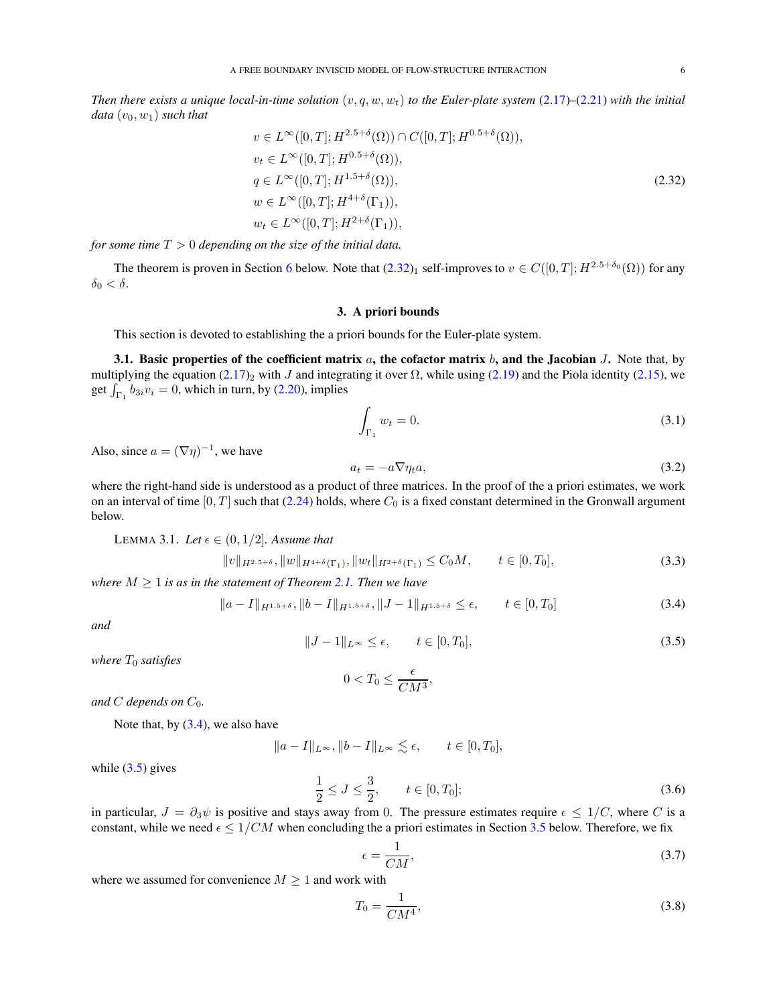*Then there exists a unique local-in-time solution*  $(v, q, w, w_t)$  *to the Euler-plate system* [\(2.17\)](#page-3-3)–[\(2.21\)](#page-4-2) *with the initial data*  $(v_0, w_1)$  *such that* 

$$
v \in L^{\infty}([0, T]; H^{2.5+\delta}(\Omega)) \cap C([0, T]; H^{0.5+\delta}(\Omega)),
$$
  
\n
$$
v_t \in L^{\infty}([0, T]; H^{0.5+\delta}(\Omega)),
$$
  
\n
$$
q \in L^{\infty}([0, T]; H^{1.5+\delta}(\Omega)),
$$
  
\n
$$
w \in L^{\infty}([0, T]; H^{4+\delta}(\Gamma_1)),
$$
  
\n
$$
w_t \in L^{\infty}([0, T]; H^{2+\delta}(\Gamma_1)),
$$
  
\n(2.32)

*for some time* T > 0 *depending on the size of the initial data.*

<span id="page-5-0"></span>The theorem is proven in Section [6](#page-22-0) below. Note that  $(2.32)_1$  self-improves to  $v \in C([0, T]; H^{2.5+\delta_0}(\Omega))$  for any  $\delta_0 < \delta$ .

### <span id="page-5-3"></span>3. A priori bounds

This section is devoted to establishing the a priori bounds for the Euler-plate system.

<span id="page-5-1"></span>3.1. Basic properties of the coefficient matrix  $a$ , the cofactor matrix  $b$ , and the Jacobian  $J$ . Note that, by multiplying the equation [\(2.17\)](#page-3-3)<sub>2</sub> with J and integrating it over  $\Omega$ , while using [\(2.19\)](#page-3-4) and the Piola identity [\(2.15\)](#page-3-5), we get  $\int_{\Gamma_1} b_{3i}v_i = 0$ , which in turn, by [\(2.20\)](#page-3-6), implies

<span id="page-5-11"></span>
$$
\int_{\Gamma_1} w_t = 0. \tag{3.1}
$$

Also, since  $a = (\nabla \eta)^{-1}$ , we have

<span id="page-5-8"></span><span id="page-5-6"></span>
$$
a_t = -a\nabla \eta_t a,\tag{3.2}
$$

where the right-hand side is understood as a product of three matrices. In the proof of the a priori estimates, we work on an interval of time  $[0, T]$  such that [\(2.24\)](#page-4-3) holds, where  $C_0$  is a fixed constant determined in the Gronwall argument below.

<span id="page-5-2"></span>LEMMA 3.1. Let  $\epsilon \in (0, 1/2]$ . Assume that

$$
||v||_{H^{2.5+\delta}}, ||w||_{H^{4+\delta}(\Gamma_1)}, ||w_t||_{H^{2+\delta}(\Gamma_1)} \leq C_0M, \qquad t \in [0, T_0],
$$
\n(3.3)

*where*  $M \geq 1$  *is as in the statement of Theorem [2.1.](#page-4-0) Then we have* 

<span id="page-5-4"></span>
$$
||a - I||_{H^{1.5+\delta}}, ||b - I||_{H^{1.5+\delta}}, ||J - 1||_{H^{1.5+\delta}} \le \epsilon, \qquad t \in [0, T_0]
$$
\n(3.4)

*and*

<span id="page-5-5"></span>
$$
||J - 1||_{L^{\infty}} \le \epsilon, \qquad t \in [0, T_0], \tag{3.5}
$$

*where*  $T_0$  *satisfies* 

$$
0
$$

*and*  $C$  *depends on*  $C_0$ *.* 

Note that, by  $(3.4)$ , we also have

$$
||a - I||_{L^{\infty}}, ||b - I||_{L^{\infty}} \lesssim \epsilon, \qquad t \in [0, T_0],
$$

while  $(3.5)$  gives

<span id="page-5-7"></span>
$$
\frac{1}{2} \le J \le \frac{3}{2}, \qquad t \in [0, T_0]; \tag{3.6}
$$

in particular,  $J = \partial_3 \psi$  is positive and stays away from 0. The pressure estimates require  $\epsilon \leq 1/C$ , where C is a constant, while we need  $\epsilon \leq 1/CM$  when concluding the a priori estimates in Section [3.5](#page-16-0) below. Therefore, we fix

<span id="page-5-9"></span>
$$
\epsilon = \frac{1}{CM},\tag{3.7}
$$

where we assumed for convenience  $M \geq 1$  and work with

<span id="page-5-10"></span>
$$
T_0 = \frac{1}{CM^4},\tag{3.8}
$$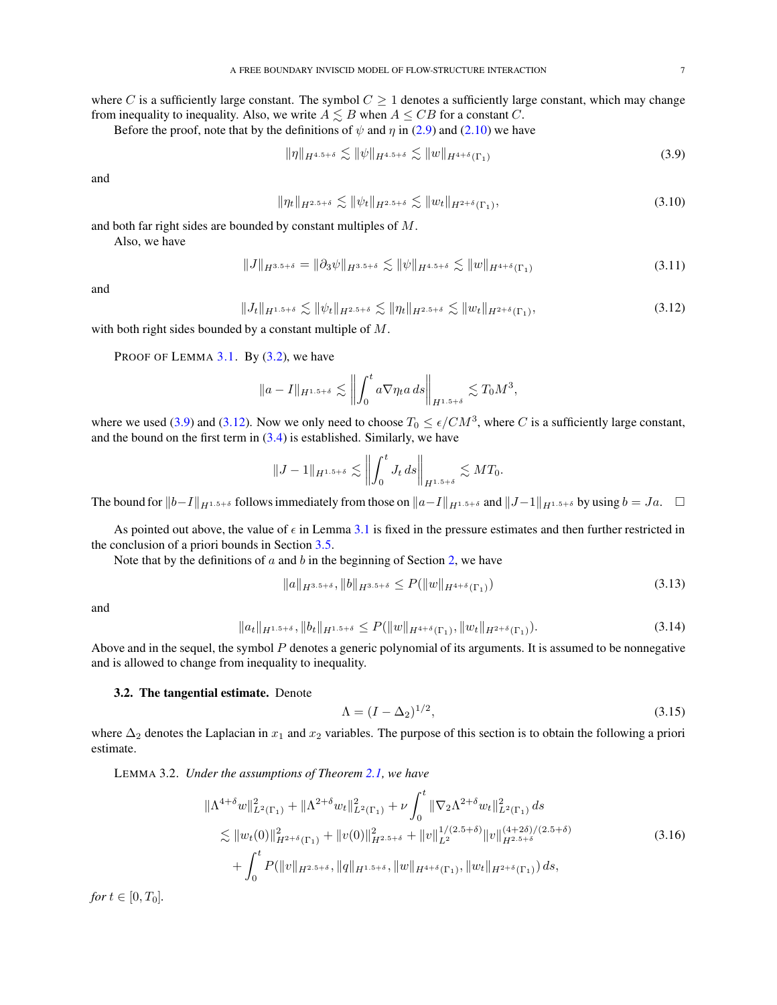where C is a sufficiently large constant. The symbol  $C \geq 1$  denotes a sufficiently large constant, which may change from inequality to inequality. Also, we write  $A \leq B$  when  $A \leq CB$  for a constant C.

Before the proof, note that by the definitions of  $\psi$  and  $\eta$  in [\(2.9\)](#page-3-2) and [\(2.10\)](#page-3-7) we have

<span id="page-6-2"></span>
$$
\|\eta\|_{H^{4.5+\delta}} \lesssim \|\psi\|_{H^{4.5+\delta}} \lesssim \|w\|_{H^{4+\delta}(\Gamma_1)}\tag{3.9}
$$

and

<span id="page-6-5"></span>
$$
\|\eta_t\|_{H^{2.5+\delta}} \lesssim \|\psi_t\|_{H^{2.5+\delta}} \lesssim \|w_t\|_{H^{2+\delta}(\Gamma_1)},\tag{3.10}
$$

and both far right sides are bounded by constant multiples of M.

Also, we have

$$
||J||_{H^{3.5+\delta}} = ||\partial_3 \psi||_{H^{3.5+\delta}} \lesssim ||\psi||_{H^{4.5+\delta}} \lesssim ||w||_{H^{4+\delta}(\Gamma_1)}
$$
(3.11)

and

<span id="page-6-3"></span>
$$
||J_t||_{H^{1.5+\delta}} \lesssim ||\psi_t||_{H^{2.5+\delta}} \lesssim ||\eta_t||_{H^{2.5+\delta}} \lesssim ||w_t||_{H^{2+\delta}(\Gamma_1)},
$$
\n(3.12)

with both right sides bounded by a constant multiple of M.

PROOF OF LEMMA  $3.1$ . By  $(3.2)$ , we have

$$
||a - I||_{H^{1.5 + \delta}} \lesssim \left\| \int_0^t a \nabla \eta_t a \, ds \right\|_{H^{1.5 + \delta}} \lesssim T_0 M^3,
$$

where we used [\(3.9\)](#page-6-2) and [\(3.12\)](#page-6-3). Now we only need to choose  $T_0 \le \epsilon / CM^3$ , where C is a sufficiently large constant, and the bound on the first term in  $(3.4)$  is established. Similarly, we have

$$
||J-1||_{H^{1.5+\delta}} \lesssim \left\| \int_0^t J_t ds \right\|_{H^{1.5+\delta}} \lesssim MT_0.
$$

The bound for  $||b-I||_{H^{1.5+\delta}}$  follows immediately from those on  $||a-I||_{H^{1.5+\delta}}$  and  $||J-1||_{H^{1.5+\delta}}$  by using  $b = Ja$ .  $\Box$ 

As pointed out above, the value of  $\epsilon$  in Lemma [3.1](#page-5-2) is fixed in the pressure estimates and then further restricted in the conclusion of a priori bounds in Section [3.5.](#page-16-0)

Note that by the definitions of  $a$  and  $b$  in the beginning of Section [2,](#page-2-0) we have

<span id="page-6-6"></span>
$$
||a||_{H^{3.5+\delta}}, ||b||_{H^{3.5+\delta}} \le P(||w||_{H^{4+\delta}(\Gamma_1)})
$$
\n(3.13)

and

<span id="page-6-8"></span>
$$
||a_t||_{H^{1.5+\delta}}, ||b_t||_{H^{1.5+\delta}} \le P(||w||_{H^{4+\delta}(\Gamma_1)}, ||w_t||_{H^{2+\delta}(\Gamma_1)}).
$$
\n(3.14)

Above and in the sequel, the symbol  $P$  denotes a generic polynomial of its arguments. It is assumed to be nonnegative and is allowed to change from inequality to inequality.

### <span id="page-6-0"></span>3.2. The tangential estimate. Denote

<span id="page-6-7"></span><span id="page-6-4"></span>
$$
\Lambda = (I - \Delta_2)^{1/2},\tag{3.15}
$$

where  $\Delta_2$  denotes the Laplacian in  $x_1$  and  $x_2$  variables. The purpose of this section is to obtain the following a priori estimate.

<span id="page-6-1"></span>LEMMA 3.2. *Under the assumptions of Theorem [2.1,](#page-4-0) we have*

$$
\|\Lambda^{4+\delta}w\|_{L^{2}(\Gamma_{1})}^{2} + \|\Lambda^{2+\delta}w_{t}\|_{L^{2}(\Gamma_{1})}^{2} + \nu \int_{0}^{t} \|\nabla_{2}\Lambda^{2+\delta}w_{t}\|_{L^{2}(\Gamma_{1})}^{2} ds \n\lesssim \|w_{t}(0)\|_{H^{2+\delta}(\Gamma_{1})}^{2} + \|v(0)\|_{H^{2.5+\delta}}^{2} + \|v\|_{L^{2}}^{1/(2.5+\delta)} \|v\|_{H^{2.5+\delta}}^{(4+2\delta)/(2.5+\delta)} \n+ \int_{0}^{t} P(\|v\|_{H^{2.5+\delta}}, \|q\|_{H^{1.5+\delta}}, \|w\|_{H^{4+\delta}(\Gamma_{1})}, \|w_{t}\|_{H^{2+\delta}(\Gamma_{1})}) ds,
$$
\n(3.16)

*for*  $t \in [0, T_0]$ *.*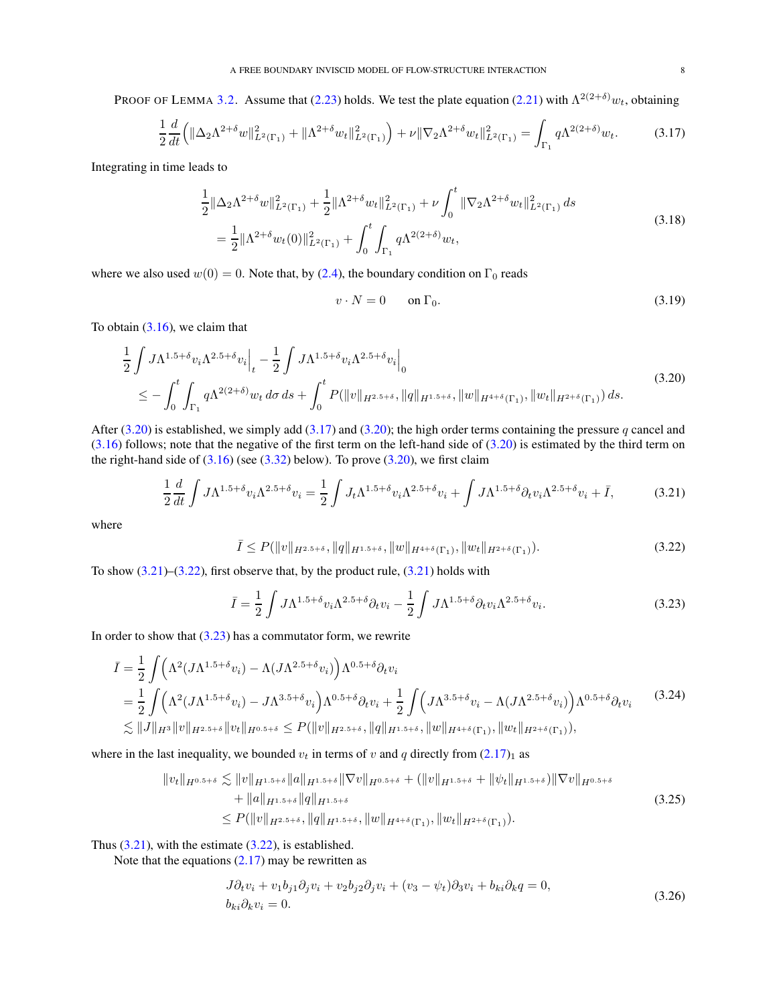PROOF OF LEMMA [3.2.](#page-6-1) Assume that [\(2.23\)](#page-4-5) holds. We test the plate equation [\(2.21\)](#page-4-2) with  $\Lambda^{2(2+\delta)}w_t$ , obtaining

<span id="page-7-1"></span>
$$
\frac{1}{2}\frac{d}{dt}\left(\|\Delta_2\Lambda^{2+\delta}w\|_{L^2(\Gamma_1)}^2 + \|\Lambda^{2+\delta}w_t\|_{L^2(\Gamma_1)}^2\right) + \nu\|\nabla_2\Lambda^{2+\delta}w_t\|_{L^2(\Gamma_1)}^2 = \int_{\Gamma_1} q\Lambda^{2(2+\delta)}w_t.
$$
 (3.17)

Integrating in time leads to

$$
\frac{1}{2} \|\Delta_2 \Lambda^{2+\delta} w\|_{L^2(\Gamma_1)}^2 + \frac{1}{2} \|\Lambda^{2+\delta} w_t\|_{L^2(\Gamma_1)}^2 + \nu \int_0^t \|\nabla_2 \Lambda^{2+\delta} w_t\|_{L^2(\Gamma_1)}^2 ds
$$
\n
$$
= \frac{1}{2} \|\Lambda^{2+\delta} w_t(0)\|_{L^2(\Gamma_1)}^2 + \int_0^t \int_{\Gamma_1} q \Lambda^{2(2+\delta)} w_t,
$$
\n(3.18)

where we also used  $w(0) = 0$ . Note that, by [\(2.4\)](#page-2-3), the boundary condition on  $\Gamma_0$  reads

<span id="page-7-8"></span><span id="page-7-7"></span><span id="page-7-2"></span><span id="page-7-0"></span>
$$
v \cdot N = 0 \qquad \text{on } \Gamma_0. \tag{3.19}
$$

To obtain [\(3.16\)](#page-6-4), we claim that

$$
\frac{1}{2} \int J\Lambda^{1.5+\delta} v_i \Lambda^{2.5+\delta} v_i \Big|_{t} - \frac{1}{2} \int J\Lambda^{1.5+\delta} v_i \Lambda^{2.5+\delta} v_i \Big|_{0}
$$
\n
$$
\leq - \int_0^t \int_{\Gamma_1} q \Lambda^{2(2+\delta)} w_t \, d\sigma \, ds + \int_0^t P(\|v\|_{H^{2.5+\delta}}, \|q\|_{H^{1.5+\delta}}, \|w\|_{H^{4+\delta}(\Gamma_1)}, \|w_t\|_{H^{2+\delta}(\Gamma_1)}) \, ds. \tag{3.20}
$$

After [\(3.20\)](#page-7-0) is established, we simply add [\(3.17\)](#page-7-1) and [\(3.20\)](#page-7-0); the high order terms containing the pressure q cancel and  $(3.16)$  follows; note that the negative of the first term on the left-hand side of  $(3.20)$  is estimated by the third term on the right-hand side of  $(3.16)$  (see  $(3.32)$  below). To prove  $(3.20)$ , we first claim

$$
\frac{1}{2}\frac{d}{dt}\int J\Lambda^{1.5+\delta}v_i\Lambda^{2.5+\delta}v_i = \frac{1}{2}\int J_t\Lambda^{1.5+\delta}v_i\Lambda^{2.5+\delta}v_i + \int J\Lambda^{1.5+\delta}\partial_t v_i\Lambda^{2.5+\delta}v_i + \bar{I},\tag{3.21}
$$

where

<span id="page-7-3"></span>
$$
\bar{I} \le P(\|v\|_{H^{2.5+\delta}}, \|q\|_{H^{1.5+\delta}}, \|w\|_{H^{4+\delta}(\Gamma_1)}, \|w_t\|_{H^{2+\delta}(\Gamma_1)}).
$$
\n(3.22)

To show  $(3.21)$ – $(3.22)$ , first observe that, by the product rule,  $(3.21)$  holds with

<span id="page-7-9"></span><span id="page-7-4"></span>
$$
\bar{I} = \frac{1}{2} \int J \Lambda^{1.5 + \delta} v_i \Lambda^{2.5 + \delta} \partial_t v_i - \frac{1}{2} \int J \Lambda^{1.5 + \delta} \partial_t v_i \Lambda^{2.5 + \delta} v_i.
$$
 (3.23)

In order to show that  $(3.23)$  has a commutator form, we rewrite

$$
\bar{I} = \frac{1}{2} \int \left( \Lambda^2 (J \Lambda^{1.5 + \delta} v_i) - \Lambda (J \Lambda^{2.5 + \delta} v_i) \right) \Lambda^{0.5 + \delta} \partial_t v_i
$$
\n
$$
= \frac{1}{2} \int \left( \Lambda^2 (J \Lambda^{1.5 + \delta} v_i) - J \Lambda^{3.5 + \delta} v_i \right) \Lambda^{0.5 + \delta} \partial_t v_i + \frac{1}{2} \int \left( J \Lambda^{3.5 + \delta} v_i - \Lambda (J \Lambda^{2.5 + \delta} v_i) \right) \Lambda^{0.5 + \delta} \partial_t v_i
$$
\n
$$
\lesssim \|J\|_{H^3} \|v\|_{H^{2.5 + \delta}} \|v_t\|_{H^{0.5 + \delta}} \le P(\|v\|_{H^{2.5 + \delta}}, \|q\|_{H^{1.5 + \delta}}, \|w\|_{H^{4 + \delta}(\Gamma_1)}, \|w_t\|_{H^{2 + \delta}(\Gamma_1)}),
$$
\n(3.24)

where in the last inequality, we bounded  $v_t$  in terms of v and q directly from  $(2.17)_1$  $(2.17)_1$  as

$$
||v_t||_{H^{0.5+\delta}} \lesssim ||v||_{H^{1.5+\delta}} ||a||_{H^{1.5+\delta}} ||\nabla v||_{H^{0.5+\delta}} + (||v||_{H^{1.5+\delta}} + ||\psi_t||_{H^{1.5+\delta}}) ||\nabla v||_{H^{0.5+\delta}} + ||a||_{H^{1.5+\delta}} ||q||_{H^{1.5+\delta}} \leq P(||v||_{H^{2.5+\delta}}, ||q||_{H^{1.5+\delta}}, ||w||_{H^{4+\delta}(\Gamma_1)}, ||w_t||_{H^{2+\delta}(\Gamma_1)}).
$$
\n(3.25)

Thus  $(3.21)$ , with the estimate  $(3.22)$ , is established.

Note that the equations  $(2.17)$  may be rewritten as

<span id="page-7-6"></span><span id="page-7-5"></span>
$$
J\partial_t v_i + v_1 b_{j1} \partial_j v_i + v_2 b_{j2} \partial_j v_i + (v_3 - \psi_t) \partial_3 v_i + b_{ki} \partial_k q = 0,
$$
  
\n
$$
b_{ki} \partial_k v_i = 0.
$$
\n(3.26)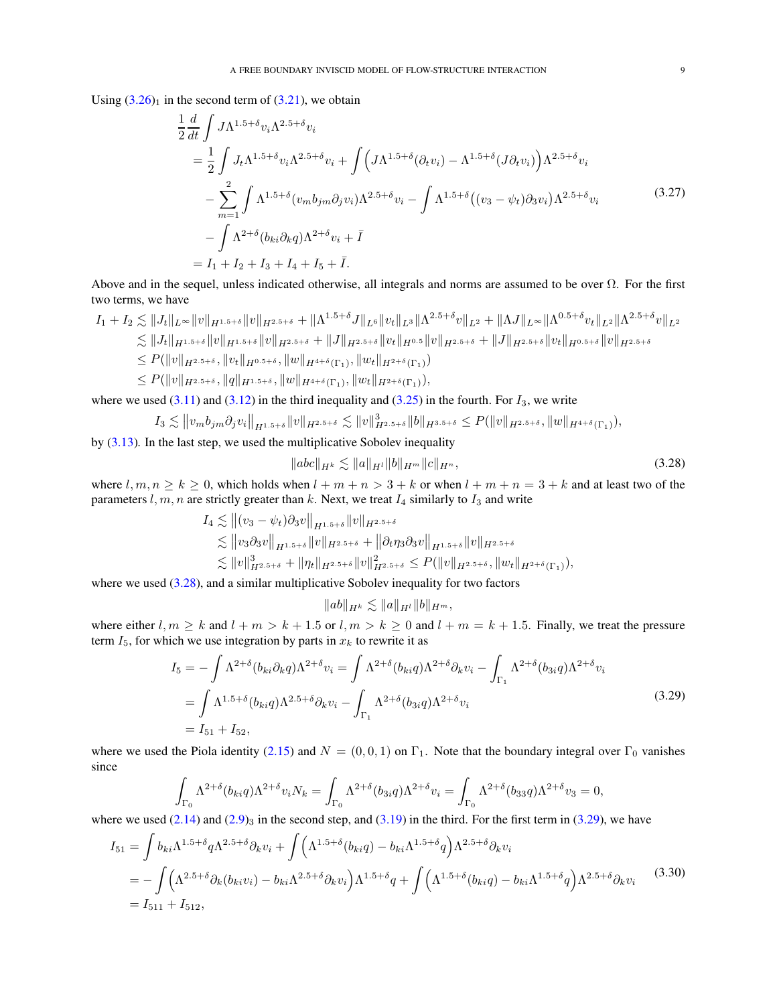Using  $(3.26)<sub>1</sub>$  $(3.26)<sub>1</sub>$  in the second term of  $(3.21)$ , we obtain

$$
\frac{1}{2} \frac{d}{dt} \int J \Lambda^{1.5+\delta} v_i \Lambda^{2.5+\delta} v_i \n= \frac{1}{2} \int J_t \Lambda^{1.5+\delta} v_i \Lambda^{2.5+\delta} v_i + \int \Big( J \Lambda^{1.5+\delta} (\partial_t v_i) - \Lambda^{1.5+\delta} (J \partial_t v_i) \Big) \Lambda^{2.5+\delta} v_i \n- \sum_{m=1}^2 \int \Lambda^{1.5+\delta} (v_m b_{jm} \partial_j v_i) \Lambda^{2.5+\delta} v_i - \int \Lambda^{1.5+\delta} ((v_3 - \psi_t) \partial_3 v_i) \Lambda^{2.5+\delta} v_i \n- \int \Lambda^{2+\delta} (b_{ki} \partial_k q) \Lambda^{2+\delta} v_i + \bar{I} \n= I_1 + I_2 + I_3 + I_4 + I_5 + \bar{I}.
$$
\n(3.27)

Above and in the sequel, unless indicated otherwise, all integrals and norms are assumed to be over  $\Omega$ . For the first two terms, we have

$$
I_{1} + I_{2} \lesssim ||J_{t}||_{L^{\infty}}||v||_{H^{1.5+\delta}}||v||_{H^{2.5+\delta}} + ||\Lambda^{1.5+\delta}J||_{L^{6}}||v_{t}||_{L^{3}}||\Lambda^{2.5+\delta}v||_{L^{2}} + ||\Lambda J||_{L^{\infty}}||\Lambda^{0.5+\delta}v_{t}||_{L^{2}}||\Lambda^{2.5+\delta}v||_{L^{2}}\lesssim ||J_{t}||_{H^{1.5+\delta}}||v||_{H^{1.5+\delta}}||v||_{H^{2.5+\delta}} + ||J||_{H^{2.5+\delta}}||v_{t}||_{H^{0.5}}||v||_{H^{2.5+\delta}} + ||J||_{H^{2.5+\delta}}||v_{t}||_{H^{0.5+\delta}}||v||_{H^{2.5+\delta}}\leq P(||v||_{H^{2.5+\delta}}, ||v_{t}||_{H^{0.5+\delta}}, ||w||_{H^{4+\delta}(\Gamma_{1})}, ||w_{t}||_{H^{2+\delta}(\Gamma_{1})})\leq P(||v||_{H^{2.5+\delta}}, ||q||_{H^{1.5+\delta}}, ||w||_{H^{4+\delta}(\Gamma_{1})}, ||w_{t}||_{H^{2+\delta}(\Gamma_{1})}),
$$

where we used [\(3.11\)](#page-6-5) and [\(3.12\)](#page-6-3) in the third inequality and [\(3.25\)](#page-7-6) in the fourth. For  $I_3$ , we write

$$
I_3 \lesssim ||v_m b_{jm} \partial_j v_i||_{H^{1.5+\delta}} ||v||_{H^{2.5+\delta}} \lesssim ||v||_{H^{2.5+\delta}}^3 ||b||_{H^{3.5+\delta}} \leq P(||v||_{H^{2.5+\delta}}, ||w||_{H^{4+\delta}(\Gamma_1)}),
$$

by [\(3.13\)](#page-6-6). In the last step, we used the multiplicative Sobolev inequality

<span id="page-8-2"></span><span id="page-8-0"></span>
$$
\|abc\|_{H^k} \lesssim \|a\|_{H^l} \|b\|_{H^m} \|c\|_{H^n},\tag{3.28}
$$

where  $l, m, n \ge k \ge 0$ , which holds when  $l + m + n > 3 + k$  or when  $l + m + n = 3 + k$  and at least two of the parameters  $l, m, n$  are strictly greater than  $k$ . Next, we treat  $I_4$  similarly to  $I_3$  and write

$$
I_4 \lesssim \| (v_3 - \psi_t) \partial_3 v \|_{H^{1.5+\delta}} \| v \|_{H^{2.5+\delta}} \lesssim \| v_3 \partial_3 v \|_{H^{1.5+\delta}} \| v \|_{H^{2.5+\delta}} + \| \partial_t \eta_3 \partial_3 v \|_{H^{1.5+\delta}} \| v \|_{H^{2.5+\delta}} \lesssim \| v \|_{H^{2.5+\delta}}^3 + \| \eta_t \|_{H^{2.5+\delta}} \| v \|_{H^{2.5+\delta}}^2 \leq P(\| v \|_{H^{2.5+\delta}}, \| w_t \|_{H^{2+\delta}(\Gamma_1)}),
$$

where we used [\(3.28\)](#page-8-0), and a similar multiplicative Sobolev inequality for two factors

<span id="page-8-3"></span><span id="page-8-1"></span>
$$
|ab||_{H^k} \lesssim ||a||_{H^l} ||b||_{H^m},
$$

where either  $l, m \ge k$  and  $l + m > k + 1.5$  or  $l, m > k \ge 0$  and  $l + m = k + 1.5$ . Finally, we treat the pressure term  $I_5$ , for which we use integration by parts in  $x_k$  to rewrite it as

$$
I_5 = -\int \Lambda^{2+\delta} (b_{ki} \partial_k q) \Lambda^{2+\delta} v_i = \int \Lambda^{2+\delta} (b_{ki} q) \Lambda^{2+\delta} \partial_k v_i - \int_{\Gamma_1} \Lambda^{2+\delta} (b_{3i} q) \Lambda^{2+\delta} v_i
$$
  
= 
$$
\int \Lambda^{1.5+\delta} (b_{ki} q) \Lambda^{2.5+\delta} \partial_k v_i - \int_{\Gamma_1} \Lambda^{2+\delta} (b_{3i} q) \Lambda^{2+\delta} v_i
$$
  
=  $I_{51} + I_{52}$ , (3.29)

where we used the Piola identity [\(2.15\)](#page-3-5) and  $N = (0, 0, 1)$  on  $\Gamma_1$ . Note that the boundary integral over  $\Gamma_0$  vanishes since

$$
\int_{\Gamma_0} \Lambda^{2+\delta}(b_{ki}q)\Lambda^{2+\delta}v_iN_k = \int_{\Gamma_0} \Lambda^{2+\delta}(b_{3i}q)\Lambda^{2+\delta}v_i = \int_{\Gamma_0} \Lambda^{2+\delta}(b_{33}q)\Lambda^{2+\delta}v_3 = 0,
$$

where we used  $(2.14)$  and  $(2.9)$ <sub>3</sub> in the second step, and  $(3.19)$  in the third. For the first term in  $(3.29)$ , we have

$$
I_{51} = \int b_{ki} \Lambda^{1.5 + \delta} q \Lambda^{2.5 + \delta} \partial_k v_i + \int \Big( \Lambda^{1.5 + \delta} (b_{ki} q) - b_{ki} \Lambda^{1.5 + \delta} q \Big) \Lambda^{2.5 + \delta} \partial_k v_i
$$
  
= 
$$
- \int \Big( \Lambda^{2.5 + \delta} \partial_k (b_{ki} v_i) - b_{ki} \Lambda^{2.5 + \delta} \partial_k v_i \Big) \Lambda^{1.5 + \delta} q + \int \Big( \Lambda^{1.5 + \delta} (b_{ki} q) - b_{ki} \Lambda^{1.5 + \delta} q \Big) \Lambda^{2.5 + \delta} \partial_k v_i
$$
(3.30)  
=  $I_{511} + I_{512}$ ,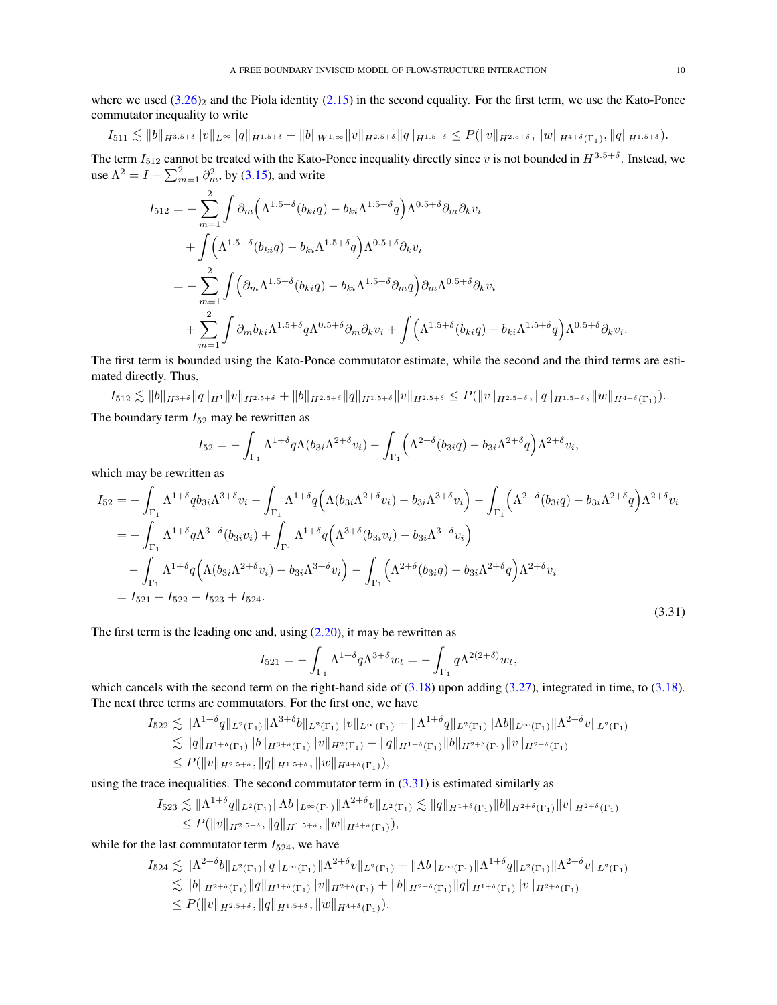where we used  $(3.26)_2$  $(3.26)_2$  and the Piola identity  $(2.15)$  in the second equality. For the first term, we use the Kato-Ponce commutator inequality to write

$$
I_{511} \lesssim \|b\|_{H^{3.5+\delta}} \|v\|_{L^{\infty}} \|q\|_{H^{1.5+\delta}} + \|b\|_{W^{1,\infty}} \|v\|_{H^{2.5+\delta}} \|q\|_{H^{1.5+\delta}} \leq P(\|v\|_{H^{2.5+\delta}}, \|w\|_{H^{4+\delta}(\Gamma_1)}, \|q\|_{H^{1.5+\delta}}).
$$

The term  $I_{512}$  cannot be treated with the Kato-Ponce inequality directly since v is not bounded in  $H^{3.5+\delta}$ . Instead, we use  $\Lambda^2 = I - \sum_{m=1}^2 \partial_m^2$ , by [\(3.15\)](#page-6-7), and write

$$
I_{512} = -\sum_{m=1}^{2} \int \partial_m \Big( \Lambda^{1.5+\delta}(b_{ki}q) - b_{ki}\Lambda^{1.5+\delta}q \Big) \Lambda^{0.5+\delta}\partial_m \partial_k v_i
$$
  
+ 
$$
\int \Big( \Lambda^{1.5+\delta}(b_{ki}q) - b_{ki}\Lambda^{1.5+\delta}q \Big) \Lambda^{0.5+\delta}\partial_k v_i
$$
  
= 
$$
-\sum_{m=1}^{2} \int \Big( \partial_m \Lambda^{1.5+\delta}(b_{ki}q) - b_{ki}\Lambda^{1.5+\delta}\partial_m q \Big) \partial_m \Lambda^{0.5+\delta}\partial_k v_i
$$
  
+ 
$$
\sum_{m=1}^{2} \int \partial_m b_{ki}\Lambda^{1.5+\delta}q \Lambda^{0.5+\delta}\partial_m \partial_k v_i + \int \Big( \Lambda^{1.5+\delta}(b_{ki}q) - b_{ki}\Lambda^{1.5+\delta}q \Big) \Lambda^{0.5+\delta}\partial_k v_i.
$$

The first term is bounded using the Kato-Ponce commutator estimate, while the second and the third terms are estimated directly. Thus,

$$
I_{512} \lesssim \|b\|_{H^{3+\delta}} \|q\|_{H^1} \|v\|_{H^{2.5+\delta}} + \|b\|_{H^{2.5+\delta}} \|q\|_{H^{1.5+\delta}} \|v\|_{H^{2.5+\delta}} \leq P(\|v\|_{H^{2.5+\delta}}, \|q\|_{H^{1.5+\delta}}, \|w\|_{H^{4+\delta}(\Gamma_1)}).
$$

The boundary term 
$$
I_{52}
$$
 may be rewritten as

$$
I_{52} = -\int_{\Gamma_1} \Lambda^{1+\delta} q \Lambda(b_{3i}\Lambda^{2+\delta} v_i) - \int_{\Gamma_1} \left( \Lambda^{2+\delta}(b_{3i}q) - b_{3i}\Lambda^{2+\delta}q \right) \Lambda^{2+\delta} v_i,
$$

which may be rewritten as

$$
I_{52} = -\int_{\Gamma_1} \Lambda^{1+\delta} q b_{3i} \Lambda^{3+\delta} v_i - \int_{\Gamma_1} \Lambda^{1+\delta} q \Big( \Lambda (b_{3i} \Lambda^{2+\delta} v_i) - b_{3i} \Lambda^{3+\delta} v_i \Big) - \int_{\Gamma_1} \Big( \Lambda^{2+\delta} (b_{3i}q) - b_{3i} \Lambda^{2+\delta} q \Big) \Lambda^{2+\delta} v_i
$$
  
\n
$$
= -\int_{\Gamma_1} \Lambda^{1+\delta} q \Lambda^{3+\delta} (b_{3i}v_i) + \int_{\Gamma_1} \Lambda^{1+\delta} q \Big( \Lambda^{3+\delta} (b_{3i}v_i) - b_{3i} \Lambda^{3+\delta} v_i \Big)
$$
  
\n
$$
- \int_{\Gamma_1} \Lambda^{1+\delta} q \Big( \Lambda (b_{3i} \Lambda^{2+\delta} v_i) - b_{3i} \Lambda^{3+\delta} v_i \Big) - \int_{\Gamma_1} \Big( \Lambda^{2+\delta} (b_{3i}q) - b_{3i} \Lambda^{2+\delta} q \Big) \Lambda^{2+\delta} v_i
$$
  
\n
$$
= I_{521} + I_{522} + I_{523} + I_{524}.
$$
\n(3.31)

The first term is the leading one and, using  $(2.20)$ , it may be rewritten as

<span id="page-9-0"></span>
$$
I_{521} = -\int_{\Gamma_1} \Lambda^{1+\delta} q \Lambda^{3+\delta} w_t = -\int_{\Gamma_1} q \Lambda^{2(2+\delta)} w_t,
$$

which cancels with the second term on the right-hand side of [\(3.18\)](#page-7-8) upon adding [\(3.27\)](#page-8-2), integrated in time, to [\(3.18\)](#page-7-8). The next three terms are commutators. For the first one, we have

$$
I_{522} \lesssim \| \Lambda^{1+\delta} q \|_{L^2(\Gamma_1)} \| \Lambda^{3+\delta} b \|_{L^2(\Gamma_1)} \| v \|_{L^{\infty}(\Gamma_1)} + \| \Lambda^{1+\delta} q \|_{L^2(\Gamma_1)} \| \Lambda b \|_{L^{\infty}(\Gamma_1)} \| \Lambda^{2+\delta} v \|_{L^2(\Gamma_1)}
$$
  
\n
$$
\lesssim \| q \|_{H^{1+\delta}(\Gamma_1)} \| b \|_{H^{3+\delta}(\Gamma_1)} \| v \|_{H^2(\Gamma_1)} + \| q \|_{H^{1+\delta}(\Gamma_1)} \| b \|_{H^{2+\delta}(\Gamma_1)} \| v \|_{H^{2+\delta}(\Gamma_1)}
$$
  
\n
$$
\le P(\| v \|_{H^{2.5+\delta}}, \| q \|_{H^{1.5+\delta}}, \| w \|_{H^{4+\delta}(\Gamma_1)}),
$$

using the trace inequalities. The second commutator term in  $(3.31)$  is estimated similarly as

$$
I_{523} \lesssim \|\Lambda^{1+\delta}q\|_{L^{2}(\Gamma_{1})}\|\Lambda b\|_{L^{\infty}(\Gamma_{1})}\|\Lambda^{2+\delta}v\|_{L^{2}(\Gamma_{1})} \lesssim \|q\|_{H^{1+\delta}(\Gamma_{1})}\|b\|_{H^{2+\delta}(\Gamma_{1})}\|v\|_{H^{2+\delta}(\Gamma_{1})}
$$
  

$$
\leq P(\|v\|_{H^{2.5+\delta}}, \|q\|_{H^{1.5+\delta}}, \|w\|_{H^{4+\delta}(\Gamma_{1})}),
$$

while for the last commutator term  $I_{524}$ , we have

$$
I_{524} \lesssim \|\Lambda^{2+\delta}b\|_{L^{2}(\Gamma_{1})} \|q\|_{L^{\infty}(\Gamma_{1})} \|\Lambda^{2+\delta}v\|_{L^{2}(\Gamma_{1})} + \|\Lambda b\|_{L^{\infty}(\Gamma_{1})} \|\Lambda^{1+\delta}q\|_{L^{2}(\Gamma_{1})} \|\Lambda^{2+\delta}v\|_{L^{2}(\Gamma_{1})}
$$
  
\n
$$
\lesssim \|b\|_{H^{2+\delta}(\Gamma_{1})} \|q\|_{H^{1+\delta}(\Gamma_{1})} \|v\|_{H^{2+\delta}(\Gamma_{1})} + \|b\|_{H^{2+\delta}(\Gamma_{1})} \|q\|_{H^{1+\delta}(\Gamma_{1})} \|v\|_{H^{2+\delta}(\Gamma_{1})}
$$
  
\n
$$
\leq P(\|v\|_{H^{2.5+\delta}}, \|q\|_{H^{1.5+\delta}}, \|w\|_{H^{4+\delta}(\Gamma_{1})}).
$$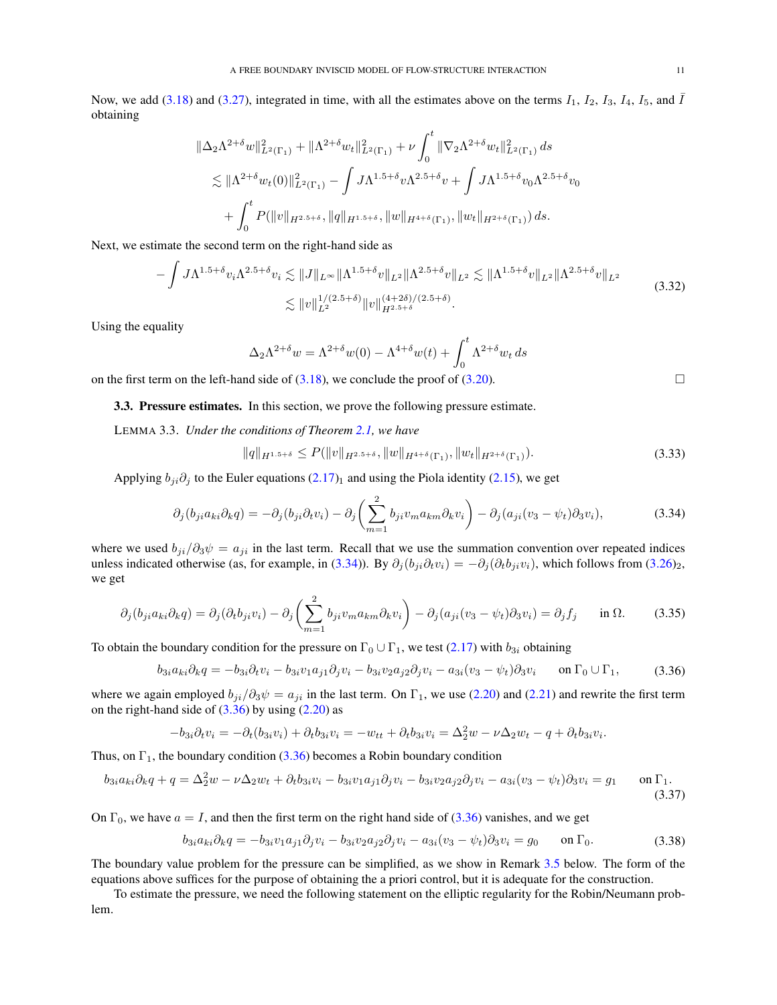Now, we add [\(3.18\)](#page-7-8) and [\(3.27\)](#page-8-2), integrated in time, with all the estimates above on the terms  $I_1$ ,  $I_2$ ,  $I_3$ ,  $I_4$ ,  $I_5$ , and  $\overline{I}$ obtaining

$$
\begin{split} \|\Delta_2\Lambda^{2+\delta}w\|_{L^2(\Gamma_1)}^2+\|\Lambda^{2+\delta}w_t\|_{L^2(\Gamma_1)}^2+\nu\int_0^t\|\nabla_2\Lambda^{2+\delta}w_t\|_{L^2(\Gamma_1)}^2\,ds\\ \lesssim \|\Lambda^{2+\delta}w_t(0)\|_{L^2(\Gamma_1)}^2-\int J\Lambda^{1.5+\delta}v\Lambda^{2.5+\delta}v+\int J\Lambda^{1.5+\delta}v_0\Lambda^{2.5+\delta}v_0\\ +\int_0^tP(\|v\|_{H^{2.5+\delta}},\|q\|_{H^{1.5+\delta}},\|w\|_{H^{4+\delta}(\Gamma_1)},\|w_t\|_{H^{2+\delta}(\Gamma_1)})\,ds. \end{split}
$$

Next, we estimate the second term on the right-hand side as

$$
-\int J\Lambda^{1.5+\delta}v_i\Lambda^{2.5+\delta}v_i \lesssim \|J\|_{L^{\infty}} \|\Lambda^{1.5+\delta}v\|_{L^2} \|\Lambda^{2.5+\delta}v\|_{L^2} \lesssim \|\Lambda^{1.5+\delta}v\|_{L^2} \|\Lambda^{2.5+\delta}v\|_{L^2}
$$
  

$$
\lesssim \|v\|_{L^2}^{1/(2.5+\delta)} \|v\|_{H^{2.5+\delta}}^{(4+2\delta)/(2.5+\delta)}.
$$
 (3.32)

Using the equality

<span id="page-10-2"></span>
$$
\Delta_2 \Lambda^{2+\delta} w = \Lambda^{2+\delta} w(0) - \Lambda^{4+\delta} w(t) + \int_0^t \Lambda^{2+\delta} w_t ds
$$

<span id="page-10-0"></span>on the first term on the left-hand side of  $(3.18)$ , we conclude the proof of  $(3.20)$ .

3.3. Pressure estimates. In this section, we prove the following pressure estimate.

<span id="page-10-1"></span>LEMMA 3.3. *Under the conditions of Theorem [2.1,](#page-4-0) we have*

<span id="page-10-8"></span><span id="page-10-5"></span><span id="page-10-4"></span><span id="page-10-3"></span>
$$
||q||_{H^{1.5+\delta}} \le P(||v||_{H^{2.5+\delta}}, ||w||_{H^{4+\delta}(\Gamma_1)}, ||w_t||_{H^{2+\delta}(\Gamma_1)}).
$$
\n(3.33)

Applying  $b_{ji}\partial_j$  to the Euler equations [\(2.17\)](#page-3-3)<sub>1</sub> and using the Piola identity [\(2.15\)](#page-3-5), we get

$$
\partial_j(b_{ji}a_{ki}\partial_k q) = -\partial_j(b_{ji}\partial_t v_i) - \partial_j\left(\sum_{m=1}^2 b_{ji}v_m a_{km}\partial_k v_i\right) - \partial_j(a_{ji}(v_3 - \psi_t)\partial_3 v_i),\tag{3.34}
$$

where we used  $b_{ji}/\partial_3\psi = a_{ji}$  in the last term. Recall that we use the summation convention over repeated indices unless indicated otherwise (as, for example, in [\(3.34\)](#page-10-3)). By  $\partial_j (b_{ji} \partial_t v_i) = -\partial_j (\partial_t b_{ji} v_i)$ , which follows from [\(3.26\)](#page-7-5)<sub>2</sub>, we get

$$
\partial_j (b_{ji} a_{ki} \partial_k q) = \partial_j (\partial_t b_{ji} v_i) - \partial_j \left( \sum_{m=1}^2 b_{ji} v_m a_{km} \partial_k v_i \right) - \partial_j (a_{ji} (v_3 - \psi_t) \partial_3 v_i) = \partial_j f_j \quad \text{in } \Omega. \tag{3.35}
$$

To obtain the boundary condition for the pressure on  $\Gamma_0 \cup \Gamma_1$ , we test [\(2.17\)](#page-3-3) with  $b_{3i}$  obtaining

$$
b_{3i}a_{ki}\partial_k q = -b_{3i}\partial_t v_i - b_{3i}v_1a_{j1}\partial_j v_i - b_{3i}v_2a_{j2}\partial_j v_i - a_{3i}(v_3 - \psi_t)\partial_3 v_i \quad \text{on } \Gamma_0 \cup \Gamma_1,
$$
 (3.36)

where we again employed  $b_{ji}/\partial_3\psi = a_{ji}$  in the last term. On  $\Gamma_1$ , we use [\(2.20\)](#page-3-6) and [\(2.21\)](#page-4-2) and rewrite the first term on the right-hand side of  $(3.36)$  by using  $(2.20)$  as

$$
-b_{3i}\partial_t v_i = -\partial_t(b_{3i}v_i) + \partial_t b_{3i}v_i = -w_{tt} + \partial_t b_{3i}v_i = \Delta_2^2 w - \nu \Delta_2 w_t - q + \partial_t b_{3i}v_i.
$$

Thus, on  $\Gamma_1$ , the boundary condition [\(3.36\)](#page-10-4) becomes a Robin boundary condition

$$
b_{3i}a_{ki}\partial_k q + q = \Delta_2^2 w - \nu \Delta_2 w_t + \partial_t b_{3i}v_i - b_{3i}v_1a_{j1}\partial_j v_i - b_{3i}v_2a_{j2}\partial_j v_i - a_{3i}(v_3 - \psi_t)\partial_3 v_i = g_1 \quad \text{on } \Gamma_1.
$$
\n(3.37)

On  $\Gamma_0$ , we have  $a = I$ , and then the first term on the right hand side of [\(3.36\)](#page-10-4) vanishes, and we get

<span id="page-10-7"></span><span id="page-10-6"></span>
$$
b_{3i}a_{ki}\partial_k q = -b_{3i}v_1a_{j1}\partial_j v_i - b_{3i}v_2a_{j2}\partial_j v_i - a_{3i}(v_3 - \psi_t)\partial_3 v_i = g_0 \quad \text{on } \Gamma_0.
$$
 (3.38)

The boundary value problem for the pressure can be simplified, as we show in Remark [3.5](#page-11-0) below. The form of the equations above suffices for the purpose of obtaining the a priori control, but it is adequate for the construction.

To estimate the pressure, we need the following statement on the elliptic regularity for the Robin/Neumann problem.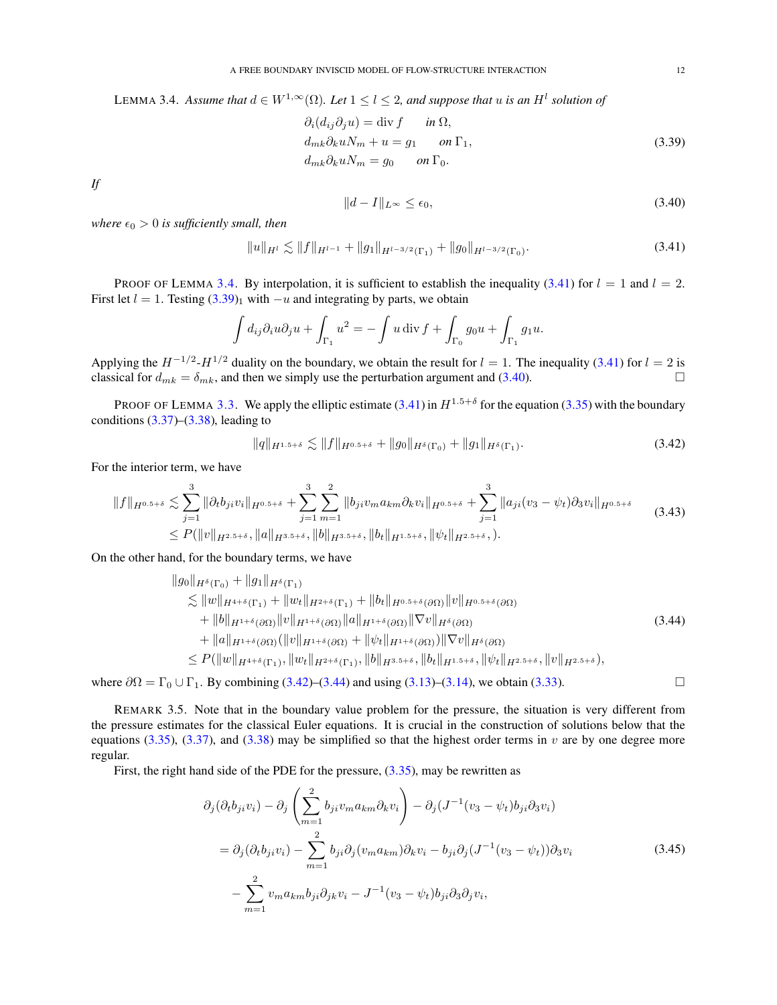<span id="page-11-1"></span>LEMMA 3.4. Assume that  $d \in W^{1,\infty}(\Omega)$ . Let  $1 \leq l \leq 2$ , and suppose that u is an  $H^l$  solution of

$$
\partial_i(d_{ij}\partial_j u) = \text{div } f \qquad in \Omega,
$$
  
\n
$$
d_{mk}\partial_k u N_m + u = g_1 \qquad on \Gamma_1,
$$
  
\n
$$
d_{mk}\partial_k u N_m = g_0 \qquad on \Gamma_0.
$$
\n(3.39)

*If*

<span id="page-11-5"></span><span id="page-11-4"></span><span id="page-11-3"></span>
$$
||d - I||_{L^{\infty}} \le \epsilon_0,\tag{3.40}
$$

*where*  $\epsilon_0 > 0$  *is sufficiently small, then* 

<span id="page-11-2"></span>
$$
||u||_{H^1} \lesssim ||f||_{H^{l-1}} + ||g_1||_{H^{l-3/2}(\Gamma_1)} + ||g_0||_{H^{l-3/2}(\Gamma_0)}.
$$
\n(3.41)

PROOF OF LEMMA [3.4.](#page-11-1) By interpolation, it is sufficient to establish the inequality [\(3.41\)](#page-11-2) for  $l = 1$  and  $l = 2$ . First let  $l = 1$ . Testing  $(3.39)<sub>1</sub>$  with  $-u$  and integrating by parts, we obtain

$$
\int d_{ij}\partial_i u \partial_j u + \int_{\Gamma_1} u^2 = -\int u \operatorname{div} f + \int_{\Gamma_0} g_0 u + \int_{\Gamma_1} g_1 u.
$$

Applying the  $H^{-1/2}$ - $H^{1/2}$  duality on the boundary, we obtain the result for  $l = 1$ . The inequality [\(3.41\)](#page-11-2) for  $l = 2$  is classical for  $d_{mk} = \delta_{mk}$ , and then we simply use the perturbation argument and [\(3.40\)](#page-11-4).

PROOF OF LEMMA [3.3.](#page-10-1) We apply the elliptic estimate  $(3.41)$  in  $H^{1.5+\delta}$  for the equation  $(3.35)$  with the boundary conditions  $(3.37)$ – $(3.38)$ , leading to

<span id="page-11-6"></span>
$$
||q||_{H^{1.5+\delta}} \lesssim ||f||_{H^{0.5+\delta}} + ||g_0||_{H^{\delta}(\Gamma_0)} + ||g_1||_{H^{\delta}(\Gamma_1)}.
$$
\n(3.42)

For the interior term, we have

$$
||f||_{H^{0.5+\delta}} \lesssim \sum_{j=1}^{3} ||\partial_t b_{ji} v_i||_{H^{0.5+\delta}} + \sum_{j=1}^{3} \sum_{m=1}^{2} ||b_{ji} v_m a_{km} \partial_k v_i||_{H^{0.5+\delta}} + \sum_{j=1}^{3} ||a_{ji} (v_3 - \psi_t) \partial_3 v_i||_{H^{0.5+\delta}} \leq P(||v||_{H^{2.5+\delta}}, ||a||_{H^{3.5+\delta}}, ||b||_{H^{3.5+\delta}}, ||b_t||_{H^{1.5+\delta}}, ||\psi_t||_{H^{2.5+\delta}},).
$$
\n(3.43)

On the other hand, for the boundary terms, we have

$$
\|g_0\|_{H^{\delta}(\Gamma_0)} + \|g_1\|_{H^{\delta}(\Gamma_1)}\n\lesssim \|w\|_{H^{4+\delta}(\Gamma_1)} + \|w_t\|_{H^{2+\delta}(\Gamma_1)} + \|b_t\|_{H^{0.5+\delta}(\partial\Omega)} \|v\|_{H^{0.5+\delta}(\partial\Omega)}\n+ \|b\|_{H^{1+\delta}(\partial\Omega)} \|v\|_{H^{1+\delta}(\partial\Omega)} \|a\|_{H^{1+\delta}(\partial\Omega)} \|\nabla v\|_{H^{\delta}(\partial\Omega)}\n+ \|a\|_{H^{1+\delta}(\partial\Omega)} (\|v\|_{H^{1+\delta}(\partial\Omega)} + \|\psi_t\|_{H^{1+\delta}(\partial\Omega)}) \|\nabla v\|_{H^{\delta}(\partial\Omega)}\n\leq P(\|w\|_{H^{4+\delta}(\Gamma_1)}, \|w_t\|_{H^{2+\delta}(\Gamma_1)}, \|b\|_{H^{3.5+\delta}}, \|b_t\|_{H^{1.5+\delta}}, \|\psi_t\|_{H^{2.5+\delta}}, \|v\|_{H^{2.5+\delta}}),
$$
\n(3.44)

where  $\partial \Omega = \Gamma_0 \cup \Gamma_1$ . By combining [\(3.42\)](#page-11-5)–[\(3.44\)](#page-11-6) and using [\(3.13\)](#page-6-6)–[\(3.14\)](#page-6-8), we obtain [\(3.33\)](#page-10-8). □

<span id="page-11-0"></span>REMARK 3.5. Note that in the boundary value problem for the pressure, the situation is very different from the pressure estimates for the classical Euler equations. It is crucial in the construction of solutions below that the equations [\(3.35\)](#page-10-5), [\(3.37\)](#page-10-6), and [\(3.38\)](#page-10-7) may be simplified so that the highest order terms in v are by one degree more regular.

First, the right hand side of the PDE for the pressure,  $(3.35)$ , may be rewritten as

$$
\partial_j(\partial_t b_{ji}v_i) - \partial_j\left(\sum_{m=1}^2 b_{ji}v_m a_{km}\partial_k v_i\right) - \partial_j(J^{-1}(v_3 - \psi_t)b_{ji}\partial_3 v_i)
$$
  
\n
$$
= \partial_j(\partial_t b_{ji}v_i) - \sum_{m=1}^2 b_{ji}\partial_j(v_m a_{km})\partial_k v_i - b_{ji}\partial_j(J^{-1}(v_3 - \psi_t))\partial_3 v_i
$$
  
\n
$$
- \sum_{m=1}^2 v_m a_{km}b_{ji}\partial_{jk}v_i - J^{-1}(v_3 - \psi_t)b_{ji}\partial_3\partial_j v_i,
$$
\n(3.45)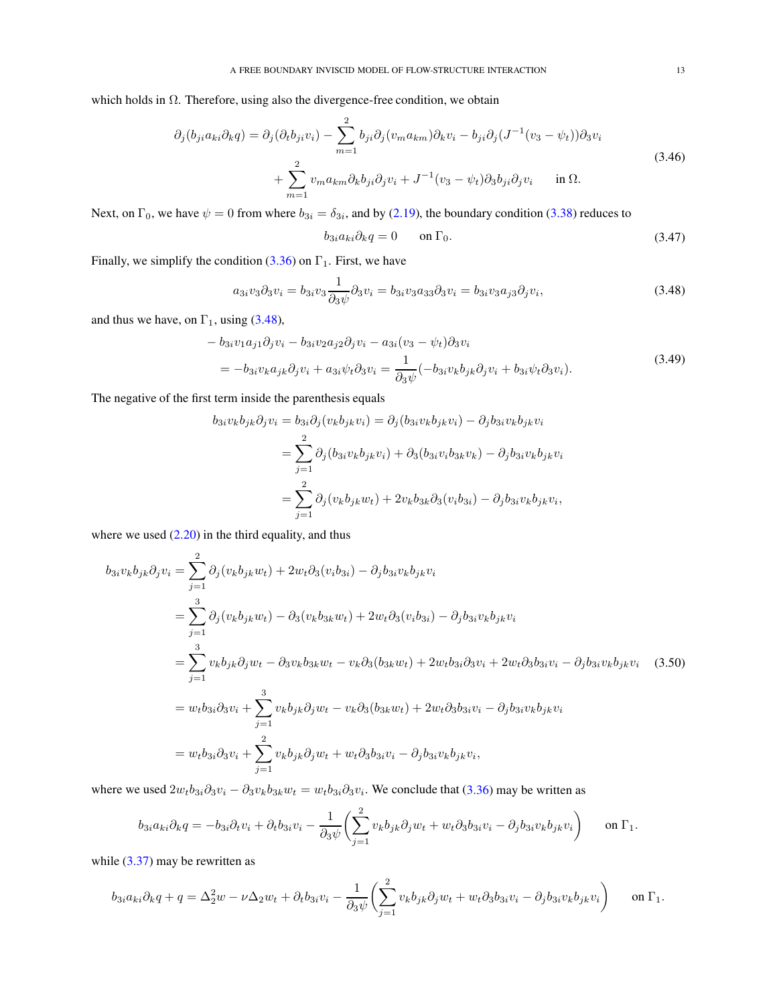which holds in  $\Omega$ . Therefore, using also the divergence-free condition, we obtain

$$
\partial_j(b_{ji}a_{ki}\partial_k q) = \partial_j(\partial_t b_{ji}v_i) - \sum_{m=1}^2 b_{ji}\partial_j(v_ma_{km})\partial_k v_i - b_{ji}\partial_j(J^{-1}(v_3 - \psi_t))\partial_3 v_i
$$
  
+ 
$$
\sum_{m=1}^2 v_ma_{km}\partial_k b_{ji}\partial_j v_i + J^{-1}(v_3 - \psi_t)\partial_3 b_{ji}\partial_j v_i \quad \text{in } \Omega.
$$
 (3.46)

Next, on  $\Gamma_0$ , we have  $\psi = 0$  from where  $b_{3i} = \delta_{3i}$ , and by [\(2.19\)](#page-3-4), the boundary condition [\(3.38\)](#page-10-7) reduces to

<span id="page-12-0"></span>
$$
b_{3i}a_{ki}\partial_k q = 0 \qquad \text{on } \Gamma_0. \tag{3.47}
$$

Finally, we simplify the condition [\(3.36\)](#page-10-4) on  $\Gamma_1$ . First, we have

$$
a_{3i}v_3\partial_3v_i = b_{3i}v_3\frac{1}{\partial_3\psi}\partial_3v_i = b_{3i}v_3a_{33}\partial_3v_i = b_{3i}v_3a_{j3}\partial_jv_i,
$$
\n(3.48)

and thus we have, on  $\Gamma_1$ , using [\(3.48\)](#page-12-0),

$$
-b_{3i}v_1a_{j1}\partial_jv_i - b_{3i}v_2a_{j2}\partial_jv_i - a_{3i}(v_3 - \psi_t)\partial_3v_i
$$
  
= 
$$
-b_{3i}v_ka_{jk}\partial_jv_i + a_{3i}\psi_t\partial_3v_i = \frac{1}{\partial_3\psi}(-b_{3i}v_kb_{jk}\partial_jv_i + b_{3i}\psi_t\partial_3v_i).
$$
 (3.49)

The negative of the first term inside the parenthesis equals

<span id="page-12-1"></span>
$$
b_{3i}v_k b_{jk}\partial_j v_i = b_{3i}\partial_j(v_k b_{jk}v_i) = \partial_j(b_{3i}v_k b_{jk}v_i) - \partial_j b_{3i}v_k b_{jk}v_i
$$
  

$$
= \sum_{j=1}^2 \partial_j(b_{3i}v_k b_{jk}v_i) + \partial_3(b_{3i}v_i b_{3k}v_k) - \partial_j b_{3i}v_k b_{jk}v_i
$$
  

$$
= \sum_{j=1}^2 \partial_j(v_k b_{jk}w_t) + 2v_k b_{3k} \partial_3(v_i b_{3i}) - \partial_j b_{3i}v_k b_{jk}v_i,
$$

where we used  $(2.20)$  in the third equality, and thus

$$
b_{3i}v_{k}b_{jk}\partial_{j}v_{i} = \sum_{j=1}^{2} \partial_{j}(v_{k}b_{jk}w_{t}) + 2w_{t}\partial_{3}(v_{i}b_{3i}) - \partial_{j}b_{3i}v_{k}b_{jk}v_{i}
$$
  
\n
$$
= \sum_{j=1}^{3} \partial_{j}(v_{k}b_{jk}w_{t}) - \partial_{3}(v_{k}b_{3k}w_{t}) + 2w_{t}\partial_{3}(v_{i}b_{3i}) - \partial_{j}b_{3i}v_{k}b_{jk}v_{i}
$$
  
\n
$$
= \sum_{j=1}^{3} v_{k}b_{jk}\partial_{j}w_{t} - \partial_{3}v_{k}b_{3k}w_{t} - v_{k}\partial_{3}(b_{3k}w_{t}) + 2w_{t}b_{3i}\partial_{3}v_{i} + 2w_{t}\partial_{3}b_{3i}v_{i} - \partial_{j}b_{3i}v_{k}b_{jk}v_{i}
$$
(3.50)  
\n
$$
= w_{t}b_{3i}\partial_{3}v_{i} + \sum_{j=1}^{3} v_{k}b_{jk}\partial_{j}w_{t} - v_{k}\partial_{3}(b_{3k}w_{t}) + 2w_{t}\partial_{3}b_{3i}v_{i} - \partial_{j}b_{3i}v_{k}b_{jk}v_{i}
$$
  
\n
$$
= w_{t}b_{3i}\partial_{3}v_{i} + \sum_{j=1}^{2} v_{k}b_{jk}\partial_{j}w_{t} + w_{t}\partial_{3}b_{3i}v_{i} - \partial_{j}b_{3i}v_{k}b_{jk}v_{i},
$$

where we used  $2w_t b_{3i} \partial_3 v_i - \partial_3 v_k b_{3k} w_t = w_t b_{3i} \partial_3 v_i$ . We conclude that [\(3.36\)](#page-10-4) may be written as

$$
b_{3i}a_{ki}\partial_k q = -b_{3i}\partial_t v_i + \partial_t b_{3i}v_i - \frac{1}{\partial_3 \psi} \left( \sum_{j=1}^2 v_k b_{jk} \partial_j w_t + w_t \partial_3 b_{3i} v_i - \partial_j b_{3i} v_k b_{jk} v_i \right) \quad \text{on } \Gamma_1.
$$

while  $(3.37)$  may be rewritten as

$$
b_{3i}a_{ki}\partial_k q + q = \Delta_2^2 w - \nu \Delta_2 w_t + \partial_t b_{3i}v_i - \frac{1}{\partial_3 \psi} \left( \sum_{j=1}^2 v_k b_{jk} \partial_j w_t + w_t \partial_3 b_{3i} v_i - \partial_j b_{3i} v_k b_{jk} v_i \right) \qquad \text{on } \Gamma_1.
$$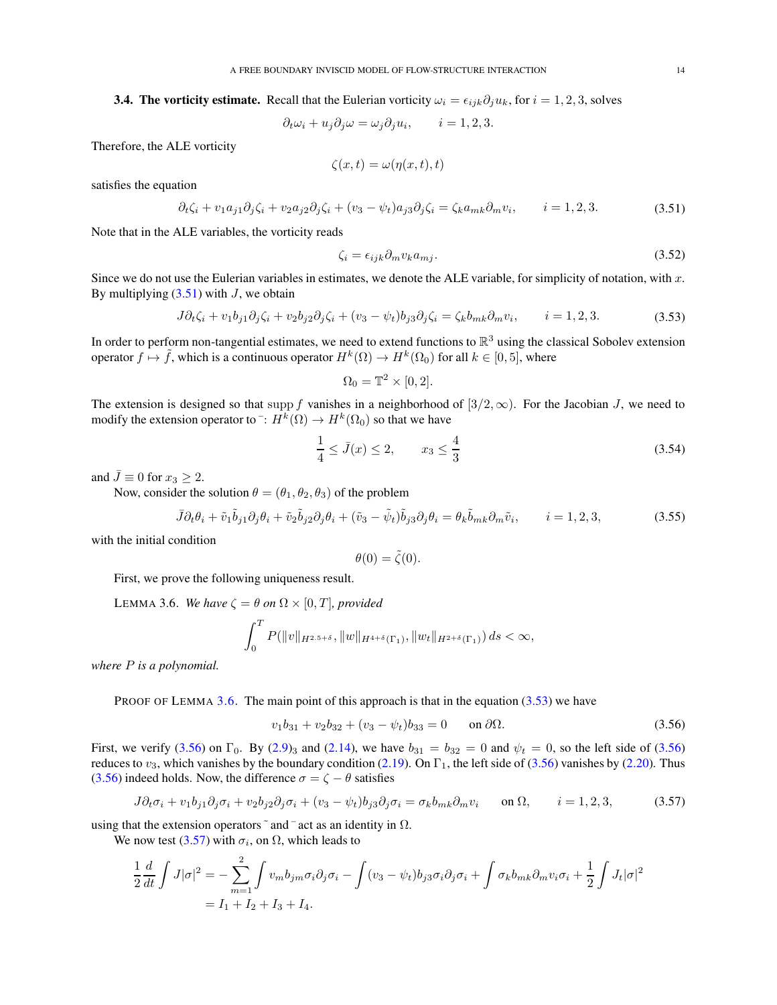<span id="page-13-0"></span>**3.4. The vorticity estimate.** Recall that the Eulerian vorticity  $\omega_i = \epsilon_{ijk}\partial_i u_k$ , for  $i = 1, 2, 3$ , solves

$$
\partial_t \omega_i + u_j \partial_j \omega = \omega_j \partial_j u_i, \qquad i = 1, 2, 3.
$$

Therefore, the ALE vorticity

$$
\zeta(x,t) = \omega(\eta(x,t),t)
$$

satisfies the equation

$$
\partial_t \zeta_i + v_1 a_{j1} \partial_j \zeta_i + v_2 a_{j2} \partial_j \zeta_i + (v_3 - \psi_t) a_{j3} \partial_j \zeta_i = \zeta_k a_{mk} \partial_m v_i, \qquad i = 1, 2, 3. \tag{3.51}
$$

Note that in the ALE variables, the vorticity reads

<span id="page-13-8"></span><span id="page-13-1"></span>
$$
\zeta_i = \epsilon_{ijk} \partial_m v_k a_{mj}.\tag{3.52}
$$

Since we do not use the Eulerian variables in estimates, we denote the ALE variable, for simplicity of notation, with  $x$ . By multiplying  $(3.51)$  with J, we obtain

$$
J\partial_t \zeta_i + v_1 b_{j1} \partial_j \zeta_i + v_2 b_{j2} \partial_j \zeta_i + (v_3 - \psi_t) b_{j3} \partial_j \zeta_i = \zeta_k b_{mk} \partial_m v_i, \qquad i = 1, 2, 3.
$$
 (3.53)

In order to perform non-tangential estimates, we need to extend functions to  $\mathbb{R}^3$  using the classical Sobolev extension operator  $f \mapsto \tilde{f}$ , which is a continuous operator  $H^k(\Omega) \to H^k(\Omega_0)$  for all  $k \in [0, 5]$ , where

<span id="page-13-3"></span>
$$
\Omega_0 = \mathbb{T}^2 \times [0, 2].
$$

The extension is designed so that supp f vanishes in a neighborhood of  $[3/2, \infty)$ . For the Jacobian J, we need to modify the extension operator to  $\bar{\ }$ :  $H^k(\Omega) \rightarrow H^k(\Omega_0)$  so that we have

<span id="page-13-6"></span>
$$
\frac{1}{4} \le \bar{J}(x) \le 2, \qquad x_3 \le \frac{4}{3} \tag{3.54}
$$

and  $\bar{J} \equiv 0$  for  $x_3 \geq 2$ .

Now, consider the solution  $\theta = (\theta_1, \theta_2, \theta_3)$  of the problem

$$
\bar{J}\partial_t\theta_i + \tilde{v}_1\tilde{b}_{j1}\partial_j\theta_i + \tilde{v}_2\tilde{b}_{j2}\partial_j\theta_i + (\tilde{v}_3 - \tilde{\psi}_t)\tilde{b}_{j3}\partial_j\theta_i = \theta_k\tilde{b}_{mk}\partial_m\tilde{v}_i, \qquad i = 1, 2, 3,
$$
\n(3.55)

with the initial condition

<span id="page-13-7"></span><span id="page-13-5"></span>
$$
\theta(0) = \tilde{\zeta}(0).
$$

First, we prove the following uniqueness result.

<span id="page-13-2"></span>LEMMA 3.6. *We have*  $\zeta = \theta$  *on*  $\Omega \times [0, T]$ *, provided* 

$$
\int_0^T P(\|v\|_{H^{2.5+\delta}}, \|w\|_{H^{4+\delta}(\Gamma_1)}, \|w_t\|_{H^{2+\delta}(\Gamma_1)}) ds < \infty,
$$

*where* P *is a polynomial.*

PROOF OF LEMMA [3.6.](#page-13-2) The main point of this approach is that in the equation  $(3.53)$  we have

<span id="page-13-4"></span>
$$
v_1b_{31} + v_2b_{32} + (v_3 - \psi_t)b_{33} = 0 \quad \text{on } \partial\Omega.
$$
 (3.56)

First, we verify [\(3.56\)](#page-13-4) on  $\Gamma_0$ . By [\(2.9\)](#page-3-2)<sub>3</sub> and [\(2.14\)](#page-3-1), we have  $b_{31} = b_{32} = 0$  and  $\psi_t = 0$ , so the left side of (3.56) reduces to  $v_3$ , which vanishes by the boundary condition [\(2.19\)](#page-3-4). On  $\Gamma_1$ , the left side of [\(3.56\)](#page-13-4) vanishes by [\(2.20\)](#page-3-6). Thus [\(3.56\)](#page-13-4) indeed holds. Now, the difference  $\sigma = \zeta - \theta$  satisfies

$$
J\partial_t \sigma_i + v_1 b_{j1} \partial_j \sigma_i + v_2 b_{j2} \partial_j \sigma_i + (v_3 - \psi_t) b_{j3} \partial_j \sigma_i = \sigma_k b_{mk} \partial_m v_i \quad \text{on } \Omega, \quad i = 1, 2, 3,
$$
 (3.57)

using that the extension operators  $\tilde{\ }$  and  $\tilde{\ }$  act as an identity in  $\Omega$ .

We now test [\(3.57\)](#page-13-5) with  $\sigma_i$ , on  $\Omega$ , which leads to

$$
\frac{1}{2}\frac{d}{dt}\int J|\sigma|^2 = -\sum_{m=1}^2 \int v_m b_{jm}\sigma_i\partial_j\sigma_i - \int (v_3 - \psi_t)b_{j3}\sigma_i\partial_j\sigma_i + \int \sigma_k b_{mk}\partial_m v_i\sigma_i + \frac{1}{2}\int J_t|\sigma|^2
$$
  
=  $I_1 + I_2 + I_3 + I_4$ .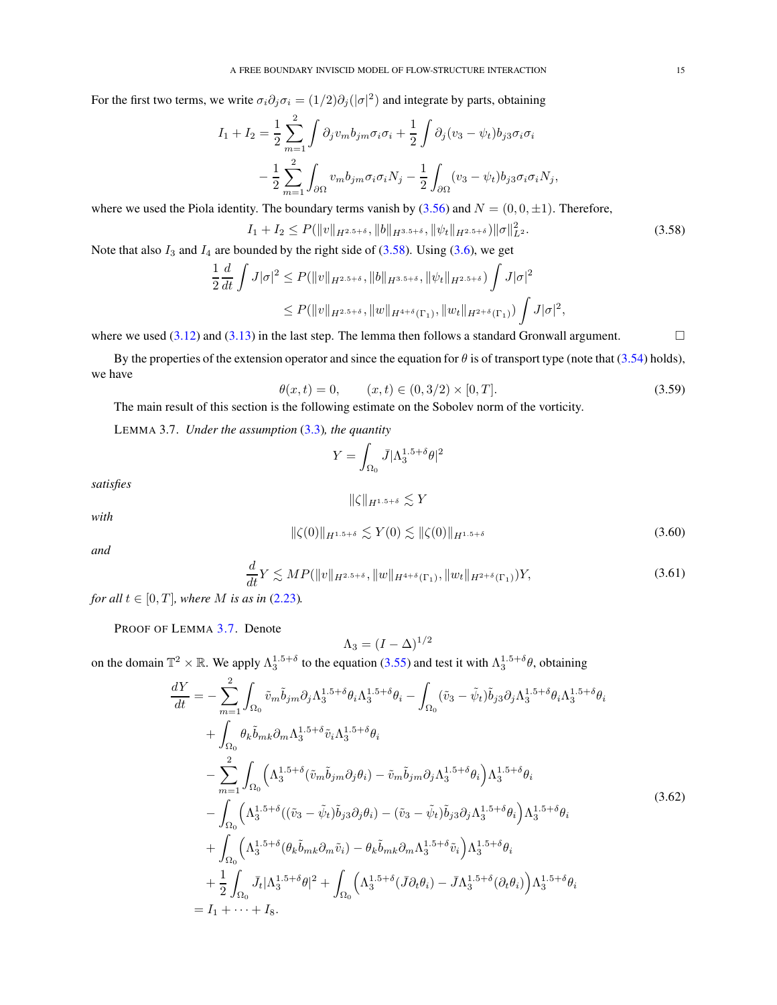For the first two terms, we write  $\sigma_i \partial_j \sigma_i = (1/2) \partial_j (|\sigma|^2)$  and integrate by parts, obtaining

$$
I_1 + I_2 = \frac{1}{2} \sum_{m=1}^{2} \int \partial_j v_m b_{jm} \sigma_i \sigma_i + \frac{1}{2} \int \partial_j (v_3 - \psi_t) b_{j3} \sigma_i \sigma_i
$$

$$
- \frac{1}{2} \sum_{m=1}^{2} \int_{\partial \Omega} v_m b_{jm} \sigma_i \sigma_i N_j - \frac{1}{2} \int_{\partial \Omega} (v_3 - \psi_t) b_{j3} \sigma_i \sigma_i N_j,
$$

where we used the Piola identity. The boundary terms vanish by  $(3.56)$  and  $N = (0, 0, \pm 1)$ . Therefore,

$$
I_1 + I_2 \le P(\|v\|_{H^{2.5+\delta}}, \|b\|_{H^{3.5+\delta}}, \|\psi_t\|_{H^{2.5+\delta}}) \|\sigma\|_{L^2}^2.
$$
\n(3.58)

Note that also  $I_3$  and  $I_4$  are bounded by the right side of [\(3.58\)](#page-14-1). Using [\(3.6\)](#page-5-7), we get

$$
\frac{d}{dt} \int J|\sigma|^2 \le P(\|v\|_{H^{2.5+\delta}}, \|b\|_{H^{3.5+\delta}}, \|\psi_t\|_{H^{2.5+\delta}}) \int J|\sigma|^2
$$
  

$$
\le P(\|v\|_{H^{2.5+\delta}}, \|w\|_{H^{4+\delta}(\Gamma_1)}, \|w_t\|_{H^{2+\delta}(\Gamma_1)}) \int J|\sigma|^2,
$$

where we used [\(3.12\)](#page-6-3) and [\(3.13\)](#page-6-6) in the last step. The lemma then follows a standard Gronwall argument.  $\square$ 

By the properties of the extension operator and since the equation for  $\theta$  is of transport type (note that [\(3.54\)](#page-13-6) holds), we have

<span id="page-14-3"></span>
$$
\theta(x,t) = 0, \qquad (x,t) \in (0,3/2) \times [0,T]. \tag{3.59}
$$

The main result of this section is the following estimate on the Sobolev norm of the vorticity.

<span id="page-14-0"></span>LEMMA 3.7. *Under the assumption* [\(3.3\)](#page-5-8)*, the quantity*

1 2

<span id="page-14-1"></span>
$$
Y = \int_{\Omega_0} \bar{J} |\Lambda_3^{1.5 + \delta} \theta|^2
$$

*satisfies*

<span id="page-14-4"></span> $\|\zeta\|_{H^{1.5+\delta}} \lesssim Y$ 

<span id="page-14-5"></span>
$$
\|\zeta(0)\|_{H^{1.5+\delta}} \lesssim Y(0) \lesssim \|\zeta(0)\|_{H^{1.5+\delta}}
$$
\n(3.60)

*and*

*with*

$$
\frac{d}{dt}Y \lesssim MP(\|v\|_{H^{2.5+\delta}}, \|w\|_{H^{4+\delta}(\Gamma_1)}, \|w_t\|_{H^{2+\delta}(\Gamma_1)})Y,\tag{3.61}
$$

*for all*  $t \in [0, T]$ *, where M is as in* [\(2.23\)](#page-4-5)*.* 

PROOF OF LEMMA [3.7.](#page-14-0) Denote

<span id="page-14-2"></span>
$$
\Lambda_3 = (I - \Delta)^{1/2}
$$

on the domain  $\mathbb{T}^2 \times \mathbb{R}$ . We apply  $\Lambda_3^{1.5+\delta}$  to the equation [\(3.55\)](#page-13-7) and test it with  $\Lambda_3^{1.5+\delta}\theta$ , obtaining

$$
\frac{dY}{dt} = -\sum_{m=1}^{2} \int_{\Omega_{0}} \tilde{v}_{m} \tilde{b}_{jm} \partial_{j} \Lambda_{3}^{1.5+\delta} \theta_{i} \Lambda_{3}^{1.5+\delta} \theta_{i} - \int_{\Omega_{0}} (\tilde{v}_{3} - \tilde{\psi}_{t}) \tilde{b}_{j3} \partial_{j} \Lambda_{3}^{1.5+\delta} \theta_{i} \Lambda_{3}^{1.5+\delta} \theta_{i} \n+ \int_{\Omega_{0}} \theta_{k} \tilde{b}_{mk} \partial_{m} \Lambda_{3}^{1.5+\delta} \tilde{v}_{i} \Lambda_{3}^{1.5+\delta} \theta_{i} \n- \sum_{m=1}^{2} \int_{\Omega_{0}} (\Lambda_{3}^{1.5+\delta} (\tilde{v}_{m} \tilde{b}_{jm} \partial_{j} \theta_{i}) - \tilde{v}_{m} \tilde{b}_{jm} \partial_{j} \Lambda_{3}^{1.5+\delta} \theta_{i}) \Lambda_{3}^{1.5+\delta} \theta_{i} \n- \int_{\Omega_{0}} (\Lambda_{3}^{1.5+\delta} ((\tilde{v}_{3} - \tilde{\psi}_{t}) \tilde{b}_{j3} \partial_{j} \theta_{i}) - (\tilde{v}_{3} - \tilde{\psi}_{t}) \tilde{b}_{j3} \partial_{j} \Lambda_{3}^{1.5+\delta} \theta_{i}) \Lambda_{3}^{1.5+\delta} \theta_{i} \n+ \int_{\Omega_{0}} (\Lambda_{3}^{1.5+\delta} (\theta_{k} \tilde{b}_{mk} \partial_{m} \tilde{v}_{i}) - \theta_{k} \tilde{b}_{mk} \partial_{m} \Lambda_{3}^{1.5+\delta} \tilde{v}_{i}) \Lambda_{3}^{1.5+\delta} \theta_{i} \n+ \frac{1}{2} \int_{\Omega_{0}} \bar{J}_{t} |\Lambda_{3}^{1.5+\delta} \theta|^{2} + \int_{\Omega_{0}} (\Lambda_{3}^{1.5+\delta} (\bar{J} \partial_{t} \theta_{i}) - \bar{J} \Lambda_{3}^{1.5+\delta} (\partial_{t} \theta_{i})) \Lambda_{3}^{1.5+\delta} \theta_{i} \n= I_{1} + \cdots + I_{8}.
$$
\n(3.62)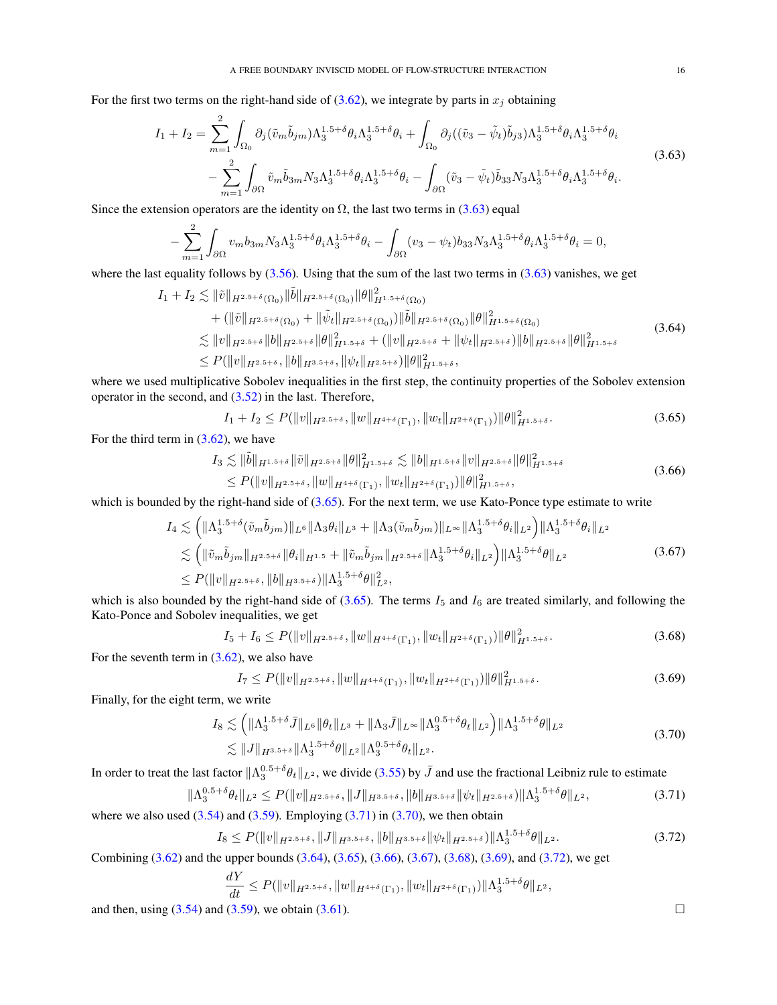For the first two terms on the right-hand side of [\(3.62\)](#page-14-2), we integrate by parts in  $x_j$  obtaining

$$
I_{1} + I_{2} = \sum_{m=1}^{2} \int_{\Omega_{0}} \partial_{j} (\tilde{v}_{m} \tilde{b}_{jm}) \Lambda_{3}^{1.5+\delta} \theta_{i} \Lambda_{3}^{1.5+\delta} \theta_{i} + \int_{\Omega_{0}} \partial_{j} ((\tilde{v}_{3} - \tilde{\psi}_{t}) \tilde{b}_{j3}) \Lambda_{3}^{1.5+\delta} \theta_{i} \Lambda_{3}^{1.5+\delta} \theta_{i} - \sum_{m=1}^{2} \int_{\partial \Omega} \tilde{v}_{m} \tilde{b}_{3m} N_{3} \Lambda_{3}^{1.5+\delta} \theta_{i} \Lambda_{3}^{1.5+\delta} \theta_{i} - \int_{\partial \Omega} (\tilde{v}_{3} - \tilde{\psi}_{t}) \tilde{b}_{33} N_{3} \Lambda_{3}^{1.5+\delta} \theta_{i} \Lambda_{3}^{1.5+\delta} \theta_{i}.
$$
\n(3.63)

Since the extension operators are the identity on  $\Omega$ , the last two terms in [\(3.63\)](#page-15-0) equal

<span id="page-15-0"></span>
$$
-\sum_{m=1}^2 \int_{\partial\Omega} v_m b_{3m} N_3 \Lambda_3^{1.5+\delta} \theta_i \Lambda_3^{1.5+\delta} \theta_i - \int_{\partial\Omega} (v_3 - \psi_t) b_{33} N_3 \Lambda_3^{1.5+\delta} \theta_i \Lambda_3^{1.5+\delta} \theta_i = 0,
$$

where the last equality follows by  $(3.56)$ . Using that the sum of the last two terms in  $(3.63)$  vanishes, we get

$$
I_{1} + I_{2} \lesssim \|\tilde{v}\|_{H^{2.5+\delta}(\Omega_{0})}\|\tilde{b}\|_{H^{2.5+\delta}(\Omega_{0})}\|\theta\|_{H^{1.5+\delta}(\Omega_{0})}^{2}
$$
  
+  $(\|\tilde{v}\|_{H^{2.5+\delta}(\Omega_{0})} + \|\tilde{\psi}_{t}\|_{H^{2.5+\delta}(\Omega_{0})})\|\tilde{b}\|_{H^{2.5+\delta}(\Omega_{0})}\|\theta\|_{H^{1.5+\delta}(\Omega_{0})}^{2}$   
 $\lesssim \|v\|_{H^{2.5+\delta}}\|b\|_{H^{2.5+\delta}}\|\theta\|_{H^{1.5+\delta}}^{2} + (\|v\|_{H^{2.5+\delta}} + \|\psi_{t}\|_{H^{2.5+\delta}})\|\theta\|_{H^{2.5+\delta}}\|\theta\|_{H^{1.5+\delta}}^{2}$   
 $\leq P(\|v\|_{H^{2.5+\delta}},\|b\|_{H^{3.5+\delta}},\|\psi_{t}\|_{H^{2.5+\delta}})\|\theta\|_{H^{1.5+\delta}}^{2},$  (3.64)

where we used multiplicative Sobolev inequalities in the first step, the continuity properties of the Sobolev extension operator in the second, and [\(3.52\)](#page-13-8) in the last. Therefore,

<span id="page-15-5"></span><span id="page-15-4"></span><span id="page-15-1"></span>
$$
I_1 + I_2 \le P(\|v\|_{H^{2.5+\delta}}, \|w\|_{H^{4+\delta}(\Gamma_1)}, \|w_t\|_{H^{2+\delta}(\Gamma_1)}) \|\theta\|_{H^{1.5+\delta}}^2. \tag{3.65}
$$

For the third term in  $(3.62)$ , we have

$$
I_3 \lesssim \|\tilde{b}\|_{H^{1.5+\delta}} \|\tilde{v}\|_{H^{2.5+\delta}} \|\theta\|_{H^{1.5+\delta}}^2 \lesssim \|b\|_{H^{1.5+\delta}} \|v\|_{H^{2.5+\delta}} \|\theta\|_{H^{1.5+\delta}}^2 \leq P(\|v\|_{H^{2.5+\delta}}, \|w\|_{H^{4+\delta}(\Gamma_1)}, \|w_t\|_{H^{2+\delta}(\Gamma_1)}) \|\theta\|_{H^{1.5+\delta}}^2,
$$
\n(3.66)

which is bounded by the right-hand side of [\(3.65\)](#page-15-1). For the next term, we use Kato-Ponce type estimate to write

$$
I_4 \lesssim \left( \|\Lambda_3^{1.5+\delta}(\tilde{v}_m \tilde{b}_{jm})\|_{L^6} \|\Lambda_3 \theta_i\|_{L^3} + \|\Lambda_3(\tilde{v}_m \tilde{b}_{jm})\|_{L^\infty} \|\Lambda_3^{1.5+\delta} \theta_i\|_{L^2} \right) \|\Lambda_3^{1.5+\delta} \theta_i\|_{L^2}
$$
  

$$
\lesssim \left( \|\tilde{v}_m \tilde{b}_{jm}\|_{H^{2.5+\delta}} \|\theta_i\|_{H^{1.5}} + \|\tilde{v}_m \tilde{b}_{jm}\|_{H^{2.5+\delta}} \|\Lambda_3^{1.5+\delta} \theta_i\|_{L^2} \right) \|\Lambda_3^{1.5+\delta} \theta\|_{L^2}
$$
  

$$
\leq P(\|v\|_{H^{2.5+\delta}}, \|b\|_{H^{3.5+\delta}}) \|\Lambda_3^{1.5+\delta} \theta\|_{L^2}^2,
$$
 (3.67)

which is also bounded by the right-hand side of [\(3.65\)](#page-15-1). The terms  $I_5$  and  $I_6$  are treated similarly, and following the Kato-Ponce and Sobolev inequalities, we get

$$
I_5 + I_6 \le P(||v||_{H^{2.5+\delta}}, ||w||_{H^{4+\delta}(\Gamma_1)}, ||w_t||_{H^{2+\delta}(\Gamma_1)}) ||\theta||_{H^{1.5+\delta}}^2.
$$
\n(3.68)

For the seventh term in  $(3.62)$ , we also have

$$
I_7 \le P(\|v\|_{H^{2.5+\delta}}, \|w\|_{H^{4+\delta}(\Gamma_1)}, \|w_t\|_{H^{2+\delta}(\Gamma_1)}) \|\theta\|_{H^{1.5+\delta}}^2. \tag{3.69}
$$

Finally, for the eight term, we write

$$
I_8 \lesssim \left( \|\Lambda_3^{1.5+\delta} \bar{J}\|_{L^6} \|\theta_t\|_{L^3} + \|\Lambda_3 \bar{J}\|_{L^\infty} \|\Lambda_3^{0.5+\delta} \theta_t\|_{L^2} \right) \|\Lambda_3^{1.5+\delta} \theta\|_{L^2}
$$
  

$$
\lesssim \|J\|_{H^{3.5+\delta}} \|\Lambda_3^{1.5+\delta} \theta\|_{L^2} \|\Lambda_3^{0.5+\delta} \theta_t\|_{L^2}.
$$
 (3.70)

In order to treat the last factor  $\|\Lambda_3^{0.5+\delta}\theta_t\|_{L^2}$ , we divide [\(3.55\)](#page-13-7) by  $\bar{J}$  and use the fractional Leibniz rule to estimate

$$
\|\Lambda_3^{0.5+\delta}\theta_t\|_{L^2} \le P(\|v\|_{H^{2.5+\delta}}, \|J\|_{H^{3.5+\delta}}, \|b\|_{H^{3.5+\delta}} \|\psi_t\|_{H^{2.5+\delta}}) \|\Lambda_3^{1.5+\delta}\theta\|_{L^2},\tag{3.71}
$$

where we also used  $(3.54)$  and  $(3.59)$ . Employing  $(3.71)$  in  $(3.70)$ , we then obtain

$$
I_8 \le P(\|v\|_{H^{2.5+\delta}}, \|J\|_{H^{3.5+\delta}}, \|b\|_{H^{3.5+\delta}} \|\psi_t\|_{H^{2.5+\delta}}) \|\Lambda_3^{1.5+\delta}\theta\|_{L^2}.
$$
\n(3.72)

Combining [\(3.62\)](#page-14-2) and the upper bounds [\(3.64\)](#page-15-4), [\(3.65\)](#page-15-1), [\(3.66\)](#page-15-5), [\(3.67\)](#page-15-6), [\(3.68\)](#page-15-7), [\(3.69\)](#page-15-8), and [\(3.72\)](#page-15-9), we get

$$
\frac{dY}{dt} \le P(||v||_{H^{2.5+\delta}}, ||w||_{H^{4+\delta}(\Gamma_1)}, ||w_t||_{H^{2+\delta}(\Gamma_1)}) ||\Lambda_3^{1.5+\delta}\theta||_{L^2},
$$

and then, using  $(3.54)$  and  $(3.59)$ , we obtain  $(3.61)$ .

<span id="page-15-9"></span><span id="page-15-8"></span><span id="page-15-7"></span><span id="page-15-6"></span><span id="page-15-3"></span><span id="page-15-2"></span>
$$
\overline{a}
$$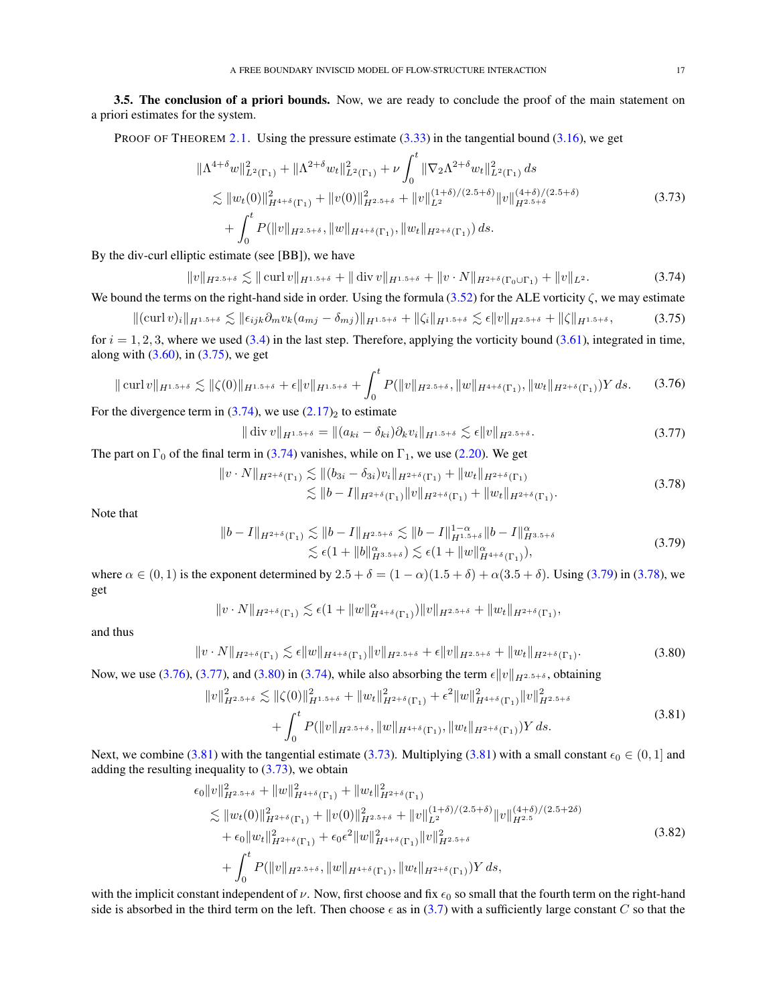<span id="page-16-0"></span>3.5. The conclusion of a priori bounds. Now, we are ready to conclude the proof of the main statement on a priori estimates for the system.

PROOF OF THEOREM [2.1.](#page-4-0) Using the pressure estimate  $(3.33)$  in the tangential bound  $(3.16)$ , we get

<span id="page-16-9"></span>
$$
\|\Lambda^{4+\delta}w\|_{L^{2}(\Gamma_{1})}^{2} + \|\Lambda^{2+\delta}w_{t}\|_{L^{2}(\Gamma_{1})}^{2} + \nu \int_{0}^{t} \|\nabla_{2}\Lambda^{2+\delta}w_{t}\|_{L^{2}(\Gamma_{1})}^{2} ds \n\lesssim \|w_{t}(0)\|_{H^{4+\delta}(\Gamma_{1})}^{2} + \|v(0)\|_{H^{2.5+\delta}}^{2} + \|v\|_{L^{2}}^{(1+\delta)/(2.5+\delta)} \|v\|_{H^{2.5+\delta}}^{(4+\delta)/(2.5+\delta)} \n+ \int_{0}^{t} P(\|v\|_{H^{2.5+\delta}}, \|w\|_{H^{4+\delta}(\Gamma_{1})}, \|w_{t}\|_{H^{2+\delta}(\Gamma_{1})}) ds.
$$
\n(3.73)

By the div-curl elliptic estimate (see [BB]), we have

<span id="page-16-2"></span>
$$
\|v\|_{H^{2.5+\delta}} \lesssim \| \operatorname{curl} v \|_{H^{1.5+\delta}} + \| \operatorname{div} v \|_{H^{1.5+\delta}} + \| v \cdot N \|_{H^{2+\delta}(\Gamma_0 \cup \Gamma_1)} + \| v \|_{L^2}.
$$
 (3.74)

We bound the terms on the right-hand side in order. Using the formula  $(3.52)$  for the ALE vorticity  $\zeta$ , we may estimate

$$
\|(\operatorname{curl} v)_i\|_{H^{1.5+\delta}} \lesssim \|\epsilon_{ijk}\partial_m v_k(a_{mj}-\delta_{mj})\|_{H^{1.5+\delta}} + \|\zeta_i\|_{H^{1.5+\delta}} \lesssim \epsilon \|v\|_{H^{2.5+\delta}} + \|\zeta\|_{H^{1.5+\delta}},\tag{3.75}
$$

for  $i = 1, 2, 3$ , where we used [\(3.4\)](#page-5-4) in the last step. Therefore, applying the vorticity bound [\(3.61\)](#page-14-4), integrated in time, along with  $(3.60)$ , in  $(3.75)$ , we get

$$
\|\operatorname{curl} v\|_{H^{1.5+\delta}} \lesssim \|\zeta(0)\|_{H^{1.5+\delta}} + \epsilon \|v\|_{H^{1.5+\delta}} + \int_0^t P(\|v\|_{H^{2.5+\delta}}, \|w\|_{H^{4+\delta}(\Gamma_1)}, \|w_t\|_{H^{2+\delta}(\Gamma_1)}) Y ds. \tag{3.76}
$$

For the divergence term in  $(3.74)$ , we use  $(2.17)_2$  $(2.17)_2$  to estimate

<span id="page-16-6"></span><span id="page-16-5"></span><span id="page-16-4"></span><span id="page-16-3"></span><span id="page-16-1"></span>
$$
\|\operatorname{div} v\|_{H^{1.5+\delta}} = \|(a_{ki} - \delta_{ki})\partial_k v_i\|_{H^{1.5+\delta}} \lesssim \epsilon \|v\|_{H^{2.5+\delta}}.
$$
\n(3.77)

The part on  $\Gamma_0$  of the final term in [\(3.74\)](#page-16-2) vanishes, while on  $\Gamma_1$ , we use [\(2.20\)](#page-3-6). We get

$$
\|v \cdot N\|_{H^{2+\delta}(\Gamma_1)} \lesssim \|(b_{3i} - \delta_{3i})v_i\|_{H^{2+\delta}(\Gamma_1)} + \|w_t\|_{H^{2+\delta}(\Gamma_1)}
$$
  

$$
\lesssim \|b - I\|_{H^{2+\delta}(\Gamma_1)} \|v\|_{H^{2+\delta}(\Gamma_1)} + \|w_t\|_{H^{2+\delta}(\Gamma_1)}.
$$
 (3.78)

Note that

$$
||b - I||_{H^{2+\delta}(\Gamma_1)} \lesssim ||b - I||_{H^{2.5+\delta}} \lesssim ||b - I||_{H^{1.5+\delta}}^{1-\alpha} ||b - I||_{H^{3.5+\delta}}^{\alpha}
$$
  

$$
\lesssim \epsilon (1 + ||b||_{H^{3.5+\delta}}^{\alpha}) \lesssim \epsilon (1 + ||w||_{H^{4+\delta}(\Gamma_1)}^{\alpha}),
$$
 (3.79)

where  $\alpha \in (0,1)$  is the exponent determined by  $2.5 + \delta = (1-\alpha)(1.5+\delta) + \alpha(3.5+\delta)$ . Using [\(3.79\)](#page-16-3) in [\(3.78\)](#page-16-4), we get

<span id="page-16-7"></span>
$$
||v \cdot N||_{H^{2+\delta}(\Gamma_1)} \lesssim \epsilon (1+||w||^{\alpha}_{H^{4+\delta}(\Gamma_1)})||v||_{H^{2.5+\delta}}+||w_t||_{H^{2+\delta}(\Gamma_1)},
$$

and thus

$$
||v \cdot N||_{H^{2+\delta}(\Gamma_1)} \lesssim \epsilon ||w||_{H^{4+\delta}(\Gamma_1)} ||v||_{H^{2.5+\delta}} + \epsilon ||v||_{H^{2.5+\delta}} + ||w_t||_{H^{2+\delta}(\Gamma_1)}.
$$
\n(3.80)

Now, we use [\(3.76\)](#page-16-5), [\(3.77\)](#page-16-6), and [\(3.80\)](#page-16-7) in [\(3.74\)](#page-16-2), while also absorbing the term  $\epsilon ||v||_{H^{2.5+\delta}}$ , obtaining

<span id="page-16-8"></span>
$$
||v||_{H^{2.5+\delta}}^{2} \lesssim ||\zeta(0)||_{H^{1.5+\delta}}^{2} + ||w_{t}||_{H^{2+\delta}(\Gamma_{1})}^{2} + \epsilon^{2} ||w||_{H^{4+\delta}(\Gamma_{1})}^{2} ||v||_{H^{2.5+\delta}}^{2}
$$
  
+ 
$$
\int_{0}^{t} P(||v||_{H^{2.5+\delta}}, ||w||_{H^{4+\delta}(\Gamma_{1})}, ||w_{t}||_{H^{2+\delta}(\Gamma_{1})})Y ds.
$$
 (3.81)

Next, we combine [\(3.81\)](#page-16-8) with the tangential estimate [\(3.73\)](#page-16-9). Multiplying [\(3.81\)](#page-16-8) with a small constant  $\epsilon_0 \in (0,1]$  and adding the resulting inequality to  $(3.73)$ , we obtain

<span id="page-16-10"></span>
$$
\epsilon_{0}||v||_{H^{2.5+\delta}}^{2} + ||w||_{H^{4+\delta}(\Gamma_{1})}^{2} + ||w_{t}||_{H^{2+\delta}(\Gamma_{1})}^{2}
$$
\n
$$
\lesssim ||w_{t}(0)||_{H^{2+\delta}(\Gamma_{1})}^{2} + ||v(0)||_{H^{2.5+\delta}}^{2} + ||v||_{L^{2}}^{(1+\delta)/(2.5+\delta)} ||v||_{H^{2.5}}^{(4+\delta)/(2.5+2\delta)}
$$
\n
$$
+ \epsilon_{0}||w_{t}||_{H^{2+\delta}(\Gamma_{1})}^{2} + \epsilon_{0}\epsilon^{2}||w||_{H^{4+\delta}(\Gamma_{1})}^{2}||v||_{H^{2.5+\delta}}^{2}
$$
\n
$$
+ \int_{0}^{t} P(||v||_{H^{2.5+\delta}}, ||w||_{H^{4+\delta}(\Gamma_{1})}, ||w_{t}||_{H^{2+\delta}(\Gamma_{1})})Y ds,
$$
\n(3.82)

with the implicit constant independent of  $\nu$ . Now, first choose and fix  $\epsilon_0$  so small that the fourth term on the right-hand side is absorbed in the third term on the left. Then choose  $\epsilon$  as in [\(3.7\)](#page-5-9) with a sufficiently large constant C so that the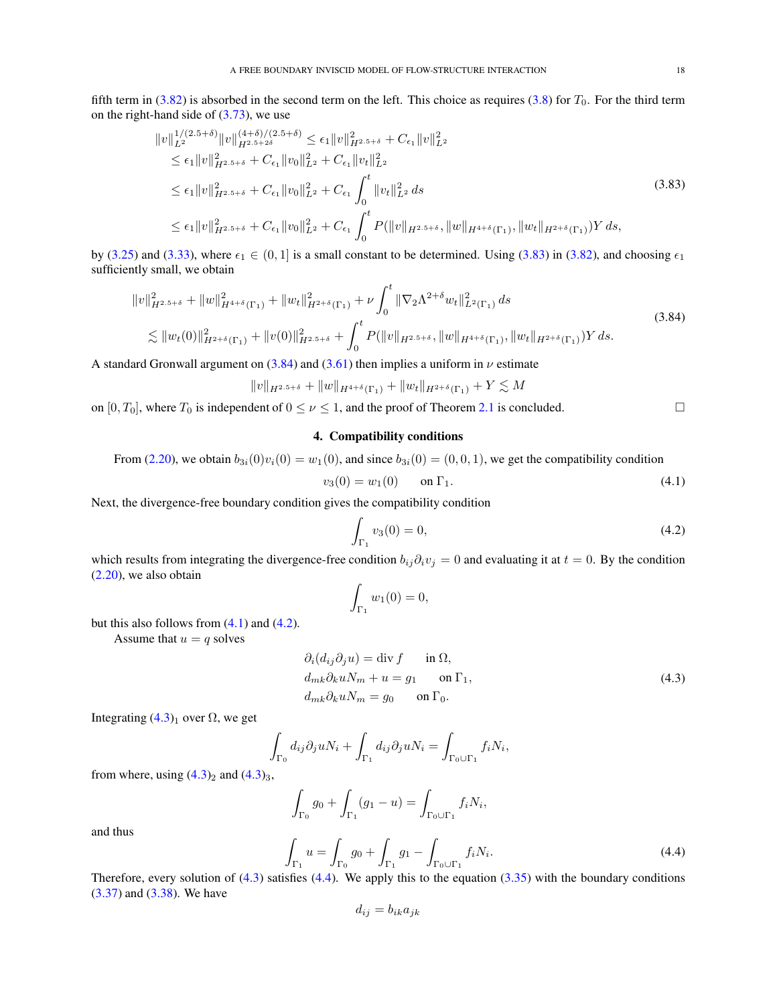fifth term in  $(3.82)$  is absorbed in the second term on the left. This choice as requires  $(3.8)$  for  $T_0$ . For the third term on the right-hand side of [\(3.73\)](#page-16-9), we use

$$
\|v\|_{L^{2}}^{1/(2.5+\delta)}\|v\|_{H^{2.5+2\delta}}^{(4+\delta)/(2.5+\delta)} \leq \epsilon_{1} \|v\|_{H^{2.5+\delta}}^{2} + C_{\epsilon_{1}} \|v\|_{L^{2}}^{2}
$$
  
\n
$$
\leq \epsilon_{1} \|v\|_{H^{2.5+\delta}}^{2} + C_{\epsilon_{1}} \|v_{0}\|_{L^{2}}^{2} + C_{\epsilon_{1}} \|v_{t}\|_{L^{2}}^{2}
$$
  
\n
$$
\leq \epsilon_{1} \|v\|_{H^{2.5+\delta}}^{2} + C_{\epsilon_{1}} \|v_{0}\|_{L^{2}}^{2} + C_{\epsilon_{1}} \int_{0}^{t} \|v_{t}\|_{L^{2}}^{2} ds
$$
  
\n
$$
\leq \epsilon_{1} \|v\|_{H^{2.5+\delta}}^{2} + C_{\epsilon_{1}} \|v_{0}\|_{L^{2}}^{2} + C_{\epsilon_{1}} \int_{0}^{t} P(\|v\|_{H^{2.5+\delta}}, \|w\|_{H^{4+\delta}(\Gamma_{1})}, \|w_{t}\|_{H^{2+\delta}(\Gamma_{1})}) Y ds,
$$
\n(3.83)

by [\(3.25\)](#page-7-6) and [\(3.33\)](#page-10-8), where  $\epsilon_1 \in (0, 1]$  is a small constant to be determined. Using [\(3.83\)](#page-17-1) in [\(3.82\)](#page-16-10), and choosing  $\epsilon_1$ sufficiently small, we obtain

$$
||v||_{H^{2.5+\delta}}^{2} + ||w||_{H^{4+\delta}(\Gamma_{1})}^{2} + ||w_{t}||_{H^{2+\delta}(\Gamma_{1})}^{2} + \nu \int_{0}^{t} ||\nabla_{2}\Lambda^{2+\delta}w_{t}||_{L^{2}(\Gamma_{1})}^{2} ds
$$
  
\$\lesssim ||w\_{t}(0)||\_{H^{2+\delta}(\Gamma\_{1})}^{2} + ||v(0)||\_{H^{2.5+\delta}}^{2} + \int\_{0}^{t} P(||v||\_{H^{2.5+\delta}}, ||w||\_{H^{4+\delta}(\Gamma\_{1})}, ||w\_{t}||\_{H^{2+\delta}(\Gamma\_{1})})Y ds. (3.84)

A standard Gronwall argument on [\(3.84\)](#page-17-2) and [\(3.61\)](#page-14-4) then implies a uniform in  $\nu$  estimate

$$
||v||_{H^{2.5+\delta}} + ||w||_{H^{4+\delta}(\Gamma_1)} + ||w_t||_{H^{2+\delta}(\Gamma_1)} + Y \lesssim M
$$

<span id="page-17-0"></span>on  $[0, T_0]$ , where  $T_0$  is independent of  $0 \le \nu \le 1$ , and the proof of Theorem [2.1](#page-4-0) is concluded.

# <span id="page-17-2"></span><span id="page-17-1"></span>4. Compatibility conditions

From (2.20), we obtain 
$$
b_{3i}(0)v_i(0) = w_1(0)
$$
, and since  $b_{3i}(0) = (0,0,1)$ , we get the compatibility condition

<span id="page-17-3"></span>
$$
v_3(0) = w_1(0) \qquad \text{on } \Gamma_1. \tag{4.1}
$$

Next, the divergence-free boundary condition gives the compatibility condition

<span id="page-17-4"></span>
$$
\int_{\Gamma_1} v_3(0) = 0,\tag{4.2}
$$

which results from integrating the divergence-free condition  $b_{ij}\partial_i v_j = 0$  and evaluating it at  $t = 0$ . By the condition [\(2.20\)](#page-3-6), we also obtain

<span id="page-17-5"></span>
$$
\int_{\Gamma_1} w_1(0) = 0,
$$

but this also follows from  $(4.1)$  and  $(4.2)$ .

Assume that  $u = q$  solves

$$
\partial_i(d_{ij}\partial_j u) = \text{div } f \qquad \text{in } \Omega,
$$
  
\n
$$
d_{mk}\partial_k u N_m + u = g_1 \qquad \text{on } \Gamma_1,
$$
  
\n
$$
d_{mk}\partial_k u N_m = g_0 \qquad \text{on } \Gamma_0.
$$
\n(4.3)

Integrating  $(4.3)<sub>1</sub>$  over  $\Omega$ , we get

$$
\int_{\Gamma_0} d_{ij} \partial_j u N_i + \int_{\Gamma_1} d_{ij} \partial_j u N_i = \int_{\Gamma_0 \cup \Gamma_1} f_i N_i,
$$

from where, using  $(4.3)_2$  $(4.3)_2$  and  $(4.3)_3$ ,

Z  $\int_{\Gamma_0} g_0 + \int$  $\int_{\Gamma_1} (g_1 - u) = \int_{\Gamma_0 \cup \Gamma_1} f_i N_i,$ 

and thus

<span id="page-17-6"></span>
$$
\int_{\Gamma_1} u = \int_{\Gamma_0} g_0 + \int_{\Gamma_1} g_1 - \int_{\Gamma_0 \cup \Gamma_1} f_i N_i.
$$
\n(4.4)

Therefore, every solution of  $(4.3)$  satisfies  $(4.4)$ . We apply this to the equation  $(3.35)$  with the boundary conditions [\(3.37\)](#page-10-6) and [\(3.38\)](#page-10-7). We have

$$
d_{ij} = b_{ik} a_{jk}
$$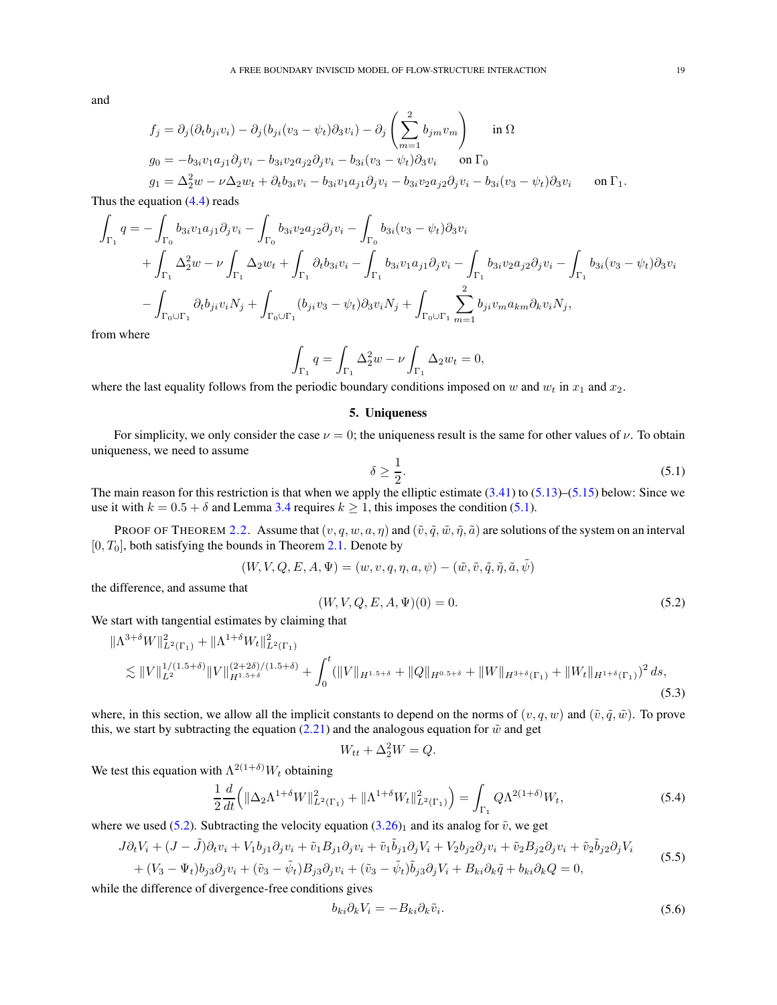and

$$
f_j = \partial_j(\partial_t b_{ji} v_i) - \partial_j(b_{ji}(v_3 - \psi_t)\partial_3 v_i) - \partial_j\left(\sum_{m=1}^2 b_{jm} v_m\right) \quad \text{in } \Omega
$$
  
\n
$$
g_0 = -b_{3i}v_1a_{j1}\partial_j v_i - b_{3i}v_2a_{j2}\partial_j v_i - b_{3i}(v_3 - \psi_t)\partial_3 v_i \quad \text{on } \Gamma_0
$$
  
\n
$$
g_1 = \Delta_2^2 w - \nu\Delta_2 w_t + \partial_t b_{3i} v_i - b_{3i}v_1a_{j1}\partial_j v_i - b_{3i}v_2a_{j2}\partial_j v_i - b_{3i}(v_3 - \psi_t)\partial_3 v_i \quad \text{on } \Gamma_1.
$$

Thus the equation  $(4.4)$  reads

$$
\int_{\Gamma_1} q = -\int_{\Gamma_0} b_{3i}v_1 a_{j1} \partial_j v_i - \int_{\Gamma_0} b_{3i}v_2 a_{j2} \partial_j v_i - \int_{\Gamma_0} b_{3i} (v_3 - \psi_t) \partial_3 v_i \n+ \int_{\Gamma_1} \Delta_2^2 w - \nu \int_{\Gamma_1} \Delta_2 w_t + \int_{\Gamma_1} \partial_t b_{3i} v_i - \int_{\Gamma_1} b_{3i}v_1 a_{j1} \partial_j v_i - \int_{\Gamma_1} b_{3i}v_2 a_{j2} \partial_j v_i - \int_{\Gamma_1} b_{3i} (v_3 - \psi_t) \partial_3 v_i \n- \int_{\Gamma_0 \cup \Gamma_1} \partial_t b_{j i} v_i N_j + \int_{\Gamma_0 \cup \Gamma_1} (b_{j i} v_3 - \psi_t) \partial_3 v_i N_j + \int_{\Gamma_0 \cup \Gamma_1} \sum_{m=1}^2 b_{j i} v_m a_{km} \partial_k v_i N_j,
$$

from where

$$
\int_{\Gamma_1} q = \int_{\Gamma_1} \Delta_2^2 w - \nu \int_{\Gamma_1} \Delta_2 w_t = 0,
$$

<span id="page-18-0"></span>where the last equality follows from the periodic boundary conditions imposed on w and  $w_t$  in  $x_1$  and  $x_2$ .

## 5. Uniqueness

For simplicity, we only consider the case  $\nu = 0$ ; the uniqueness result is the same for other values of  $\nu$ . To obtain uniqueness, we need to assume

<span id="page-18-1"></span>
$$
\delta \ge \frac{1}{2}.\tag{5.1}
$$

The main reason for this restriction is that when we apply the elliptic estimate  $(3.41)$  to  $(5.13)$ – $(5.15)$  below: Since we use it with  $k = 0.5 + \delta$  and Lemma [3.4](#page-11-1) requires  $k \ge 1$ , this imposes the condition [\(5.1\)](#page-18-1).

PROOF OF THEOREM [2.2.](#page-4-6) Assume that  $(v, q, w, a, \eta)$  and  $(\tilde{v}, \tilde{q}, \tilde{w}, \tilde{\eta}, \tilde{a})$  are solutions of the system on an interval  $[0, T_0]$ , both satisfying the bounds in Theorem [2.1.](#page-4-0) Denote by

$$
(W, V, Q, E, A, \Psi) = (w, v, q, \eta, a, \psi) - (\tilde{w}, \tilde{v}, \tilde{q}, \tilde{\eta}, \tilde{a}, \tilde{\psi})
$$

the difference, and assume that

<span id="page-18-2"></span>
$$
(W, V, Q, E, A, \Psi)(0) = 0.
$$
\n(5.2)

We start with tangential estimates by claiming that

$$
\|\Lambda^{3+\delta}W\|_{L^{2}(\Gamma_{1})}^{2} + \|\Lambda^{1+\delta}W_{t}\|_{L^{2}(\Gamma_{1})}^{2}
$$
  
\n
$$
\lesssim \|V\|_{L^{2}}^{1/(1.5+\delta)}\|V\|_{H^{1.5+\delta}}^{(2+2\delta)/(1.5+\delta)} + \int_{0}^{t} (\|V\|_{H^{1.5+\delta}} + \|Q\|_{H^{0.5+\delta}} + \|W\|_{H^{3+\delta}(\Gamma_{1})} + \|W_{t}\|_{H^{1+\delta}(\Gamma_{1})})^{2} ds,
$$
\n(5.3)

where, in this section, we allow all the implicit constants to depend on the norms of  $(v, q, w)$  and  $(\tilde{v}, \tilde{q}, \tilde{w})$ . To prove this, we start by subtracting the equation [\(2.21\)](#page-4-2) and the analogous equation for  $\tilde{w}$  and get

<span id="page-18-6"></span>
$$
W_{tt} + \Delta_2^2 W = Q.
$$

We test this equation with  $\Lambda^{2(1+\delta)}W_t$  obtaining

<span id="page-18-5"></span>
$$
\frac{1}{2}\frac{d}{dt}\left(\|\Delta_2\Lambda^{1+\delta}W\|_{L^2(\Gamma_1)}^2 + \|\Lambda^{1+\delta}W_t\|_{L^2(\Gamma_1)}^2\right) = \int_{\Gamma_1} Q\Lambda^{2(1+\delta)}W_t,
$$
\n(5.4)

where we used [\(5.2\)](#page-18-2). Subtracting the velocity equation [\(3.26\)](#page-7-5)<sub>1</sub> and its analog for  $\tilde{v}$ , we get

$$
J\partial_t V_i + (J - \tilde{J})\partial_t v_i + V_1 b_{j1} \partial_j v_i + \tilde{v}_1 B_{j1} \partial_j v_i + \tilde{v}_1 \tilde{b}_{j1} \partial_j V_i + V_2 b_{j2} \partial_j v_i + \tilde{v}_2 B_{j2} \partial_j v_i + \tilde{v}_2 \tilde{b}_{j2} \partial_j V_i
$$
  
+ 
$$
(V_3 - \Psi_t) b_{j3} \partial_j v_i + (\tilde{v}_3 - \tilde{\psi}_t) B_{j3} \partial_j v_i + (\tilde{v}_3 - \tilde{\psi}_t) \tilde{b}_{j3} \partial_j V_i + B_{ki} \partial_k \tilde{q} + b_{ki} \partial_k Q = 0,
$$
 (5.5)

while the difference of divergence-free conditions gives

<span id="page-18-4"></span><span id="page-18-3"></span>
$$
b_{ki}\partial_k V_i = -B_{ki}\partial_k \tilde{v}_i.
$$
\n
$$
(5.6)
$$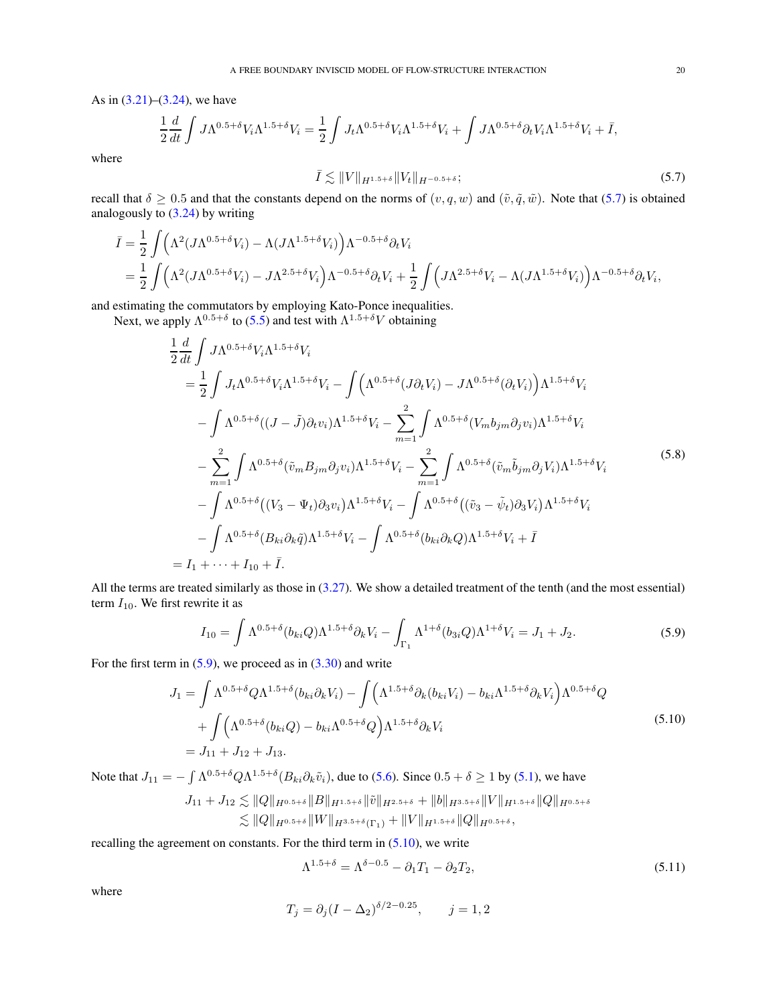As in [\(3.21\)](#page-7-2)–[\(3.24\)](#page-7-9), we have

$$
\frac{1}{2}\frac{d}{dt}\int J\Lambda^{0.5+\delta}V_i\Lambda^{1.5+\delta}V_i=\frac{1}{2}\int J_t\Lambda^{0.5+\delta}V_i\Lambda^{1.5+\delta}V_i+\int J\Lambda^{0.5+\delta}\partial_tV_i\Lambda^{1.5+\delta}V_i+\bar{I},
$$

where

<span id="page-19-4"></span><span id="page-19-0"></span>
$$
\bar{I} \lesssim \|V\|_{H^{1.5+\delta}} \|V_t\|_{H^{-0.5+\delta}}; \tag{5.7}
$$

recall that  $\delta \geq 0.5$  and that the constants depend on the norms of  $(v, q, w)$  and  $(\tilde{v}, \tilde{q}, \tilde{w})$ . Note that [\(5.7\)](#page-19-0) is obtained analogously to  $(3.24)$  by writing

$$
\bar{I} = \frac{1}{2} \int \left( \Lambda^2 (J \Lambda^{0.5 + \delta} V_i) - \Lambda (J \Lambda^{1.5 + \delta} V_i) \right) \Lambda^{-0.5 + \delta} \partial_t V_i
$$
  
=  $\frac{1}{2} \int \left( \Lambda^2 (J \Lambda^{0.5 + \delta} V_i) - J \Lambda^{2.5 + \delta} V_i \right) \Lambda^{-0.5 + \delta} \partial_t V_i + \frac{1}{2} \int \left( J \Lambda^{2.5 + \delta} V_i - \Lambda (J \Lambda^{1.5 + \delta} V_i) \right) \Lambda^{-0.5 + \delta} \partial_t V_i$ ,

and estimating the commutators by employing Kato-Ponce inequalities.

Next, we apply  $\Lambda^{0.5+\delta}$  to [\(5.5\)](#page-18-3) and test with  $\Lambda^{1.5+\delta}V$  obtaining

$$
\frac{1}{2} \frac{d}{dt} \int J\Lambda^{0.5+\delta} V_i \Lambda^{1.5+\delta} V_i
$$
\n
$$
= \frac{1}{2} \int J_t \Lambda^{0.5+\delta} V_i \Lambda^{1.5+\delta} V_i - \int \left( \Lambda^{0.5+\delta} (J\partial_t V_i) - J\Lambda^{0.5+\delta} (\partial_t V_i) \right) \Lambda^{1.5+\delta} V_i
$$
\n
$$
- \int \Lambda^{0.5+\delta} ((J-\tilde{J})\partial_t v_i) \Lambda^{1.5+\delta} V_i - \sum_{m=1}^2 \int \Lambda^{0.5+\delta} (V_m b_{jm} \partial_j v_i) \Lambda^{1.5+\delta} V_i
$$
\n
$$
- \sum_{m=1}^2 \int \Lambda^{0.5+\delta} (\tilde{v}_m B_{jm} \partial_j v_i) \Lambda^{1.5+\delta} V_i - \sum_{m=1}^2 \int \Lambda^{0.5+\delta} (\tilde{v}_m \tilde{b}_{jm} \partial_j V_i) \Lambda^{1.5+\delta} V_i
$$
\n
$$
- \int \Lambda^{0.5+\delta} ((V_3 - \Psi_t) \partial_3 v_i) \Lambda^{1.5+\delta} V_i - \int \Lambda^{0.5+\delta} ((\tilde{v}_3 - \tilde{\psi}_t) \partial_3 V_i) \Lambda^{1.5+\delta} V_i
$$
\n
$$
- \int \Lambda^{0.5+\delta} (B_{ki} \partial_k \tilde{q}) \Lambda^{1.5+\delta} V_i - \int \Lambda^{0.5+\delta} (b_{ki} \partial_k Q) \Lambda^{1.5+\delta} V_i + \bar{I}
$$
\n
$$
= I_1 + \dots + I_{10} + \bar{I}.
$$
\n(5.8)

All the terms are treated similarly as those in [\(3.27\)](#page-8-2). We show a detailed treatment of the tenth (and the most essential) term  $I_{10}$ . We first rewrite it as

$$
I_{10} = \int \Lambda^{0.5+\delta}(b_{ki}Q)\Lambda^{1.5+\delta}\partial_k V_i - \int_{\Gamma_1} \Lambda^{1+\delta}(b_{3i}Q)\Lambda^{1+\delta} V_i = J_1 + J_2.
$$
 (5.9)

For the first term in  $(5.9)$ , we proceed as in  $(3.30)$  and write

$$
J_{1} = \int \Lambda^{0.5+\delta} Q \Lambda^{1.5+\delta} (b_{ki} \partial_{k} V_{i}) - \int (\Lambda^{1.5+\delta} \partial_{k} (b_{ki} V_{i}) - b_{ki} \Lambda^{1.5+\delta} \partial_{k} V_{i}) \Lambda^{0.5+\delta} Q + \int (\Lambda^{0.5+\delta} (b_{ki} Q) - b_{ki} \Lambda^{0.5+\delta} Q) \Lambda^{1.5+\delta} \partial_{k} V_{i} = J_{11} + J_{12} + J_{13}.
$$
 (5.10)

Note that  $J_{11} = -\int \Lambda^{0.5+\delta} Q \Lambda^{1.5+\delta} (B_{ki} \partial_k \tilde{v}_i)$ , due to [\(5.6\)](#page-18-4). Since  $0.5+\delta \ge 1$  by [\(5.1\)](#page-18-1), we have

$$
J_{11} + J_{12} \lesssim \|Q\|_{H^{0.5+\delta}} \|B\|_{H^{1.5+\delta}} \|\tilde{v}\|_{H^{2.5+\delta}} + \|b\|_{H^{3.5+\delta}} \|V\|_{H^{1.5+\delta}} \|Q\|_{H^{0.5+\delta}}
$$
  

$$
\lesssim \|Q\|_{H^{0.5+\delta}} \|W\|_{H^{3.5+\delta}(\Gamma_1)} + \|V\|_{H^{1.5+\delta}} \|Q\|_{H^{0.5+\delta}},
$$

recalling the agreement on constants. For the third term in  $(5.10)$ , we write

<span id="page-19-3"></span><span id="page-19-2"></span><span id="page-19-1"></span>
$$
\Lambda^{1.5+\delta} = \Lambda^{\delta - 0.5} - \partial_1 T_1 - \partial_2 T_2,\tag{5.11}
$$

where

$$
T_j = \partial_j (I - \Delta_2)^{\delta/2 - 0.25}, \qquad j = 1, 2
$$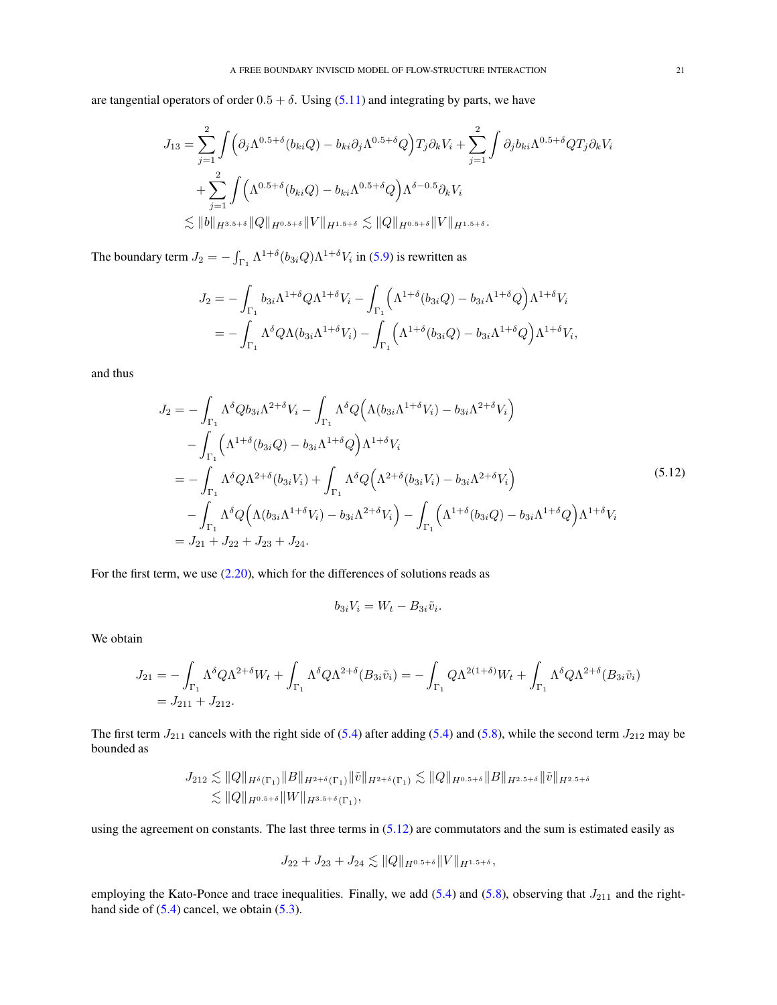are tangential operators of order  $0.5 + \delta$ . Using [\(5.11\)](#page-19-3) and integrating by parts, we have

$$
J_{13} = \sum_{j=1}^{2} \int \left( \partial_j \Lambda^{0.5+\delta}(b_{ki}Q) - b_{ki}\partial_j \Lambda^{0.5+\delta}Q \right) T_j \partial_k V_i + \sum_{j=1}^{2} \int \partial_j b_{ki} \Lambda^{0.5+\delta} Q T_j \partial_k V_i
$$
  
+ 
$$
\sum_{j=1}^{2} \int \left( \Lambda^{0.5+\delta}(b_{ki}Q) - b_{ki} \Lambda^{0.5+\delta}Q \right) \Lambda^{\delta-0.5} \partial_k V_i
$$
  

$$
\lesssim ||b||_{H^{3.5+\delta}} ||Q||_{H^{0.5+\delta}} ||V||_{H^{1.5+\delta}} \lesssim ||Q||_{H^{0.5+\delta}} ||V||_{H^{1.5+\delta}}.
$$

The boundary term  $J_2 = -\int_{\Gamma_1} \Lambda^{1+\delta}(b_{3i}Q)\Lambda^{1+\delta}V_i$  in [\(5.9\)](#page-19-1) is rewritten as

$$
J_2 = -\int_{\Gamma_1} b_{3i} \Lambda^{1+\delta} Q \Lambda^{1+\delta} V_i - \int_{\Gamma_1} \left( \Lambda^{1+\delta} (b_{3i} Q) - b_{3i} \Lambda^{1+\delta} Q \right) \Lambda^{1+\delta} V_i
$$
  
= 
$$
- \int_{\Gamma_1} \Lambda^{\delta} Q \Lambda (b_{3i} \Lambda^{1+\delta} V_i) - \int_{\Gamma_1} \left( \Lambda^{1+\delta} (b_{3i} Q) - b_{3i} \Lambda^{1+\delta} Q \right) \Lambda^{1+\delta} V_i,
$$

and thus

$$
J_{2} = -\int_{\Gamma_{1}} \Lambda^{\delta} Q b_{3i} \Lambda^{2+\delta} V_{i} - \int_{\Gamma_{1}} \Lambda^{\delta} Q \Big( \Lambda (b_{3i} \Lambda^{1+\delta} V_{i}) - b_{3i} \Lambda^{2+\delta} V_{i} \Big) - \int_{\Gamma_{1}} \Big( \Lambda^{1+\delta} (b_{3i} Q) - b_{3i} \Lambda^{1+\delta} Q \Big) \Lambda^{1+\delta} V_{i} = -\int_{\Gamma_{1}} \Lambda^{\delta} Q \Lambda^{2+\delta} (b_{3i} V_{i}) + \int_{\Gamma_{1}} \Lambda^{\delta} Q \Big( \Lambda^{2+\delta} (b_{3i} V_{i}) - b_{3i} \Lambda^{2+\delta} V_{i} \Big) - \int_{\Gamma_{1}} \Lambda^{\delta} Q \Big( \Lambda (b_{3i} \Lambda^{1+\delta} V_{i}) - b_{3i} \Lambda^{2+\delta} V_{i} \Big) - \int_{\Gamma_{1}} \Big( \Lambda^{1+\delta} (b_{3i} Q) - b_{3i} \Lambda^{1+\delta} Q \Big) \Lambda^{1+\delta} V_{i} = J_{21} + J_{22} + J_{23} + J_{24}.
$$
 (5.12)

For the first term, we use [\(2.20\)](#page-3-6), which for the differences of solutions reads as

<span id="page-20-0"></span>
$$
b_{3i}V_i = W_t - B_{3i}\tilde{v}_i.
$$

We obtain

$$
J_{21} = -\int_{\Gamma_1} \Lambda^{\delta} Q \Lambda^{2+\delta} W_t + \int_{\Gamma_1} \Lambda^{\delta} Q \Lambda^{2+\delta} (B_{3i} \tilde{v}_i) = -\int_{\Gamma_1} Q \Lambda^{2(1+\delta)} W_t + \int_{\Gamma_1} \Lambda^{\delta} Q \Lambda^{2+\delta} (B_{3i} \tilde{v}_i)
$$
  
=  $J_{211} + J_{212}$ .

The first term  $J_{211}$  cancels with the right side of [\(5.4\)](#page-18-5) after adding [\(5.4\)](#page-18-5) and [\(5.8\)](#page-19-4), while the second term  $J_{212}$  may be bounded as

$$
J_{212} \lesssim \|Q\|_{H^{\delta}(\Gamma_1)} \|B\|_{H^{2+\delta}(\Gamma_1)} \|\tilde{v}\|_{H^{2+\delta}(\Gamma_1)} \lesssim \|Q\|_{H^{0.5+\delta}} \|B\|_{H^{2.5+\delta}} \|\tilde{v}\|_{H^{2.5+\delta}}
$$
  

$$
\lesssim \|Q\|_{H^{0.5+\delta}} \|W\|_{H^{3.5+\delta}(\Gamma_1)},
$$

using the agreement on constants. The last three terms in  $(5.12)$  are commutators and the sum is estimated easily as

$$
J_{22}+J_{23}+J_{24}\lesssim \|Q\|_{H^{0.5+\delta}}\|V\|_{H^{1.5+\delta}},
$$

employing the Kato-Ponce and trace inequalities. Finally, we add  $(5.4)$  and  $(5.8)$ , observing that  $J_{211}$  and the righthand side of  $(5.4)$  cancel, we obtain  $(5.3)$ .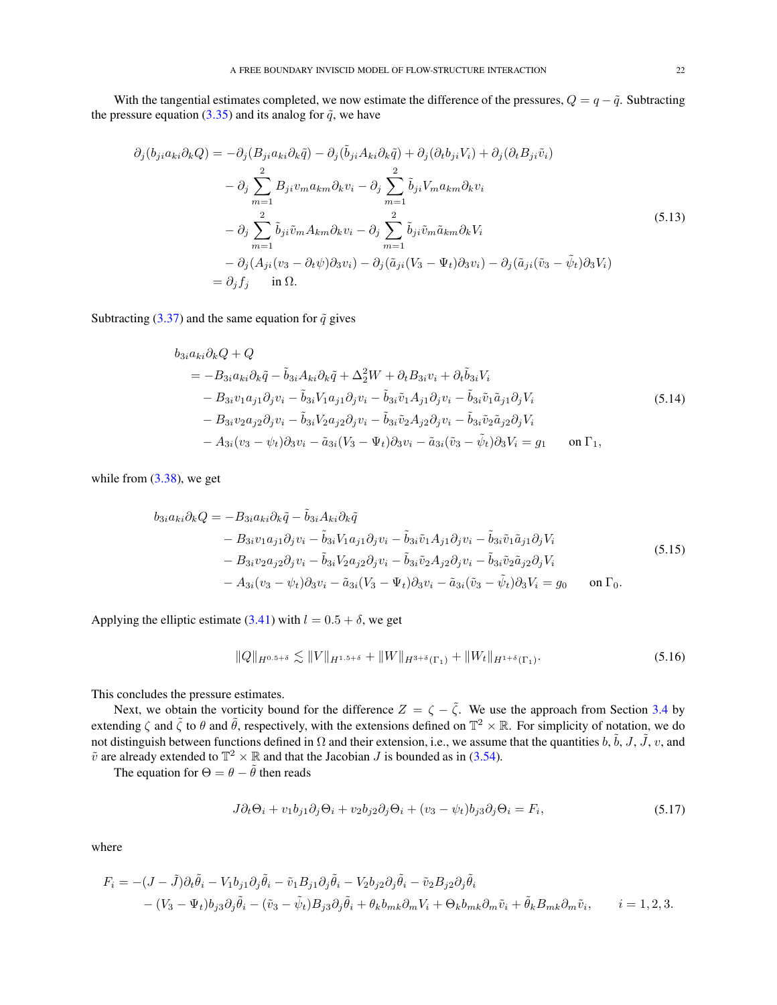With the tangential estimates completed, we now estimate the difference of the pressures,  $Q = q - \tilde{q}$ . Subtracting the pressure equation [\(3.35\)](#page-10-5) and its analog for  $\tilde{q}$ , we have

$$
\partial_j(b_{ji}a_{ki}\partial_k Q) = -\partial_j(B_{ji}a_{ki}\partial_k \tilde{q}) - \partial_j(\tilde{b}_{ji}A_{ki}\partial_k \tilde{q}) + \partial_j(\partial_t b_{ji}V_i) + \partial_j(\partial_t B_{ji}\tilde{v}_i)
$$
  

$$
- \partial_j \sum_{m=1}^2 B_{ji}v_m a_{km}\partial_k v_i - \partial_j \sum_{m=1}^2 \tilde{b}_{ji}V_m a_{km}\partial_k v_i
$$
  

$$
- \partial_j \sum_{m=1}^2 \tilde{b}_{ji}\tilde{v}_m A_{km}\partial_k v_i - \partial_j \sum_{m=1}^2 \tilde{b}_{ji}\tilde{v}_m \tilde{a}_{km}\partial_k V_i
$$
  

$$
- \partial_j(A_{ji}(v_3 - \partial_t \psi)\partial_3 v_i) - \partial_j(\tilde{a}_{ji}(V_3 - \Psi_t)\partial_3 v_i) - \partial_j(\tilde{a}_{ji}(\tilde{v}_3 - \tilde{\psi}_t)\partial_3 V_i)
$$
  

$$
= \partial_j f_j \quad \text{in } \Omega.
$$
 (5.13)

Subtracting [\(3.37\)](#page-10-6) and the same equation for  $\tilde{q}$  gives

<span id="page-21-4"></span><span id="page-21-0"></span>
$$
b_{3i}a_{ki}\partial_k Q + Q
$$
  
=  $-B_{3i}a_{ki}\partial_k \tilde{q} - \tilde{b}_{3i}A_{ki}\partial_k \tilde{q} + \Delta_2^2 W + \partial_t B_{3i}v_i + \partial_t \tilde{b}_{3i}V_i$   
 $- B_{3i}v_1a_{j1}\partial_j v_i - \tilde{b}_{3i}V_1a_{j1}\partial_j v_i - \tilde{b}_{3i}\tilde{v}_1A_{j1}\partial_j v_i - \tilde{b}_{3i}\tilde{v}_1\tilde{a}_{j1}\partial_j V_i$   
 $- B_{3i}v_2a_{j2}\partial_j v_i - \tilde{b}_{3i}V_2a_{j2}\partial_j v_i - \tilde{b}_{3i}\tilde{v}_2A_{j2}\partial_j v_i - \tilde{b}_{3i}\tilde{v}_2\tilde{a}_{j2}\partial_j V_i$   
 $- A_{3i}(v_3 - \psi_t)\partial_3 v_i - \tilde{a}_{3i}(V_3 - \Psi_t)\partial_3 v_i - \tilde{a}_{3i}(\tilde{v}_3 - \tilde{\psi}_t)\partial_3 V_i = g_1$  on  $\Gamma_1$ ,

while from  $(3.38)$ , we get

$$
b_{3i}a_{ki}\partial_k Q = -B_{3i}a_{ki}\partial_k \tilde{q} - \tilde{b}_{3i}A_{ki}\partial_k \tilde{q}
$$
  
\n
$$
-B_{3i}v_1a_{j1}\partial_j v_i - \tilde{b}_{3i}V_1a_{j1}\partial_j v_i - \tilde{b}_{3i}\tilde{v}_1A_{j1}\partial_j v_i - \tilde{b}_{3i}\tilde{v}_1\tilde{a}_{j1}\partial_j V_i
$$
  
\n
$$
-B_{3i}v_2a_{j2}\partial_j v_i - \tilde{b}_{3i}V_2a_{j2}\partial_j v_i - \tilde{b}_{3i}\tilde{v}_2A_{j2}\partial_j v_i - \tilde{b}_{3i}\tilde{v}_2\tilde{a}_{j2}\partial_j V_i
$$
  
\n
$$
-A_{3i}(v_3 - \psi_t)\partial_3 v_i - \tilde{a}_{3i}(V_3 - \Psi_t)\partial_3 v_i - \tilde{a}_{3i}(\tilde{v}_3 - \tilde{\psi}_t)\partial_3 V_i = g_0 \quad \text{on } \Gamma_0.
$$
\n(5.15)

Applying the elliptic estimate [\(3.41\)](#page-11-2) with  $l = 0.5 + \delta$ , we get

<span id="page-21-3"></span><span id="page-21-1"></span>
$$
||Q||_{H^{0.5+\delta}} \lesssim ||V||_{H^{1.5+\delta}} + ||W||_{H^{3+\delta}(\Gamma_1)} + ||W_t||_{H^{1+\delta}(\Gamma_1)}.
$$
\n(5.16)

This concludes the pressure estimates.

Next, we obtain the vorticity bound for the difference  $Z = \zeta - \tilde{\zeta}$ . We use the approach from Section [3.4](#page-13-0) by extending  $\zeta$  and  $\tilde{\zeta}$  to  $\theta$  and  $\tilde{\theta}$ , respectively, with the extensions defined on  $\mathbb{T}^2 \times \mathbb{R}$ . For simplicity of notation, we do not distinguish between functions defined in  $\Omega$  and their extension, i.e., we assume that the quantities  $b, \tilde{b}, J, \tilde{J}, v$ , and  $\tilde{v}$  are already extended to  $\mathbb{T}^2 \times \mathbb{R}$  and that the Jacobian J is bounded as in [\(3.54\)](#page-13-6).

The equation for  $\Theta = \theta - \tilde{\theta}$  then reads

<span id="page-21-2"></span>
$$
J\partial_t \Theta_i + v_1 b_{j1} \partial_j \Theta_i + v_2 b_{j2} \partial_j \Theta_i + (v_3 - \psi_t) b_{j3} \partial_j \Theta_i = F_i,
$$
\n(5.17)

where

$$
F_i = -(J - \tilde{J})\partial_t \tilde{\theta}_i - V_1 b_{j1} \partial_j \tilde{\theta}_i - \tilde{v}_1 B_{j1} \partial_j \tilde{\theta}_i - V_2 b_{j2} \partial_j \tilde{\theta}_i - \tilde{v}_2 B_{j2} \partial_j \tilde{\theta}_i
$$
  
 
$$
- (V_3 - \Psi_t) b_{j3} \partial_j \tilde{\theta}_i - (\tilde{v}_3 - \tilde{\psi}_t) B_{j3} \partial_j \tilde{\theta}_i + \theta_k b_{mk} \partial_m V_i + \Theta_k b_{mk} \partial_m \tilde{v}_i + \tilde{\theta}_k B_{mk} \partial_m \tilde{v}_i, \qquad i = 1, 2, 3.
$$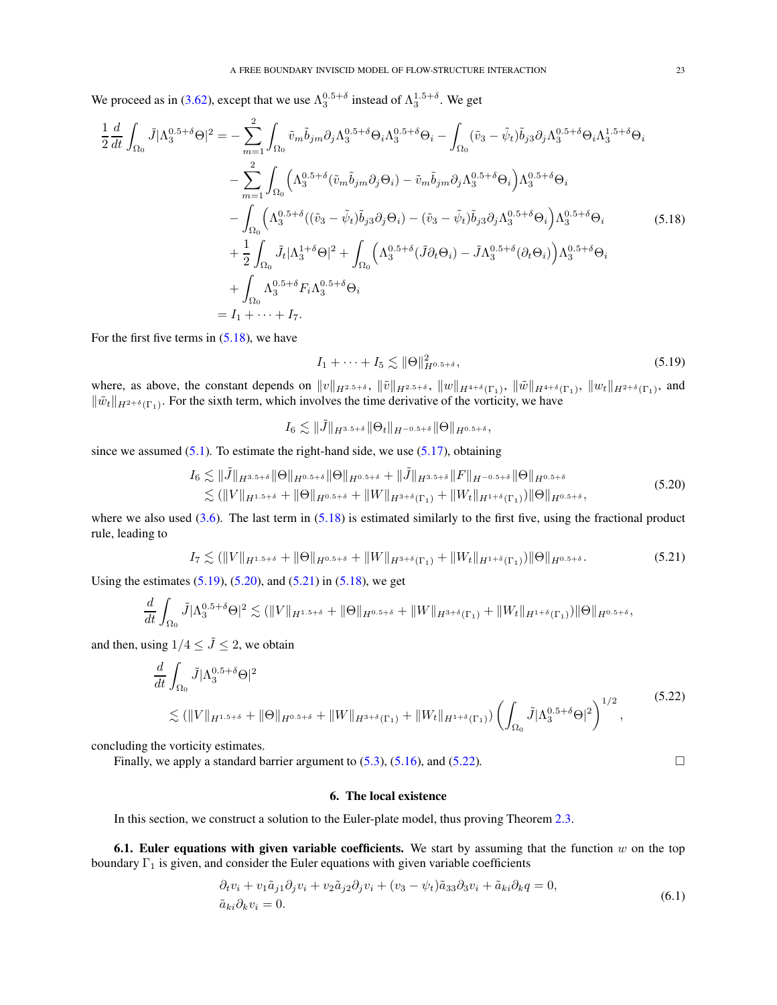We proceed as in [\(3.62\)](#page-14-2), except that we use  $\Lambda_3^{0.5+\delta}$  instead of  $\Lambda_3^{1.5+\delta}$ . We get

$$
\frac{1}{2}\frac{d}{dt}\int_{\Omega_{0}}\tilde{J}|\Lambda_{3}^{0.5+\delta}\Theta|^{2}=-\sum_{m=1}^{2}\int_{\Omega_{0}}\tilde{v}_{m}\tilde{b}_{jm}\partial_{j}\Lambda_{3}^{0.5+\delta}\Theta_{i}\Lambda_{3}^{0.5+\delta}\Theta_{i}-\int_{\Omega_{0}}(\tilde{v}_{3}-\tilde{\psi}_{t})\tilde{b}_{j3}\partial_{j}\Lambda_{3}^{0.5+\delta}\Theta_{i}\Lambda_{3}^{1.5+\delta}\Theta_{i}
$$
\n
$$
-\sum_{m=1}^{2}\int_{\Omega_{0}}\left(\Lambda_{3}^{0.5+\delta}(\tilde{v}_{m}\tilde{b}_{jm}\partial_{j}\Theta_{i})-\tilde{v}_{m}\tilde{b}_{jm}\partial_{j}\Lambda_{3}^{0.5+\delta}\Theta_{i}\right)\Lambda_{3}^{0.5+\delta}\Theta_{i}
$$
\n
$$
-\int_{\Omega_{0}}\left(\Lambda_{3}^{0.5+\delta}((\tilde{v}_{3}-\tilde{\psi}_{t})\tilde{b}_{j3}\partial_{j}\Theta_{i})-(\tilde{v}_{3}-\tilde{\psi}_{t})\tilde{b}_{j3}\partial_{j}\Lambda_{3}^{0.5+\delta}\Theta_{i}\right)\Lambda_{3}^{0.5+\delta}\Theta_{i}
$$
\n
$$
+\frac{1}{2}\int_{\Omega_{0}}\tilde{J}_{t}|\Lambda_{3}^{1+\delta}\Theta|^{2}+\int_{\Omega_{0}}\left(\Lambda_{3}^{0.5+\delta}(\tilde{J}\partial_{t}\Theta_{i})-\tilde{J}\Lambda_{3}^{0.5+\delta}(\partial_{t}\Theta_{i})\right)\Lambda_{3}^{0.5+\delta}\Theta_{i}
$$
\n
$$
+\int_{\Omega_{0}}\Lambda_{3}^{0.5+\delta}F_{i}\Lambda_{3}^{0.5+\delta}\Theta_{i}
$$
\n
$$
=I_{1}+\cdots+I_{7}.
$$
\n(5.18)

For the first five terms in  $(5.18)$ , we have

<span id="page-22-4"></span><span id="page-22-3"></span><span id="page-22-2"></span>
$$
I_1 + \dots + I_5 \lesssim \|\Theta\|_{H^{0.5+\delta}}^2,
$$
\n
$$
(5.19)
$$

where, as above, the constant depends on  $||v||_{H^{2.5+\delta}}$ ,  $||\tilde{v}||_{H^{2.5+\delta}}$ ,  $||w||_{H^{4+\delta}(\Gamma_1)}$ ,  $||\tilde{w}||_{H^{4+\delta}(\Gamma_1)}$ ,  $||w_t||_{H^{2+\delta}(\Gamma_1)}$ , and  $\|\tilde{w}_t\|_{H^{2+\delta}(\Gamma_1)}$ . For the sixth term, which involves the time derivative of the vorticity, we have

 $I_6 \leqslant \| \tilde{J} \|_{H^{3.5+\delta}} \| \Theta_t \|_{H^{-0.5+\delta}} \| \Theta \|_{H^{0.5+\delta}} ,$ 

since we assumed  $(5.1)$ . To estimate the right-hand side, we use  $(5.17)$ , obtaining

$$
I_6 \lesssim \|\tilde{J}\|_{H^{3.5+\delta}} \|\Theta\|_{H^{0.5+\delta}} \|\Theta\|_{H^{0.5+\delta}} + \|\tilde{J}\|_{H^{3.5+\delta}} \|F\|_{H^{-0.5+\delta}} \|\Theta\|_{H^{0.5+\delta}} \lesssim (\|V\|_{H^{1.5+\delta}} + \|\Theta\|_{H^{0.5+\delta}} + \|W\|_{H^{3+\delta}(\Gamma_1)} + \|W_t\|_{H^{1+\delta}(\Gamma_1)}) \|\Theta\|_{H^{0.5+\delta}},
$$
\n(5.20)

where we also used  $(3.6)$ . The last term in  $(5.18)$  is estimated similarly to the first five, using the fractional product rule, leading to

<span id="page-22-5"></span>
$$
I_7 \lesssim (\|V\|_{H^{1.5+\delta}} + \|\Theta\|_{H^{0.5+\delta}} + \|W\|_{H^{3+\delta}(\Gamma_1)} + \|W_t\|_{H^{1+\delta}(\Gamma_1)})\|\Theta\|_{H^{0.5+\delta}}.
$$
\n(5.21)

Using the estimates  $(5.19)$ ,  $(5.20)$ , and  $(5.21)$  in  $(5.18)$ , we get

$$
\frac{d}{dt} \int_{\Omega_0} \tilde{J} |\Lambda_3^{0.5+\delta} \Theta|^2 \lesssim (\|V\|_{H^{1.5+\delta}} + \|\Theta\|_{H^{0.5+\delta}} + \|W\|_{H^{3+\delta}(\Gamma_1)} + \|W_t\|_{H^{1+\delta}(\Gamma_1)}) \|\Theta\|_{H^{0.5+\delta}},
$$

and then, using  $1/4 \leq \tilde{J} \leq 2$ , we obtain

$$
\frac{d}{dt} \int_{\Omega_0} \tilde{J} |\Lambda_3^{0.5+\delta} \Theta|^2
$$
\n
$$
\lesssim (\|V\|_{H^{1.5+\delta}} + \|\Theta\|_{H^{0.5+\delta}} + \|W\|_{H^{3+\delta}(\Gamma_1)} + \|W_t\|_{H^{1+\delta}(\Gamma_1)}) \left(\int_{\Omega_0} \tilde{J} |\Lambda_3^{0.5+\delta} \Theta|^2\right)^{1/2},
$$
\n(5.22)

concluding the vorticity estimates.

<span id="page-22-0"></span>Finally, we apply a standard barrier argument to  $(5.3)$ ,  $(5.16)$ , and  $(5.22)$ .

### <span id="page-22-7"></span><span id="page-22-6"></span>6. The local existence

In this section, we construct a solution to the Euler-plate model, thus proving Theorem [2.3.](#page-4-1)

<span id="page-22-1"></span>6.1. Euler equations with given variable coefficients. We start by assuming that the function  $w$  on the top boundary  $\Gamma_1$  is given, and consider the Euler equations with given variable coefficients

$$
\partial_t v_i + v_1 \tilde{a}_{j1} \partial_j v_i + v_2 \tilde{a}_{j2} \partial_j v_i + (v_3 - \psi_t) \tilde{a}_{33} \partial_3 v_i + \tilde{a}_{ki} \partial_k q = 0, \tilde{a}_{ki} \partial_k v_i = 0.
$$
\n(6.1)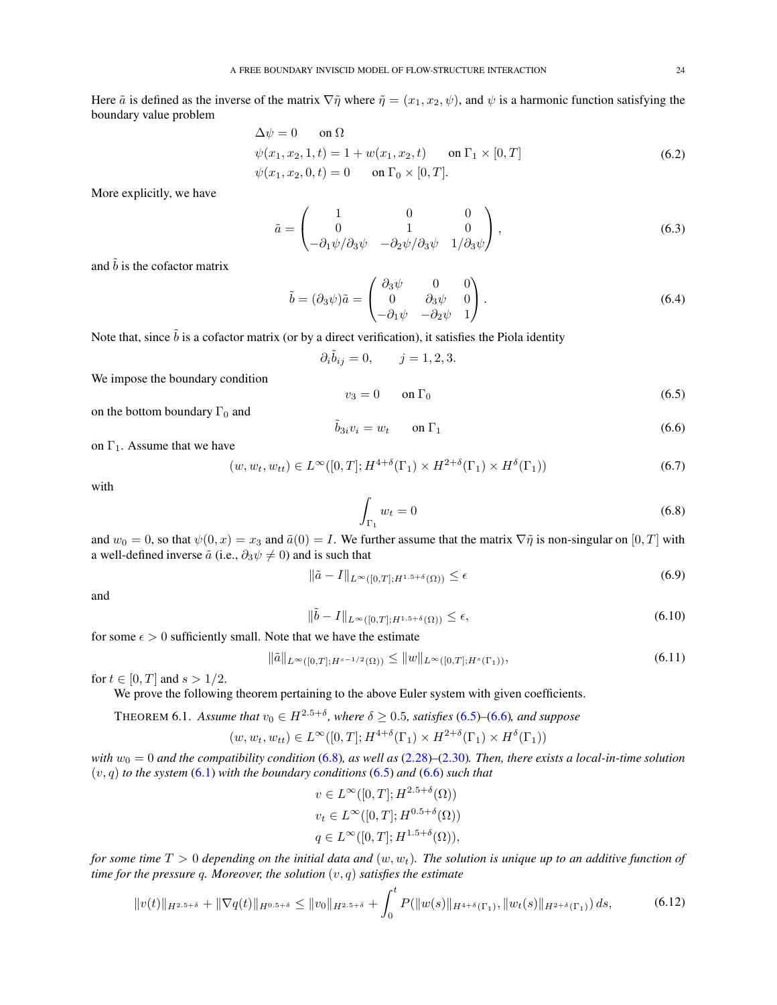Here  $\tilde{a}$  is defined as the inverse of the matrix  $\nabla \tilde{\eta}$  where  $\tilde{\eta} = (x_1, x_2, \psi)$ , and  $\psi$  is a harmonic function satisfying the boundary value problem

$$
\Delta \psi = 0 \quad \text{on } \Omega \n\psi(x_1, x_2, 1, t) = 1 + w(x_1, x_2, t) \quad \text{on } \Gamma_1 \times [0, T] \n\psi(x_1, x_2, 0, t) = 0 \quad \text{on } \Gamma_0 \times [0, T].
$$
\n(6.2)

More explicitly, we have

<span id="page-23-4"></span>
$$
\tilde{a} = \begin{pmatrix} 1 & 0 & 0 \\ 0 & 1 & 0 \\ -\partial_1 \psi / \partial_3 \psi & -\partial_2 \psi / \partial_3 \psi & 1 / \partial_3 \psi \end{pmatrix},
$$
(6.3)

and  $\tilde{b}$  is the cofactor matrix

$$
\tilde{b} = (\partial_3 \psi) \tilde{a} = \begin{pmatrix} \partial_3 \psi & 0 & 0 \\ 0 & \partial_3 \psi & 0 \\ -\partial_1 \psi & -\partial_2 \psi & 1 \end{pmatrix} . \tag{6.4}
$$

Note that, since  $\tilde{b}$  is a cofactor matrix (or by a direct verification), it satisfies the Piola identity

$$
\partial_i \tilde{b}_{ij} = 0, \qquad j = 1, 2, 3.
$$

We impose the boundary condition

<span id="page-23-8"></span><span id="page-23-5"></span><span id="page-23-1"></span>
$$
v_3 = 0 \qquad \text{on } \Gamma_0 \tag{6.5}
$$

<span id="page-23-0"></span>
$$
\tilde{b}_{3i}v_i = w_t \qquad \text{on } \Gamma_1 \tag{6.6}
$$

on  $\Gamma_1$ . Assume that we have

on the bottom boundary  $\Gamma_0$  and

<span id="page-23-7"></span>
$$
(w, w_t, w_{tt}) \in L^{\infty}([0, T]; H^{4+\delta}(\Gamma_1) \times H^{2+\delta}(\Gamma_1) \times H^{\delta}(\Gamma_1))
$$
\n
$$
(6.7)
$$

with

<span id="page-23-10"></span><span id="page-23-9"></span><span id="page-23-6"></span><span id="page-23-2"></span>
$$
\int_{\Gamma_1} w_t = 0 \tag{6.8}
$$

and  $w_0 = 0$ , so that  $\psi(0, x) = x_3$  and  $\tilde{a}(0) = I$ . We further assume that the matrix  $\nabla \tilde{\eta}$  is non-singular on  $[0, T]$  with a well-defined inverse  $\tilde{a}$  (i.e.,  $\partial_3 \psi \neq 0$ ) and is such that

$$
\|\tilde{a} - I\|_{L^{\infty}([0,T];H^{1.5+\delta}(\Omega))} \le \epsilon
$$
\n(6.9)

and

$$
\|\tilde{b} - I\|_{L^{\infty}([0,T];H^{1.5+\delta}(\Omega))} \le \epsilon,
$$
\n(6.10)

for some  $\epsilon > 0$  sufficiently small. Note that we have the estimate

$$
\|\tilde{a}\|_{L^{\infty}([0,T];H^{s-1/2}(\Omega))} \le \|w\|_{L^{\infty}([0,T];H^s(\Gamma_1))},\tag{6.11}
$$

for  $t \in [0, T]$  and  $s > 1/2$ .

We prove the following theorem pertaining to the above Euler system with given coefficients.

<span id="page-23-3"></span>THEOREM 6.1. *Assume that*  $v_0 \in H^{2.5+\delta}$ , where  $\delta \ge 0.5$ , satisfies [\(6.5\)](#page-23-1)–[\(6.6\)](#page-23-0), and suppose

$$
(w, w_t, w_{tt}) \in L^{\infty}([0, T]; H^{4+\delta}(\Gamma_1) \times H^{2+\delta}(\Gamma_1) \times H^{\delta}(\Gamma_1))
$$

*with*  $w_0 = 0$  *and the compatibility condition* [\(6.8\)](#page-23-2)*, as well as* [\(2.28\)](#page-4-7)–[\(2.30\)](#page-4-8)*. Then, there exists a local-in-time solution*  $(v, q)$  *to the system*  $(6.1)$  *with the boundary conditions*  $(6.5)$  *and*  $(6.6)$  *such that* 

<span id="page-23-11"></span>
$$
v \in L^{\infty}([0, T]; H^{2.5+\delta}(\Omega))
$$
  
\n
$$
v_t \in L^{\infty}([0, T]; H^{0.5+\delta}(\Omega))
$$
  
\n
$$
q \in L^{\infty}([0, T]; H^{1.5+\delta}(\Omega)),
$$

*for some time*  $T > 0$  *depending on the initial data and*  $(w, w_t)$ *. The solution is unique up to an additive function of time for the pressure* q*. Moreover, the solution* (v, q) *satisfies the estimate*

$$
||v(t)||_{H^{2.5+\delta}} + ||\nabla q(t)||_{H^{0.5+\delta}} \le ||v_0||_{H^{2.5+\delta}} + \int_0^t P(||w(s)||_{H^{4+\delta}(\Gamma_1)}, ||w_t(s)||_{H^{2+\delta}(\Gamma_1)}) ds,
$$
(6.12)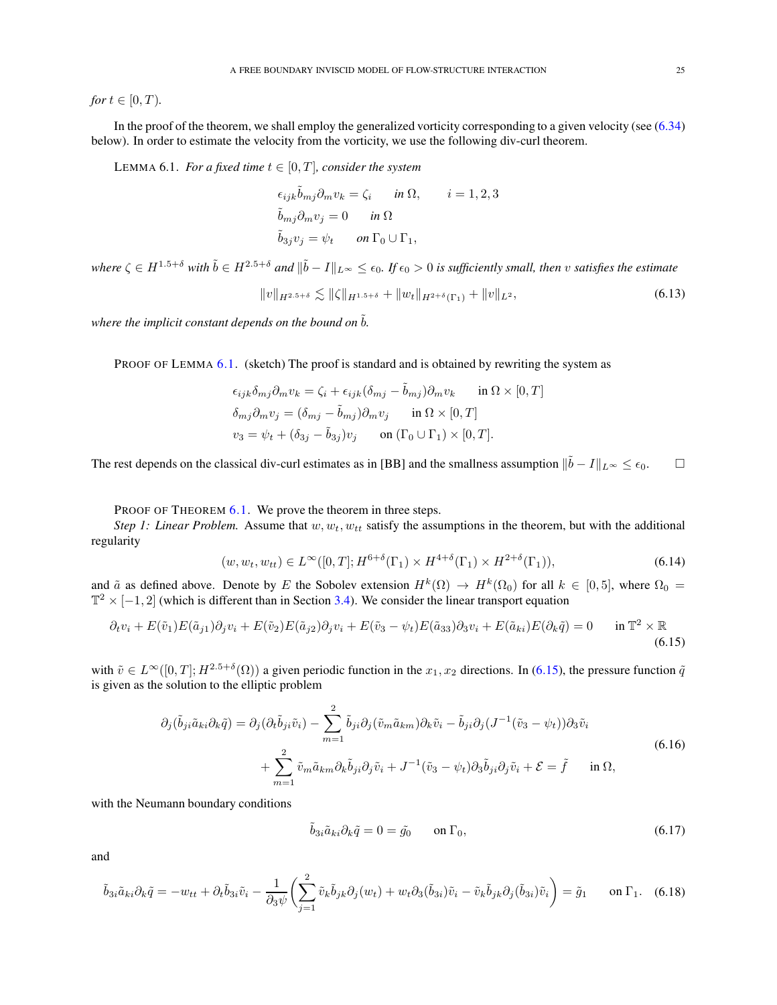*for*  $t \in [0, T)$ *.* 

In the proof of the theorem, we shall employ the generalized vorticity corresponding to a given velocity (see [\(6.34\)](#page-27-0) below). In order to estimate the velocity from the vorticity, we use the following div-curl theorem.

<span id="page-24-1"></span>LEMMA 6.1. *For a fixed time*  $t \in [0, T]$ *, consider the system* 

$$
\epsilon_{ijk}\tilde{b}_{mj}\partial_m v_k = \zeta_i \quad in \ \Omega, \qquad i = 1, 2, 3
$$
  

$$
\tilde{b}_{mj}\partial_m v_j = 0 \quad in \ \Omega
$$
  

$$
\tilde{b}_{3j}v_j = \psi_t \quad on \ \Gamma_0 \cup \Gamma_1,
$$

where  $\zeta \in H^{1.5+\delta}$  with  $\tilde{b} \in H^{2.5+\delta}$  and  $\|\tilde{b} - I\|_{L^\infty} \leq \epsilon_0$ . If  $\epsilon_0 > 0$  is sufficiently small, then v satisfies the estimate

<span id="page-24-5"></span>
$$
||v||_{H^{2.5+\delta}} \lesssim ||\zeta||_{H^{1.5+\delta}} + ||w_t||_{H^{2+\delta}(\Gamma_1)} + ||v||_{L^2},
$$
\n(6.13)

*where the implicit constant depends on the bound on*  $\tilde{b}$ *.* 

PROOF OF LEMMA [6.1.](#page-24-1) (sketch) The proof is standard and is obtained by rewriting the system as

$$
\epsilon_{ijk}\delta_{mj}\partial_m v_k = \zeta_i + \epsilon_{ijk}(\delta_{mj} - \tilde{b}_{mj})\partial_m v_k \quad \text{in } \Omega \times [0, T]
$$
  

$$
\delta_{mj}\partial_m v_j = (\delta_{mj} - \tilde{b}_{mj})\partial_m v_j \quad \text{in } \Omega \times [0, T]
$$
  

$$
v_3 = \psi_t + (\delta_{3j} - \tilde{b}_{3j})v_j \quad \text{on } (\Gamma_0 \cup \Gamma_1) \times [0, T].
$$

The rest depends on the classical div-curl estimates as in [BB] and the smallness assumption  $\|\tilde{b} - I\|_{L^{\infty}} \le \epsilon_0$ .

PROOF OF THEOREM [6.1.](#page-23-3) We prove the theorem in three steps.

*Step 1: Linear Problem.* Assume that  $w, w_t, w_t$  satisfy the assumptions in the theorem, but with the additional regularity

<span id="page-24-4"></span>
$$
(w, w_t, w_{tt}) \in L^{\infty}([0, T]; H^{6+\delta}(\Gamma_1) \times H^{4+\delta}(\Gamma_1) \times H^{2+\delta}(\Gamma_1)),
$$
\n(6.14)

and  $\tilde{a}$  as defined above. Denote by E the Sobolev extension  $H^k(\Omega) \to H^k(\Omega_0)$  for all  $k \in [0,5]$ , where  $\Omega_0 =$  $\mathbb{T}^2 \times [-1,2]$  (which is different than in Section [3.4\)](#page-13-0). We consider the linear transport equation

$$
\partial_t v_i + E(\tilde{v}_1)E(\tilde{a}_{j1})\partial_j v_i + E(\tilde{v}_2)E(\tilde{a}_{j2})\partial_j v_i + E(\tilde{v}_3 - \psi_t)E(\tilde{a}_{33})\partial_3 v_i + E(\tilde{a}_{ki})E(\partial_k \tilde{q}) = 0 \quad \text{in } \mathbb{T}^2 \times \mathbb{R}
$$
\n(6.15)

with  $\tilde{v} \in L^{\infty}([0,T]; H^{2.5+\delta}(\Omega))$  a given periodic function in the  $x_1, x_2$  directions. In [\(6.15\)](#page-24-2), the pressure function  $\tilde{q}$ is given as the solution to the elliptic problem

$$
\partial_j(\tilde{b}_{ji}\tilde{a}_{ki}\partial_k\tilde{q}) = \partial_j(\partial_t\tilde{b}_{ji}\tilde{v}_i) - \sum_{m=1}^2 \tilde{b}_{ji}\partial_j(\tilde{v}_m\tilde{a}_{km})\partial_k\tilde{v}_i - \tilde{b}_{ji}\partial_j(J^{-1}(\tilde{v}_3 - \psi_t))\partial_3\tilde{v}_i + \sum_{m=1}^2 \tilde{v}_m\tilde{a}_{km}\partial_k\tilde{b}_{ji}\partial_j\tilde{v}_i + J^{-1}(\tilde{v}_3 - \psi_t)\partial_3\tilde{b}_{ji}\partial_j\tilde{v}_i + \mathcal{E} = \tilde{f} \quad \text{in } \Omega,
$$
\n(6.16)

with the Neumann boundary conditions

<span id="page-24-6"></span><span id="page-24-3"></span><span id="page-24-2"></span><span id="page-24-0"></span>
$$
\tilde{b}_{3i}\tilde{a}_{ki}\partial_k \tilde{q} = 0 = \tilde{g}_0 \qquad \text{on } \Gamma_0,\tag{6.17}
$$

and

$$
\tilde{b}_{3i}\tilde{a}_{ki}\partial_k \tilde{q} = -w_{tt} + \partial_t \tilde{b}_{3i}\tilde{v}_i - \frac{1}{\partial_3 \psi} \left( \sum_{j=1}^2 \tilde{v}_k \tilde{b}_{jk}\partial_j(w_t) + w_t \partial_3(\tilde{b}_{3i})\tilde{v}_i - \tilde{v}_k \tilde{b}_{jk}\partial_j(\tilde{b}_{3i})\tilde{v}_i \right) = \tilde{g}_1 \qquad \text{on } \Gamma_1. \tag{6.18}
$$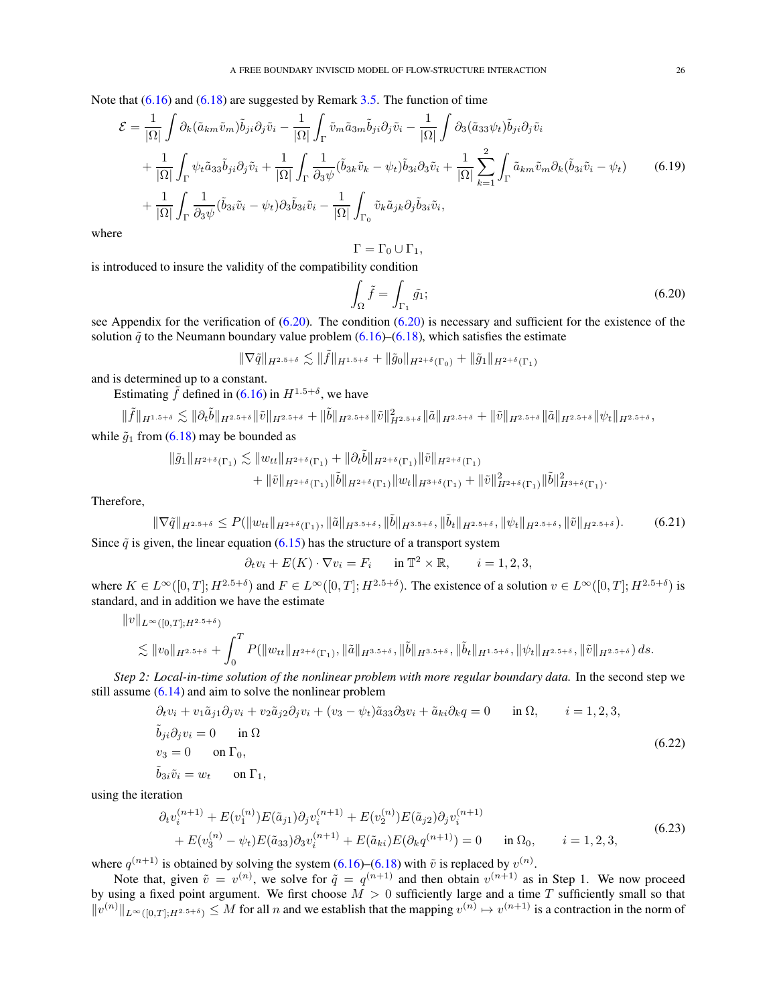Note that  $(6.16)$  and  $(6.18)$  are suggested by Remark [3.5.](#page-11-0) The function of time

$$
\mathcal{E} = \frac{1}{|\Omega|} \int \partial_k (\tilde{a}_{km}\tilde{v}_m) \tilde{b}_{ji} \partial_j \tilde{v}_i - \frac{1}{|\Omega|} \int_{\Gamma} \tilde{v}_m \tilde{a}_{3m} \tilde{b}_{ji} \partial_j \tilde{v}_i - \frac{1}{|\Omega|} \int \partial_3 (\tilde{a}_{33} \psi_t) \tilde{b}_{ji} \partial_j \tilde{v}_i + \frac{1}{|\Omega|} \int_{\Gamma} \psi_t \tilde{a}_{33} \tilde{b}_{ji} \partial_j \tilde{v}_i + \frac{1}{|\Omega|} \int_{\Gamma} \frac{1}{\partial_3 \psi} (\tilde{b}_{3k} \tilde{v}_k - \psi_t) \tilde{b}_{3i} \partial_3 \tilde{v}_i + \frac{1}{|\Omega|} \sum_{k=1}^2 \int_{\Gamma} \tilde{a}_{km} \tilde{v}_m \partial_k (\tilde{b}_{3i} \tilde{v}_i - \psi_t) + \frac{1}{|\Omega|} \int_{\Gamma} \frac{1}{\partial_3 \psi} (\tilde{b}_{3i} \tilde{v}_i - \psi_t) \partial_3 \tilde{b}_{3i} \tilde{v}_i - \frac{1}{|\Omega|} \int_{\Gamma_0} \tilde{v}_k \tilde{a}_{jk} \partial_j \tilde{b}_{3i} \tilde{v}_i,
$$
\n(6.19)

where

<span id="page-25-4"></span>
$$
\Gamma = \Gamma_0 \cup \Gamma_1,
$$

is introduced to insure the validity of the compatibility condition

<span id="page-25-1"></span><span id="page-25-0"></span>
$$
\int_{\Omega} \tilde{f} = \int_{\Gamma_1} \tilde{g}_1; \tag{6.20}
$$

see Appendix for the verification of  $(6.20)$ . The condition  $(6.20)$  is necessary and sufficient for the existence of the solution  $\tilde{q}$  to the Neumann boundary value problem [\(6.16\)](#page-24-3)–[\(6.18\)](#page-24-0), which satisfies the estimate

$$
\|\nabla \tilde{q}\|_{H^{2.5+\delta}} \lesssim \|\tilde{f}\|_{H^{1.5+\delta}} + \|\tilde{g}_0\|_{H^{2+\delta}(\Gamma_0)} + \|\tilde{g}_1\|_{H^{2+\delta}(\Gamma_1)}
$$

and is determined up to a constant.

Estimating  $\tilde{f}$  defined in [\(6.16\)](#page-24-3) in  $H^{1.5+\delta}$ , we have

$$
\|\tilde{f}\|_{H^{1.5+\delta}} \lesssim \|\partial_t \tilde{b}\|_{H^{2.5+\delta}} \|\tilde{v}\|_{H^{2.5+\delta}} + \|\tilde{b}\|_{H^{2.5+\delta}} \|\tilde{v}\|_{H^{2.5+\delta}}^2 \|\tilde{a}\|_{H^{2.5+\delta}} + \|\tilde{v}\|_{H^{2.5+\delta}} \|\tilde{a}\|_{H^{2.5+\delta}} \|\tilde{v}\|_{H^{2.5+\delta}} ,
$$

while  $\tilde{g}_1$  from [\(6.18\)](#page-24-0) may be bounded as

$$
\begin{aligned} \|\tilde g_1\|_{H^{2+\delta}(\Gamma_1)}\lesssim \|w_{tt}\|_{H^{2+\delta}(\Gamma_1)}+\|\partial_t\tilde b\|_{H^{2+\delta}(\Gamma_1)}\|\tilde v\|_{H^{2+\delta}(\Gamma_1)}\\ &\qquad+\|\tilde v\|_{H^{2+\delta}(\Gamma_1)}\|\tilde b\|_{H^{2+\delta}(\Gamma_1)}\|w_t\|_{H^{3+\delta}(\Gamma_1)}+\|\tilde v\|_{H^{2+\delta}(\Gamma_1)}^2\|\tilde b\|_{H^{3+\delta}(\Gamma_1)}^2. \end{aligned}
$$

Therefore,

$$
\|\nabla \tilde{q}\|_{H^{2.5+\delta}} \le P(\|w_{tt}\|_{H^{2+\delta}(\Gamma_1)}, \|\tilde{a}\|_{H^{3.5+\delta}}, \|\tilde{b}\|_{H^{3.5+\delta}}, \|\tilde{b}_t\|_{H^{2.5+\delta}}, \|\psi_t\|_{H^{2.5+\delta}}, \|\tilde{v}\|_{H^{2.5+\delta}}). \tag{6.21}
$$

Since  $\tilde{q}$  is given, the linear equation [\(6.15\)](#page-24-2) has the structure of a transport system

<span id="page-25-3"></span><span id="page-25-2"></span>
$$
\partial_t v_i + E(K) \cdot \nabla v_i = F_i \quad \text{in } \mathbb{T}^2 \times \mathbb{R}, \quad i = 1, 2, 3,
$$

where  $K \in L^{\infty}([0,T]; H^{2.5+\delta})$  and  $F \in L^{\infty}([0,T]; H^{2.5+\delta})$ . The existence of a solution  $v \in L^{\infty}([0,T]; H^{2.5+\delta})$  is standard, and in addition we have the estimate

$$
\begin{aligned}\n\|v\|_{L^{\infty}([0,T];H^{2.5+\delta})} \\
&\lesssim \|v_0\|_{H^{2.5+\delta}} + \int_0^T P(\|w_{tt}\|_{H^{2+\delta}(\Gamma_1)}, \|\tilde{a}\|_{H^{3.5+\delta}}, \|\tilde{b}\|_{H^{3.5+\delta}}, \|\tilde{b}_t\|_{H^{1.5+\delta}}, \|\psi_t\|_{H^{2.5+\delta}}, \|\tilde{v}\|_{H^{2.5+\delta}}) \, ds.\n\end{aligned}
$$

*Step 2: Local-in-time solution of the nonlinear problem with more regular boundary data.* In the second step we still assume  $(6.14)$  and aim to solve the nonlinear problem

$$
\partial_t v_i + v_1 \tilde{a}_{j1} \partial_j v_i + v_2 \tilde{a}_{j2} \partial_j v_i + (v_3 - \psi_t) \tilde{a}_{33} \partial_3 v_i + \tilde{a}_{ki} \partial_k q = 0 \quad \text{in } \Omega, \qquad i = 1, 2, 3,
$$
  
\n
$$
\tilde{b}_{ji} \partial_j v_i = 0 \quad \text{in } \Omega
$$
  
\n
$$
v_3 = 0 \quad \text{on } \Gamma_0,
$$
  
\n
$$
\tilde{b}_{3i} \tilde{v}_i = w_t \quad \text{on } \Gamma_1,
$$
\n(6.22)

using the iteration

$$
\partial_t v_i^{(n+1)} + E(v_1^{(n)}) E(\tilde{a}_{j1}) \partial_j v_i^{(n+1)} + E(v_2^{(n)}) E(\tilde{a}_{j2}) \partial_j v_i^{(n+1)} + E(v_3^{(n)} - \psi_t) E(\tilde{a}_{33}) \partial_3 v_i^{(n+1)} + E(\tilde{a}_{ki}) E(\partial_k q^{(n+1)}) = 0 \quad \text{in } \Omega_0, \qquad i = 1, 2, 3,
$$
\n(6.23)

where  $q^{(n+1)}$  is obtained by solving the system [\(6.16\)](#page-24-3)–[\(6.18\)](#page-24-0) with  $\tilde{v}$  is replaced by  $v^{(n)}$ .

Note that, given  $\tilde{v} = v^{(n)}$ , we solve for  $\tilde{q} = q^{(n+1)}$  and then obtain  $v^{(n+1)}$  as in Step 1. We now proceed by using a fixed point argument. We first choose  $M > 0$  sufficiently large and a time T sufficiently small so that  $||v^{(n)}||_{L^{\infty}([0,T];H^{2.5+\delta})} \leq M$  for all n and we establish that the mapping  $v^{(n)} \mapsto v^{(n+1)}$  is a contraction in the norm of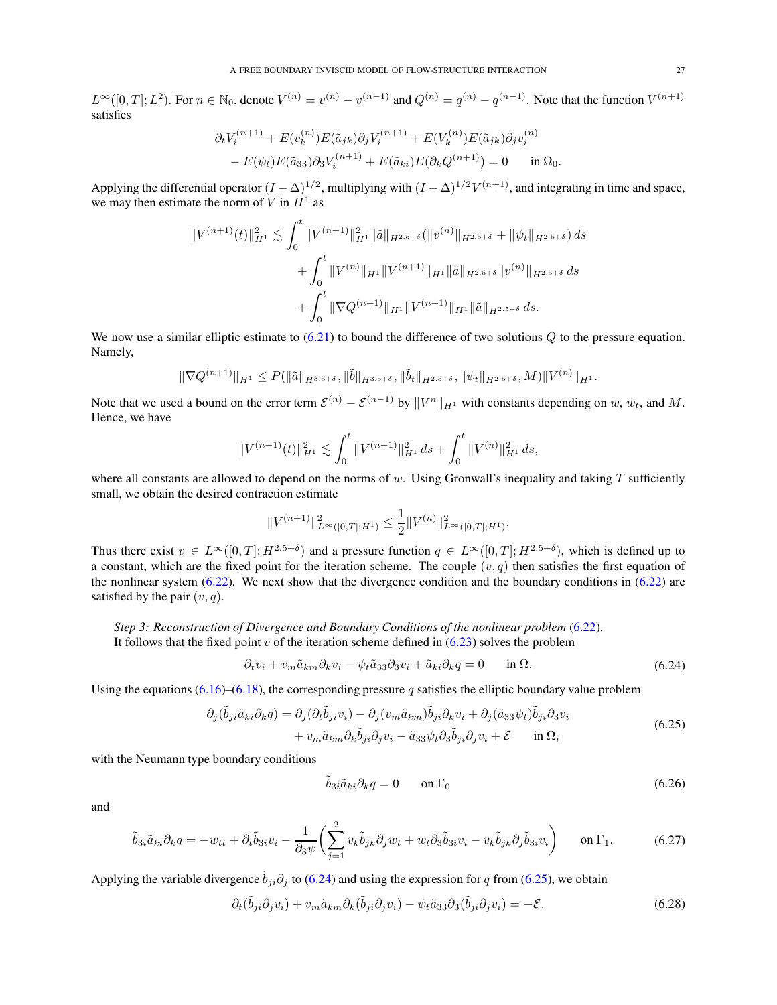$L^{\infty}([0,T]; L^2)$ . For  $n \in \mathbb{N}_0$ , denote  $V^{(n)} = v^{(n)} - v^{(n-1)}$  and  $Q^{(n)} = q^{(n)} - q^{(n-1)}$ . Note that the function  $V^{(n+1)}$ satisfies

$$
\partial_t V_i^{(n+1)} + E(v_k^{(n)}) E(\tilde{a}_{jk}) \partial_j V_i^{(n+1)} + E(V_k^{(n)}) E(\tilde{a}_{jk}) \partial_j v_i^{(n)} - E(\psi_t) E(\tilde{a}_{33}) \partial_3 V_i^{(n+1)} + E(\tilde{a}_{ki}) E(\partial_k Q^{(n+1)}) = 0 \quad \text{in } \Omega_0.
$$

Applying the differential operator  $(I - \Delta)^{1/2}$ , multiplying with  $(I - \Delta)^{1/2}V^{(n+1)}$ , and integrating in time and space, we may then estimate the norm of  $V$  in  $H<sup>1</sup>$  as

$$
\|V^{(n+1)}(t)\|_{H^1}^2 \lesssim \int_0^t \|V^{(n+1)}\|_{H^1}^2 \|\tilde{a}\|_{H^{2.5+\delta}} (\|v^{(n)}\|_{H^{2.5+\delta}} + \|\psi_t\|_{H^{2.5+\delta}}) ds
$$
  
+ 
$$
\int_0^t \|V^{(n)}\|_{H^1} \|V^{(n+1)}\|_{H^1} \|\tilde{a}\|_{H^{2.5+\delta}} \|v^{(n)}\|_{H^{2.5+\delta}} ds
$$
  
+ 
$$
\int_0^t \|\nabla Q^{(n+1)}\|_{H^1} \|V^{(n+1)}\|_{H^1} \|\tilde{a}\|_{H^{2.5+\delta}} ds.
$$

We now use a similar elliptic estimate to  $(6.21)$  to bound the difference of two solutions Q to the pressure equation. Namely,

$$
\|\nabla Q^{(n+1)}\|_{H^1}\leq P(\|\tilde{a}\|_{H^{3.5+\delta}},\|\tilde{b}\|_{H^{3.5+\delta}},\|\tilde{b}_t\|_{H^{2.5+\delta}},\|\psi_t\|_{H^{2.5+\delta}},M)\|V^{(n)}\|_{H^1}.
$$

Note that we used a bound on the error term  $\mathcal{E}^{(n)} - \mathcal{E}^{(n-1)}$  by  $||V^n||_{H^1}$  with constants depending on  $w, w_t$ , and  $M$ . Hence, we have

$$
||V^{(n+1)}(t)||_{H^1}^2 \lesssim \int_0^t ||V^{(n+1)}||_{H^1}^2 ds + \int_0^t ||V^{(n)}||_{H^1}^2 ds,
$$

where all constants are allowed to depend on the norms of w. Using Gronwall's inequality and taking  $T$  sufficiently small, we obtain the desired contraction estimate

$$
||V^{(n+1)}||_{L^{\infty}([0,T];H^1)}^2 \le \frac{1}{2}||V^{(n)}||_{L^{\infty}([0,T];H^1)}^2.
$$

Thus there exist  $v \in L^{\infty}([0,T];H^{2.5+\delta})$  and a pressure function  $q \in L^{\infty}([0,T];H^{2.5+\delta})$ , which is defined up to a constant, which are the fixed point for the iteration scheme. The couple  $(v, q)$  then satisfies the first equation of the nonlinear system  $(6.22)$ . We next show that the divergence condition and the boundary conditions in  $(6.22)$  are satisfied by the pair  $(v, q)$ .

*Step 3: Reconstruction of Divergence and Boundary Conditions of the nonlinear problem* [\(6.22\)](#page-25-2). It follows that the fixed point  $v$  of the iteration scheme defined in  $(6.23)$  solves the problem

$$
\partial_t v_i + v_m \tilde{a}_{km} \partial_k v_i - \psi_t \tilde{a}_{33} \partial_3 v_i + \tilde{a}_{ki} \partial_k q = 0 \quad \text{in } \Omega. \tag{6.24}
$$

Using the equations [\(6.16\)](#page-24-3)–[\(6.18\)](#page-24-0), the corresponding pressure q satisfies the elliptic boundary value problem

$$
\partial_j(\tilde{b}_{ji}\tilde{a}_{ki}\partial_k q) = \partial_j(\partial_t \tilde{b}_{ji}v_i) - \partial_j(v_m\tilde{a}_{km})\tilde{b}_{ji}\partial_k v_i + \partial_j(\tilde{a}_{33}\psi_t)\tilde{b}_{ji}\partial_3 v_i + v_m\tilde{a}_{km}\partial_k\tilde{b}_{ji}\partial_j v_i - \tilde{a}_{33}\psi_t\partial_3\tilde{b}_{ji}\partial_j v_i + \mathcal{E} \quad \text{in } \Omega,
$$
\n(6.25)

with the Neumann type boundary conditions

<span id="page-26-4"></span><span id="page-26-3"></span><span id="page-26-2"></span><span id="page-26-1"></span><span id="page-26-0"></span>
$$
\tilde{b}_{3i}\tilde{a}_{ki}\partial_k q = 0 \qquad \text{on } \Gamma_0 \tag{6.26}
$$

and

$$
\tilde{b}_{3i}\tilde{a}_{ki}\partial_k q = -w_{tt} + \partial_t \tilde{b}_{3i}v_i - \frac{1}{\partial_3 \psi} \left( \sum_{j=1}^2 v_k \tilde{b}_{jk} \partial_j w_t + w_t \partial_3 \tilde{b}_{3i}v_i - v_k \tilde{b}_{jk} \partial_j \tilde{b}_{3i}v_i \right) \quad \text{on } \Gamma_1. \tag{6.27}
$$

Applying the variable divergence  $\tilde{b}_{ji}\partial_j$  to [\(6.24\)](#page-26-0) and using the expression for q from [\(6.25\)](#page-26-1), we obtain

$$
\partial_t(\tilde{b}_{ji}\partial_j v_i) + v_m \tilde{a}_{km}\partial_k(\tilde{b}_{ji}\partial_j v_i) - \psi_t \tilde{a}_{33}\partial_3(\tilde{b}_{ji}\partial_j v_i) = -\mathcal{E}.
$$
\n(6.28)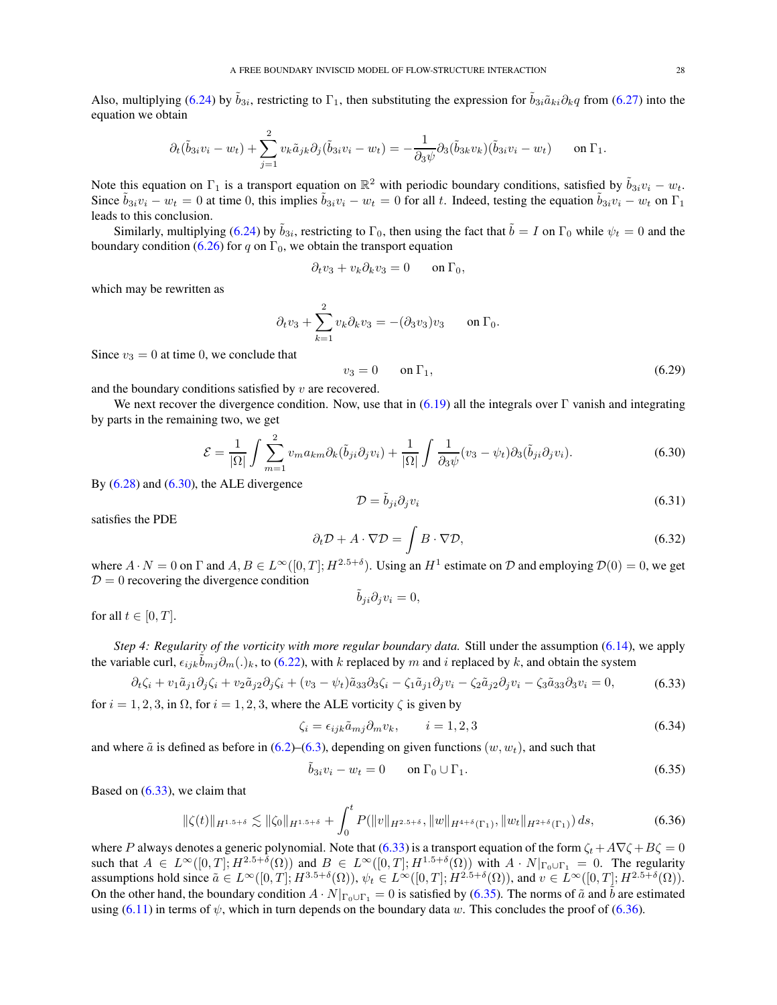Also, multiplying [\(6.24\)](#page-26-0) by  $\tilde{b}_{3i}$ , restricting to  $\Gamma_1$ , then substituting the expression for  $\tilde{b}_{3i}\tilde{a}_{ki}\partial_k q$  from [\(6.27\)](#page-26-2) into the equation we obtain

$$
\partial_t(\tilde{b}_{3i}v_i - w_t) + \sum_{j=1}^2 v_k \tilde{a}_{jk} \partial_j(\tilde{b}_{3i}v_i - w_t) = -\frac{1}{\partial_3 \psi} \partial_3(\tilde{b}_{3k}v_k)(\tilde{b}_{3i}v_i - w_t) \quad \text{on } \Gamma_1.
$$

Note this equation on  $\Gamma_1$  is a transport equation on  $\mathbb{R}^2$  with periodic boundary conditions, satisfied by  $\tilde{b}_{3i}v_i - w_t$ . Since  $\tilde{b}_{3i}v_i - w_t = 0$  at time 0, this implies  $\tilde{b}_{3i}v_i - w_t = 0$  for all t. Indeed, testing the equation  $\tilde{b}_{3i}v_i - w_t$  on  $\Gamma_1$ leads to this conclusion.

Similarly, multiplying [\(6.24\)](#page-26-0) by  $\tilde{b}_{3i}$ , restricting to  $\Gamma_0$ , then using the fact that  $\tilde{b}=I$  on  $\Gamma_0$  while  $\psi_t=0$  and the boundary condition [\(6.26\)](#page-26-3) for q on  $\Gamma_0$ , we obtain the transport equation

$$
\partial_t v_3 + v_k \partial_k v_3 = 0 \quad \text{on } \Gamma_0,
$$

which may be rewritten as

$$
\partial_t v_3 + \sum_{k=1}^2 v_k \partial_k v_3 = -(\partial_3 v_3) v_3 \quad \text{on } \Gamma_0.
$$

Since  $v_3 = 0$  at time 0, we conclude that

$$
v_3 = 0 \qquad \text{on } \Gamma_1,\tag{6.29}
$$

and the boundary conditions satisfied by  $v$  are recovered.

We next recover the divergence condition. Now, use that in  $(6.19)$  all the integrals over Γ vanish and integrating by parts in the remaining two, we get

<span id="page-27-1"></span>
$$
\mathcal{E} = \frac{1}{|\Omega|} \int \sum_{m=1}^{2} v_m a_{km} \partial_k(\tilde{b}_{ji} \partial_j v_i) + \frac{1}{|\Omega|} \int \frac{1}{\partial_3 \psi} (v_3 - \psi_t) \partial_3(\tilde{b}_{ji} \partial_j v_i).
$$
 (6.30)

By  $(6.28)$  and  $(6.30)$ , the ALE divergence

$$
\mathcal{D} = \tilde{b}_{ji}\partial_j v_i \tag{6.31}
$$

satisfies the PDE

$$
\partial_t \mathcal{D} + A \cdot \nabla \mathcal{D} = \int B \cdot \nabla \mathcal{D},\tag{6.32}
$$

where  $A \cdot N = 0$  on  $\Gamma$  and  $A, B \in L^{\infty}([0, T]; H^{2.5+\delta})$ . Using an  $H^1$  estimate on  $\mathcal D$  and employing  $\mathcal D(0) = 0$ , we get  $D = 0$  recovering the divergence condition

<span id="page-27-3"></span><span id="page-27-2"></span>
$$
\tilde{b}_{ji}\partial_j v_i = 0,
$$

for all  $t \in [0, T]$ .

*Step 4: Regularity of the vorticity with more regular boundary data.* Still under the assumption [\(6.14\)](#page-24-4), we apply the variable curl,  $\epsilon_{ijk}\tilde{b}_{mj}\partial_m(.)_k$ , to [\(6.22\)](#page-25-2), with k replaced by m and i replaced by k, and obtain the system

$$
\partial_t \zeta_i + v_1 \tilde{a}_{j1} \partial_j \zeta_i + v_2 \tilde{a}_{j2} \partial_j \zeta_i + (v_3 - \psi_t) \tilde{a}_{33} \partial_3 \zeta_i - \zeta_1 \tilde{a}_{j1} \partial_j v_i - \zeta_2 \tilde{a}_{j2} \partial_j v_i - \zeta_3 \tilde{a}_{33} \partial_3 v_i = 0,
$$
\n(6.33)

for  $i = 1, 2, 3$ , in  $\Omega$ , for  $i = 1, 2, 3$ , where the ALE vorticity  $\zeta$  is given by

<span id="page-27-0"></span>
$$
\zeta_i = \epsilon_{ijk}\tilde{a}_{mj}\partial_m v_k, \qquad i = 1, 2, 3
$$
\n(6.34)

and where  $\tilde{a}$  is defined as before in [\(6.2\)](#page-23-4)–[\(6.3\)](#page-23-5), depending on given functions (w, w<sub>t</sub>), and such that

<span id="page-27-4"></span>
$$
\tilde{b}_{3i}v_i - w_t = 0 \qquad \text{on } \Gamma_0 \cup \Gamma_1. \tag{6.35}
$$

Based on [\(6.33\)](#page-27-2), we claim that

$$
\|\zeta(t)\|_{H^{1.5+\delta}} \lesssim \|\zeta_0\|_{H^{1.5+\delta}} + \int_0^t P(\|v\|_{H^{2.5+\delta}}, \|w\|_{H^{4+\delta}(\Gamma_1)}, \|w_t\|_{H^{2+\delta}(\Gamma_1)}) ds, \tag{6.36}
$$

where P always denotes a generic polynomial. Note that [\(6.33\)](#page-27-2) is a transport equation of the form  $\zeta_t + A\nabla\zeta + B\zeta = 0$ such that  $A \in L^{\infty}([0,T]; H^{2.5+\delta}(\Omega))$  and  $B \in L^{\infty}([0,T]; H^{1.5+\delta}(\Omega))$  with  $A \cdot N|_{\Gamma_0 \cup \Gamma_1} = 0$ . The regularity assumptions hold since  $\tilde{a} \in L^{\infty}([0,T]; H^{3.5+\delta}(\Omega))$ ,  $\psi_t \in L^{\infty}([0,T]; H^{2.5+\delta}(\Omega))$ , and  $v \in L^{\infty}([0,T]; H^{2.5+\delta}(\Omega))$ . On the other hand, the boundary condition  $A \cdot N|_{\Gamma_0 \cup \Gamma_1} = 0$  is satisfied by [\(6.35\)](#page-27-3). The norms of  $\tilde{a}$  and  $\tilde{b}$  are estimated using [\(6.11\)](#page-23-6) in terms of  $\psi$ , which in turn depends on the boundary data w. This concludes the proof of [\(6.36\)](#page-27-4).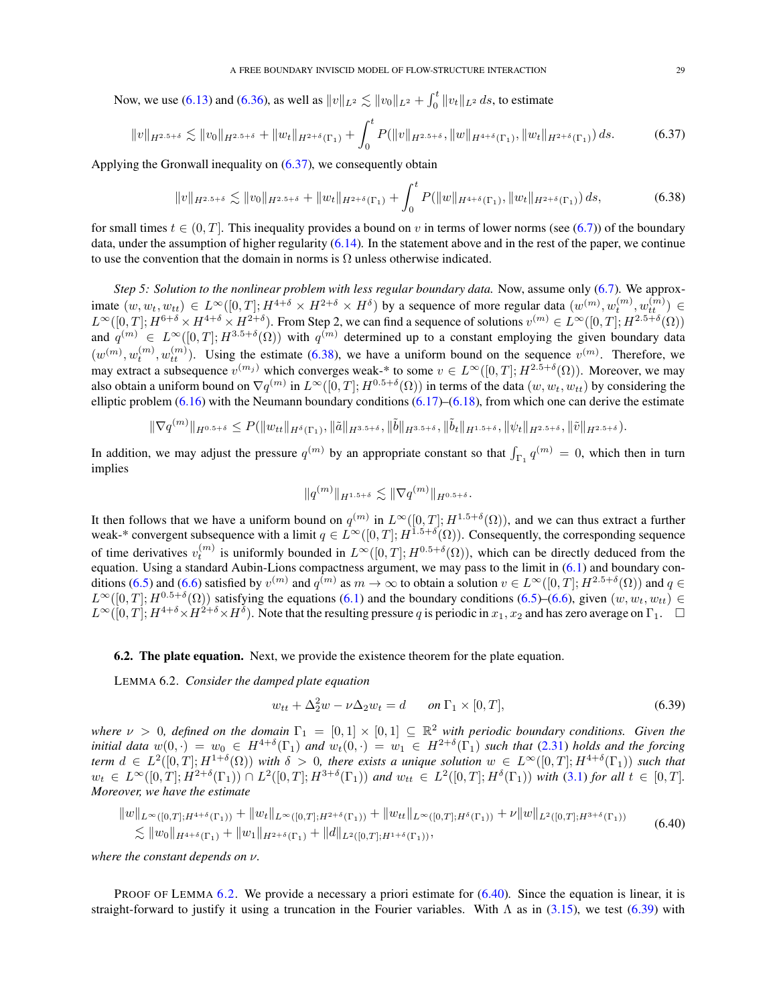Now, we use [\(6.13\)](#page-24-5) and [\(6.36\)](#page-27-4), as well as  $||v||_{L^2} \lesssim ||v_0||_{L^2} + \int_0^t ||v_t||_{L^2} ds$ , to estimate

<span id="page-28-1"></span>
$$
||v||_{H^{2.5+\delta}} \lesssim ||v_0||_{H^{2.5+\delta}} + ||w_t||_{H^{2+\delta}(\Gamma_1)} + \int_0^t P(||v||_{H^{2.5+\delta}}, ||w||_{H^{4+\delta}(\Gamma_1)}, ||w_t||_{H^{2+\delta}(\Gamma_1)}) ds.
$$
 (6.37)

Applying the Gronwall inequality on [\(6.37\)](#page-28-1), we consequently obtain

<span id="page-28-2"></span>
$$
||v||_{H^{2.5+\delta}} \lesssim ||v_0||_{H^{2.5+\delta}} + ||w_t||_{H^{2+\delta}(\Gamma_1)} + \int_0^t P(||w||_{H^{4+\delta}(\Gamma_1)}, ||w_t||_{H^{2+\delta}(\Gamma_1)}) ds,
$$
\n(6.38)

for small times  $t \in (0, T]$ . This inequality provides a bound on v in terms of lower norms (see [\(6.7\)](#page-23-7)) of the boundary data, under the assumption of higher regularity  $(6.14)$ . In the statement above and in the rest of the paper, we continue to use the convention that the domain in norms is  $\Omega$  unless otherwise indicated.

*Step 5: Solution to the nonlinear problem with less regular boundary data.* Now, assume only [\(6.7\)](#page-23-7). We approximate  $(w, w_t, w_{tt}) \in L^{\infty}([0,T]; H^{4+\delta} \times H^{2+\delta} \times H^{\delta})$  by a sequence of more regular data  $(w^{(m)}, w_t^{(m)}, w_{tt}^{(m)}) \in$  $L^{\infty}([0,T]; H^{6+\delta} \times H^{4+\delta} \times H^{2+\delta})$ . From Step 2, we can find a sequence of solutions  $v^{(m)} \in L^{\infty}([0,T]; H^{2.5+\delta}(\Omega))$ and  $q^{(m)} \in L^{\infty}([0,T]; H^{3.5+\delta}(\Omega))$  with  $q^{(m)}$  determined up to a constant employing the given boundary data  $(w^{(m)}, w_t^{(m)}, w_{tt}^{(m)})$ . Using the estimate [\(6.38\)](#page-28-2), we have a uniform bound on the sequence  $v^{(m)}$ . Therefore, we may extract a subsequence  $v^{(m_j)}$  which converges weak-\* to some  $v \in L^{\infty}([0,T]; H^{2.5+\delta}(\Omega))$ . Moreover, we may also obtain a uniform bound on  $\nabla q^{(m)}$  in  $L^{\infty}([0,T];H^{0.5+\delta}(\Omega))$  in terms of the data  $(w,w_t,w_{tt})$  by considering the elliptic problem  $(6.16)$  with the Neumann boundary conditions  $(6.17)$ – $(6.18)$ , from which one can derive the estimate

$$
\|\nabla q^{(m)}\|_{H^{0.5+\delta}} \le P(\|w_{tt}\|_{H^{\delta}(\Gamma_1)}, \|\tilde{a}\|_{H^{3.5+\delta}}, \|\tilde{b}\|_{H^{3.5+\delta}}, \|\tilde{b}_t\|_{H^{1.5+\delta}}, \|\psi_t\|_{H^{2.5+\delta}}, \|\tilde{v}\|_{H^{2.5+\delta}}).
$$

In addition, we may adjust the pressure  $q^{(m)}$  by an appropriate constant so that  $\int_{\Gamma_1} q^{(m)} = 0$ , which then in turn implies

$$
\|q^{(m)}\|_{H^{1.5+\delta}} \lesssim \|\nabla q^{(m)}\|_{H^{0.5+\delta}}.
$$

It then follows that we have a uniform bound on  $q^{(m)}$  in  $L^{\infty}([0,T];H^{1.5+\delta}(\Omega))$ , and we can thus extract a further weak-\* convergent subsequence with a limit  $q \in L^{\infty}([0,T]; H^{1.5+\delta}(\Omega))$ . Consequently, the corresponding sequence of time derivatives  $v_t^{(m)}$  is uniformly bounded in  $L^{\infty}([0,T]; H^{0.5+\delta}(\Omega))$ , which can be directly deduced from the equation. Using a standard Aubin-Lions compactness argument, we may pass to the limit in  $(6.1)$  and boundary con-ditions [\(6.5\)](#page-23-1) and [\(6.6\)](#page-23-0) satisfied by  $v^{(m)}$  and  $q^{(m)}$  as  $m \to \infty$  to obtain a solution  $v \in L^{\infty}([0,T]; H^{2.5+\delta}(\Omega))$  and  $q \in$  $L^{\infty}([0,T]; H^{0.5+\delta}(\Omega))$  satisfying the equations [\(6.1\)](#page-22-7) and the boundary conditions [\(6.5\)](#page-23-1)–[\(6.6\)](#page-23-0), given  $(w, w_t, w_{tt}) \in$  $L^{\infty}([0,T]; H^{4+\delta} \times H^{2+\delta} \times H^{\delta})$ . Note that the resulting pressure q is periodic in  $x_1, x_2$  and has zero average on  $\Gamma_1$ .  $\Box$ 

<span id="page-28-0"></span>6.2. The plate equation. Next, we provide the existence theorem for the plate equation.

<span id="page-28-3"></span>LEMMA 6.2. *Consider the damped plate equation*

<span id="page-28-5"></span><span id="page-28-4"></span>
$$
w_{tt} + \Delta_2^2 w - \nu \Delta_2 w_t = d \qquad on \Gamma_1 \times [0, T], \tag{6.39}
$$

where  $\nu > 0$ , defined on the domain  $\Gamma_1 = [0,1] \times [0,1] \subseteq \mathbb{R}^2$  with periodic boundary conditions. Given the *initial data*  $w(0, \cdot) = w_0 \in H^{4+\delta}(\Gamma_1)$  and  $w_t(0, \cdot) = w_1 \in H^{2+\delta}(\Gamma_1)$  such that [\(2.31\)](#page-4-9) holds and the forcing  $term d \in L^2([0,T]; H^{1+\delta}(\Omega))$  with  $\delta > 0$ , there exists a unique solution  $w \in L^{\infty}([0,T]; H^{4+\delta}(\Gamma_1))$  such that  $w_t \in L^{\infty}([0,T]; H^{2+\delta}(\Gamma_1)) \cap L^2([0,T]; H^{3+\delta}(\Gamma_1))$  and  $w_{tt} \in L^2([0,T]; H^{\delta}(\Gamma_1))$  with [\(3.1\)](#page-5-11) for all  $t \in [0,T]$ . *Moreover, we have the estimate*

$$
||w||_{L^{\infty}([0,T];H^{4+\delta}(\Gamma_1))} + ||w_t||_{L^{\infty}([0,T];H^{2+\delta}(\Gamma_1))} + ||w_{tt}||_{L^{\infty}([0,T];H^{\delta}(\Gamma_1))} + \nu ||w||_{L^2([0,T];H^{3+\delta}(\Gamma_1))}
$$
  
\n
$$
\lesssim ||w_0||_{H^{4+\delta}(\Gamma_1)} + ||w_1||_{H^{2+\delta}(\Gamma_1)} + ||d||_{L^2([0,T];H^{1+\delta}(\Gamma_1))},
$$
\n(6.40)

*where the constant depends on* ν*.*

PROOF OF LEMMA [6.2.](#page-28-3) We provide a necessary a priori estimate for [\(6.40\)](#page-28-4). Since the equation is linear, it is straight-forward to justify it using a truncation in the Fourier variables. With  $\Lambda$  as in [\(3.15\)](#page-6-7), we test [\(6.39\)](#page-28-5) with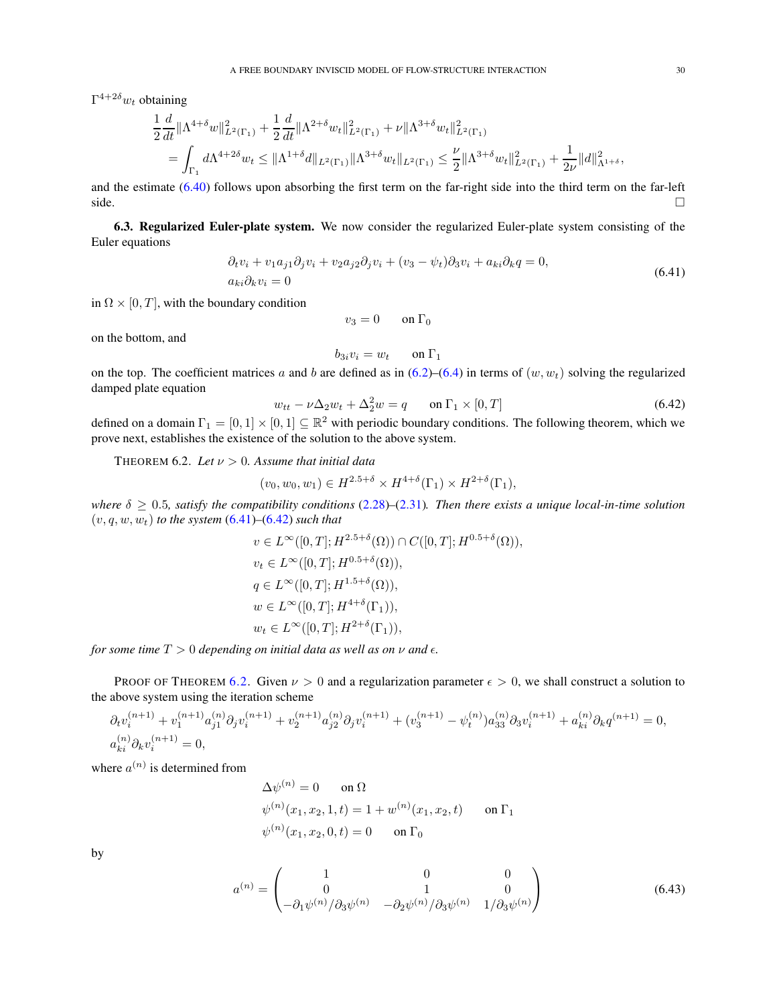$\Gamma^{4+2\delta} w_t$  obtaining

$$
\frac{1}{2}\frac{d}{dt}\|\Lambda^{4+\delta}w\|_{L^{2}(\Gamma_{1})}^{2} + \frac{1}{2}\frac{d}{dt}\|\Lambda^{2+\delta}w_{t}\|_{L^{2}(\Gamma_{1})}^{2} + \nu\|\Lambda^{3+\delta}w_{t}\|_{L^{2}(\Gamma_{1})}^{2}
$$
\n
$$
= \int_{\Gamma_{1}} d\Lambda^{4+2\delta}w_{t} \leq \|\Lambda^{1+\delta}d\|_{L^{2}(\Gamma_{1})}\|\Lambda^{3+\delta}w_{t}\|_{L^{2}(\Gamma_{1})} \leq \frac{\nu}{2}\|\Lambda^{3+\delta}w_{t}\|_{L^{2}(\Gamma_{1})}^{2} + \frac{1}{2\nu}\|d\|_{\Lambda^{1+\delta}}^{2},
$$

and the estimate [\(6.40\)](#page-28-4) follows upon absorbing the first term on the far-right side into the third term on the far-left side.  $\Box$ 

<span id="page-29-0"></span>6.3. Regularized Euler-plate system. We now consider the regularized Euler-plate system consisting of the Euler equations

$$
\partial_t v_i + v_1 a_{j1} \partial_j v_i + v_2 a_{j2} \partial_j v_i + (v_3 - \psi_t) \partial_3 v_i + a_{ki} \partial_k q = 0,
$$
  
\n
$$
a_{ki} \partial_k v_i = 0
$$
\n(6.41)

in  $\Omega \times [0, T]$ , with the boundary condition

<span id="page-29-1"></span>
$$
v_3 = 0 \qquad \text{on } \Gamma_0
$$

on the bottom, and

$$
b_{3i}v_i = w_t \qquad \text{on } \Gamma_1
$$

on the top. The coefficient matrices a and b are defined as in  $(6.2)$ – $(6.4)$  in terms of  $(w, w_t)$  solving the regularized damped plate equation

<span id="page-29-2"></span>
$$
w_{tt} - \nu \Delta_2 w_t + \Delta_2^2 w = q \qquad \text{on } \Gamma_1 \times [0, T] \tag{6.42}
$$

defined on a domain  $\Gamma_1 = [0,1] \times [0,1] \subseteq \mathbb{R}^2$  with periodic boundary conditions. The following theorem, which we prove next, establishes the existence of the solution to the above system.

<span id="page-29-3"></span>THEOREM 6.2. *Let*  $\nu > 0$ . Assume that initial data

$$
(v_0, w_0, w_1) \in H^{2.5+\delta} \times H^{4+\delta}(\Gamma_1) \times H^{2+\delta}(\Gamma_1),
$$

*where*  $\delta \geq 0.5$ *, satisfy the compatibility conditions* [\(2.28\)](#page-4-7)–[\(2.31\)](#page-4-9)*. Then there exists a unique local-in-time solution*  $(v, q, w, w_t)$  *to the system*  $(6.41)$ – $(6.42)$  *such that* 

$$
v \in L^{\infty}([0, T]; H^{2.5+\delta}(\Omega)) \cap C([0, T]; H^{0.5+\delta}(\Omega)),
$$
  
\n
$$
v_t \in L^{\infty}([0, T]; H^{0.5+\delta}(\Omega)),
$$
  
\n
$$
q \in L^{\infty}([0, T]; H^{1.5+\delta}(\Omega)),
$$
  
\n
$$
w \in L^{\infty}([0, T]; H^{4+\delta}(\Gamma_1)),
$$
  
\n
$$
w_t \in L^{\infty}([0, T]; H^{2+\delta}(\Gamma_1)),
$$

*for some time*  $T > 0$  *depending on initial data as well as on*  $\nu$  *and*  $\epsilon$ *.* 

PROOF OF THEOREM [6.2.](#page-29-3) Given  $\nu > 0$  and a regularization parameter  $\epsilon > 0$ , we shall construct a solution to the above system using the iteration scheme

$$
\begin{aligned} &\partial_t v_i^{(n+1)}+v_1^{(n+1)}a_{j1}^{(n)}\partial_j v_i^{(n+1)}+v_2^{(n+1)}a_{j2}^{(n)}\partial_j v_i^{(n+1)}+(v_3^{(n+1)}-\psi_t^{(n)})a_{33}^{(n)}\partial_3 v_i^{(n+1)}+a_{ki}^{(n)}\partial_k q^{(n+1)}=0,\\ &a_{ki}^{(n)}\partial_k v_i^{(n+1)}=0, \end{aligned}
$$

where  $a^{(n)}$  is determined from

<span id="page-29-4"></span>
$$
\Delta \psi^{(n)} = 0 \quad \text{on } \Omega
$$
  

$$
\psi^{(n)}(x_1, x_2, 1, t) = 1 + w^{(n)}(x_1, x_2, t) \quad \text{on } \Gamma_1
$$
  

$$
\psi^{(n)}(x_1, x_2, 0, t) = 0 \quad \text{on } \Gamma_0
$$

by

$$
a^{(n)} = \begin{pmatrix} 1 & 0 & 0 \\ 0 & 1 & 0 \\ -\partial_1 \psi^{(n)}/\partial_3 \psi^{(n)} & -\partial_2 \psi^{(n)}/\partial_3 \psi^{(n)} & 1/\partial_3 \psi^{(n)} \end{pmatrix}
$$
(6.43)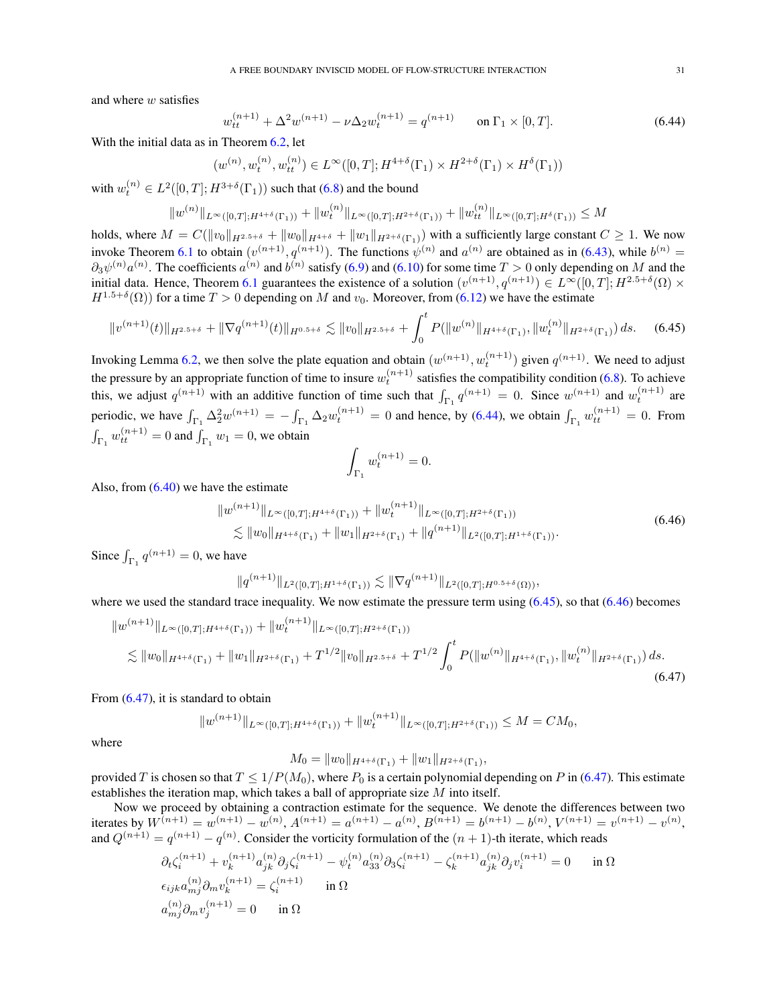and where w satisfies

<span id="page-30-0"></span>
$$
w_{tt}^{(n+1)} + \Delta^2 w^{(n+1)} - \nu \Delta_2 w_t^{(n+1)} = q^{(n+1)} \qquad \text{on } \Gamma_1 \times [0, T]. \tag{6.44}
$$

With the initial data as in Theorem [6.2,](#page-29-3) let

$$
(w^{(n)}, w_t^{(n)}, w_{tt}^{(n)}) \in L^{\infty}([0, T]; H^{4+\delta}(\Gamma_1) \times H^{2+\delta}(\Gamma_1) \times H^{\delta}(\Gamma_1))
$$

with  $w_t^{(n)} \in L^2([0,T];H^{3+\delta}(\Gamma_1))$  such that [\(6.8\)](#page-23-2) and the bound

$$
||w^{(n)}||_{L^{\infty}([0,T];H^{4+\delta}(\Gamma_1))}+||w^{(n)}_t||_{L^{\infty}([0,T];H^{2+\delta}(\Gamma_1))}+||w^{(n)}_t||_{L^{\infty}([0,T];H^{\delta}(\Gamma_1))}\leq M
$$

holds, where  $M = C(\|v_0\|_{H^{2.5+\delta}} + \|w_0\|_{H^{4+\delta}} + \|w_1\|_{H^{2+\delta}(\Gamma_1)})$  with a sufficiently large constant  $C \ge 1$ . We now invoke Theorem [6.1](#page-23-3) to obtain  $(v^{(n+1)}, q^{(n+1)})$ . The functions  $\psi^{(n)}$  and  $a^{(n)}$  are obtained as in [\(6.43\)](#page-29-4), while  $b^{(n)}$  =  $\partial_3\psi^{(n)}a^{(n)}$ . The coefficients  $a^{(n)}$  and  $b^{(n)}$  satisfy [\(6.9\)](#page-23-9) and [\(6.10\)](#page-23-10) for some time  $T>0$  only depending on M and the initial data. Hence, Theorem [6.1](#page-23-3) guarantees the existence of a solution  $(v^{(n+1)}, q^{(n+1)}) \in L^{\infty}(0,T]$ ;  $H^{2.5+\delta}(\Omega) \times$  $H^{1.5+\delta}(\Omega)$ ) for a time  $T > 0$  depending on M and  $v_0$ . Moreover, from [\(6.12\)](#page-23-11) we have the estimate

$$
||v^{(n+1)}(t)||_{H^{2.5+\delta}} + ||\nabla q^{(n+1)}(t)||_{H^{0.5+\delta}} \lesssim ||v_0||_{H^{2.5+\delta}} + \int_0^t P(||w^{(n)}||_{H^{4+\delta}(\Gamma_1)}, ||w_t^{(n)}||_{H^{2+\delta}(\Gamma_1)}) ds. \tag{6.45}
$$

Invoking Lemma [6.2,](#page-28-3) we then solve the plate equation and obtain  $(w^{(n+1)}, w_t^{(n+1)})$  given  $q^{(n+1)}$ . We need to adjust the pressure by an appropriate function of time to insure  $w_t^{(n+1)}$  satisfies the compatibility condition [\(6.8\)](#page-23-2). To achieve this, we adjust  $q^{(n+1)}$  with an additive function of time such that  $\int_{\Gamma_1} q^{(n+1)} = 0$ . Since  $w^{(n+1)}$  and  $w_t^{(n+1)}$  are periodic, we have  $\int_{\Gamma_1} \Delta_2^2 w^{(n+1)} = -\int_{\Gamma_1} \Delta_2 w_t^{(n+1)} = 0$  and hence, by [\(6.44\)](#page-30-0), we obtain  $\int_{\Gamma_1} w_{tt}^{(n+1)} = 0$ . From  $\int_{\Gamma_1} w_{tt}^{(n+1)} = 0$  and  $\int_{\Gamma_1} w_1 = 0$ , we obtain

<span id="page-30-2"></span><span id="page-30-1"></span>
$$
\int_{\Gamma_1} w_t^{(n+1)} = 0.
$$

Also, from  $(6.40)$  we have the estimate

$$
||w^{(n+1)}||_{L^{\infty}([0,T];H^{4+\delta}(\Gamma_1))} + ||w_t^{(n+1)}||_{L^{\infty}([0,T];H^{2+\delta}(\Gamma_1))}
$$
  
\$\lesssim ||w\_0||\_{H^{4+\delta}(\Gamma\_1)} + ||w\_1||\_{H^{2+\delta}(\Gamma\_1)} + ||q^{(n+1)}||\_{L^2([0,T];H^{1+\delta}(\Gamma\_1))}. \qquad (6.46)\$

Since  $\int_{\Gamma_1} q^{(n+1)} = 0$ , we have

$$
||q^{(n+1)}||_{L^2([0,T];H^{1+\delta}(\Gamma_1))} \lesssim ||\nabla q^{(n+1)}||_{L^2([0,T];H^{0.5+\delta}(\Omega))},
$$

where we used the standard trace inequality. We now estimate the pressure term using  $(6.45)$ , so that  $(6.46)$  becomes

$$
||w^{(n+1)}||_{L^{\infty}([0,T];H^{4+\delta}(\Gamma_1))} + ||w_t^{(n+1)}||_{L^{\infty}([0,T];H^{2+\delta}(\Gamma_1))}
$$
  
\n
$$
\lesssim ||w_0||_{H^{4+\delta}(\Gamma_1)} + ||w_1||_{H^{2+\delta}(\Gamma_1)} + T^{1/2}||v_0||_{H^{2.5+\delta}} + T^{1/2} \int_0^t P(||w^{(n)}||_{H^{4+\delta}(\Gamma_1)}, ||w_t^{(n)}||_{H^{2+\delta}(\Gamma_1)}) ds.
$$
\n(6.47)

From [\(6.47\)](#page-30-3), it is standard to obtain

$$
||w^{(n+1)}||_{L^{\infty}([0,T];H^{4+\delta}(\Gamma_1))}+||w_t^{(n+1)}||_{L^{\infty}([0,T];H^{2+\delta}(\Gamma_1))}\leq M=CM_0,
$$

where

<span id="page-30-3"></span>
$$
M_0 = ||w_0||_{H^{4+\delta}(\Gamma_1)} + ||w_1||_{H^{2+\delta}(\Gamma_1)},
$$

provided T is chosen so that  $T \leq 1/P(M_0)$ , where  $P_0$  is a certain polynomial depending on P in [\(6.47\)](#page-30-3). This estimate establishes the iteration map, which takes a ball of appropriate size M into itself.

Now we proceed by obtaining a contraction estimate for the sequence. We denote the differences between two iterates by  $W^{(n+1)} = w^{(n+1)} - w^{(n)}$ ,  $A^{(n+1)} = a^{(n+1)} - a^{(n)}$ ,  $B^{(n+1)} = b^{(n+1)} - b^{(n)}$ ,  $V^{(n+1)} = v^{(n+1)} - v^{(n)}$ , and  $Q^{(n+1)} = q^{(n+1)} - q^{(n)}$ . Consider the vorticity formulation of the  $(n + 1)$ -th iterate, which reads

$$
\partial_t \zeta_i^{(n+1)} + v_k^{(n+1)} a_{jk}^{(n)} \partial_j \zeta_i^{(n+1)} - \psi_t^{(n)} a_{33}^{(n)} \partial_3 \zeta_i^{(n+1)} - \zeta_k^{(n+1)} a_{jk}^{(n)} \partial_j v_i^{(n+1)} = 0 \quad \text{in } \Omega
$$
  
\n
$$
\epsilon_{ijk} a_{mj}^{(n)} \partial_m v_k^{(n+1)} = \zeta_i^{(n+1)} \quad \text{in } \Omega
$$
  
\n
$$
a_{mj}^{(n)} \partial_m v_j^{(n+1)} = 0 \quad \text{in } \Omega
$$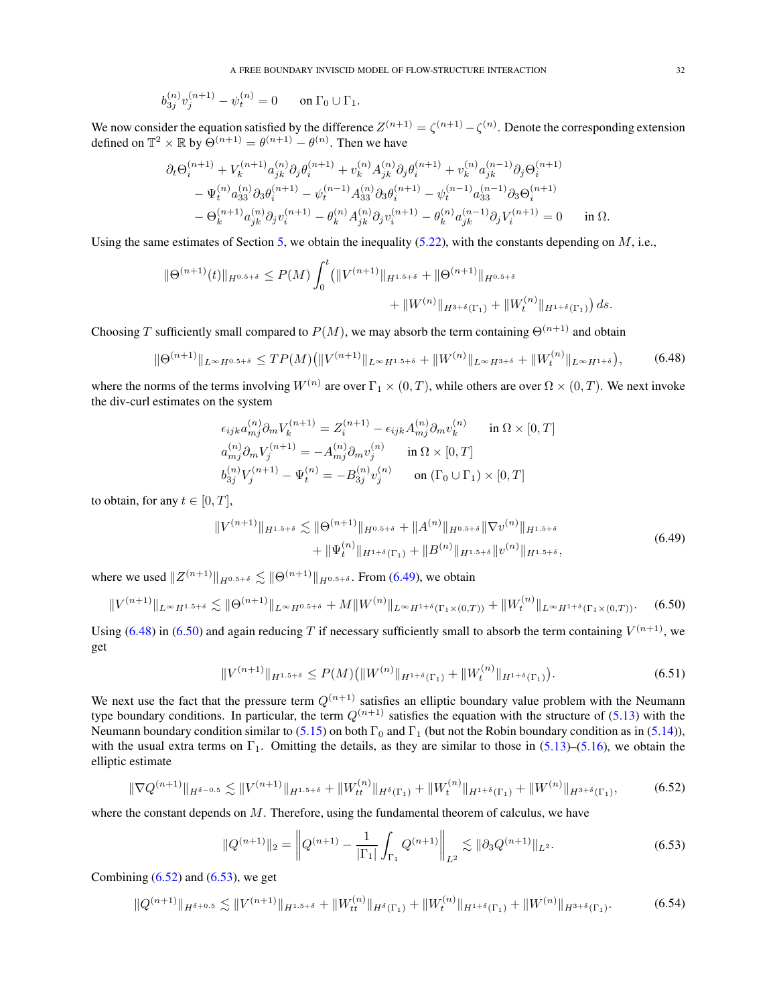$$
b_{3j}^{(n)}v_j^{(n+1)} - \psi_t^{(n)} = 0 \quad \text{on } \Gamma_0 \cup \Gamma_1.
$$

We now consider the equation satisfied by the difference  $Z^{(n+1)} = \zeta^{(n+1)} - \zeta^{(n)}$ . Denote the corresponding extension defined on  $\mathbb{T}^2 \times \mathbb{R}$  by  $\Theta^{(n+1)} = \theta^{(n+1)} - \theta^{(n)}$ . Then we have

$$
\begin{split} \partial_t \Theta_i^{(n+1)} + V_k^{(n+1)} a_{jk}^{(n)} \partial_j \theta_i^{(n+1)} + v_k^{(n)} A_{jk}^{(n)} \partial_j \theta_i^{(n+1)} + v_k^{(n)} a_{jk}^{(n-1)} \partial_j \Theta_i^{(n+1)} \\ &- \Psi_t^{(n)} a_{33}^{(n)} \partial_3 \theta_i^{(n+1)} - \psi_t^{(n-1)} A_{33}^{(n)} \partial_3 \theta_i^{(n+1)} - \psi_t^{(n-1)} a_{33}^{(n-1)} \partial_3 \Theta_i^{(n+1)} \\ &- \Theta_k^{(n+1)} a_{jk}^{(n)} \partial_j v_i^{(n+1)} - \theta_k^{(n)} A_{jk}^{(n)} \partial_j v_i^{(n+1)} - \theta_k^{(n)} a_{jk}^{(n-1)} \partial_j V_i^{(n+1)} = 0 \qquad \text{in } \Omega. \end{split}
$$

Using the same estimates of Section [5,](#page-18-0) we obtain the inequality  $(5.22)$ , with the constants depending on M, i.e.,

$$
\|\Theta^{(n+1)}(t)\|_{H^{0.5+\delta}} \le P(M) \int_0^t \left( \|V^{(n+1)}\|_{H^{1.5+\delta}} + \|\Theta^{(n+1)}\|_{H^{0.5+\delta}} + \|W_t^{(n)}\|_{H^{1+\delta}(\Gamma_1)} \right) ds.
$$

Choosing T sufficiently small compared to  $P(M)$ , we may absorb the term containing  $\Theta^{(n+1)}$  and obtain

$$
\|\Theta^{(n+1)}\|_{L^{\infty}H^{0.5+\delta}} \le TP(M) \big( \|V^{(n+1)}\|_{L^{\infty}H^{1.5+\delta}} + \|W^{(n)}\|_{L^{\infty}H^{3+\delta}} + \|W_t^{(n)}\|_{L^{\infty}H^{1+\delta}} \big),\tag{6.48}
$$

where the norms of the terms involving  $W^{(n)}$  are over  $\Gamma_1 \times (0,T)$ , while others are over  $\Omega \times (0,T)$ . We next invoke the div-curl estimates on the system

<span id="page-31-1"></span>
$$
\epsilon_{ijk} a_{mj}^{(n)} \partial_m V_k^{(n+1)} = Z_i^{(n+1)} - \epsilon_{ijk} A_{mj}^{(n)} \partial_m v_k^{(n)} \quad \text{in } \Omega \times [0, T]
$$
  
\n
$$
a_{mj}^{(n)} \partial_m V_j^{(n+1)} = -A_{mj}^{(n)} \partial_m v_j^{(n)} \quad \text{in } \Omega \times [0, T]
$$
  
\n
$$
b_{3j}^{(n)} V_j^{(n+1)} - \Psi_t^{(n)} = -B_{3j}^{(n)} v_j^{(n)} \quad \text{on } (\Gamma_0 \cup \Gamma_1) \times [0, T]
$$

to obtain, for any  $t \in [0, T]$ ,

<span id="page-31-0"></span>
$$
||V^{(n+1)}||_{H^{1.5+\delta}} \lesssim ||\Theta^{(n+1)}||_{H^{0.5+\delta}} + ||A^{(n)}||_{H^{0.5+\delta}} ||\nabla v^{(n)}||_{H^{1.5+\delta}} + ||\Psi_t^{(n)}||_{H^{1+\delta}(\Gamma_1)} + ||B^{(n)}||_{H^{1.5+\delta}} ||v^{(n)}||_{H^{1.5+\delta}},
$$
\n(6.49)

where we used  $||Z^{(n+1)}||_{H^{0.5+\delta}} \lesssim ||\Theta^{(n+1)}||_{H^{0.5+\delta}}$ . From [\(6.49\)](#page-31-0), we obtain

$$
||V^{(n+1)}||_{L^{\infty}H^{1.5+\delta}} \lesssim ||\Theta^{(n+1)}||_{L^{\infty}H^{0.5+\delta}} + M||W^{(n)}||_{L^{\infty}H^{1+\delta}(\Gamma_1 \times (0,T))} + ||W_t^{(n)}||_{L^{\infty}H^{1+\delta}(\Gamma_1 \times (0,T))}.
$$
 (6.50)

Using [\(6.48\)](#page-31-1) in [\(6.50\)](#page-31-2) and again reducing T if necessary sufficiently small to absorb the term containing  $V^{(n+1)}$ , we get

<span id="page-31-6"></span><span id="page-31-2"></span>
$$
||V^{(n+1)}||_{H^{1.5+\delta}} \le P(M) (||W^{(n)}||_{H^{1+\delta}(\Gamma_1)} + ||W_t^{(n)}||_{H^{1+\delta}(\Gamma_1)}).
$$
\n(6.51)

We next use the fact that the pressure term  $Q^{(n+1)}$  satisfies an elliptic boundary value problem with the Neumann type boundary conditions. In particular, the term  $Q^{(n+1)}$  satisfies the equation with the structure of [\(5.13\)](#page-21-0) with the Neumann boundary condition similar to [\(5.15\)](#page-21-1) on both  $\Gamma_0$  and  $\Gamma_1$  (but not the Robin boundary condition as in [\(5.14\)](#page-21-4)), with the usual extra terms on  $\Gamma_1$ . Omitting the details, as they are similar to those in [\(5.13\)](#page-21-0)–[\(5.16\)](#page-21-3), we obtain the elliptic estimate

$$
\|\nabla Q^{(n+1)}\|_{H^{\delta-0.5}} \lesssim \|V^{(n+1)}\|_{H^{1.5+\delta}} + \|W_{tt}^{(n)}\|_{H^{\delta}(\Gamma_1)} + \|W_t^{(n)}\|_{H^{1+\delta}(\Gamma_1)} + \|W^{(n)}\|_{H^{3+\delta}(\Gamma_1)},\tag{6.52}
$$

where the constant depends on  $M$ . Therefore, using the fundamental theorem of calculus, we have

<span id="page-31-5"></span><span id="page-31-4"></span><span id="page-31-3"></span>
$$
||Q^{(n+1)}||_2 = \left||Q^{(n+1)} - \frac{1}{|\Gamma_1|} \int_{\Gamma_1} Q^{(n+1)}\right||_{L^2} \lesssim ||\partial_3 Q^{(n+1)}||_{L^2}.
$$
\n(6.53)

Combining  $(6.52)$  and  $(6.53)$ , we get

$$
||Q^{(n+1)}||_{H^{\delta+0.5}} \lesssim ||V^{(n+1)}||_{H^{1.5+\delta}} + ||W_{tt}^{(n)}||_{H^{\delta}(\Gamma_1)} + ||W_t^{(n)}||_{H^{1+\delta}(\Gamma_1)} + ||W^{(n)}||_{H^{3+\delta}(\Gamma_1)}.
$$
 (6.54)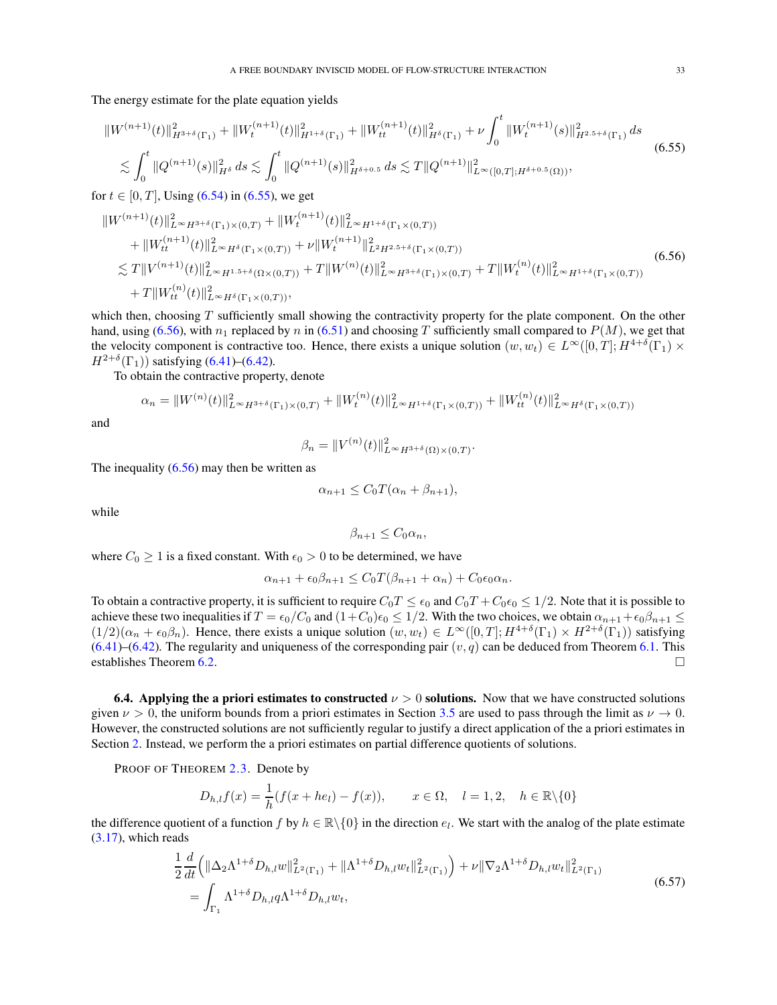The energy estimate for the plate equation yields

$$
\|W^{(n+1)}(t)\|_{H^{3+\delta}(\Gamma_1)}^2 + \|W_t^{(n+1)}(t)\|_{H^{1+\delta}(\Gamma_1)}^2 + \|W_{tt}^{(n+1)}(t)\|_{H^{\delta}(\Gamma_1)}^2 + \nu \int_0^t \|W_t^{(n+1)}(s)\|_{H^{2.5+\delta}(\Gamma_1)}^2 ds
$$
  
\$\lesssim \int\_0^t \|Q^{(n+1)}(s)\|\_{H^{\delta}}^2 ds \lesssim \int\_0^t \|Q^{(n+1)}(s)\|\_{H^{\delta+0.5}}^2 ds \lesssim T \|Q^{(n+1)}\|\_{L^{\infty}([0,T];H^{\delta+0.5}(\Omega))}^2, \tag{6.55}

for  $t \in [0, T]$ , Using [\(6.54\)](#page-31-5) in [\(6.55\)](#page-32-1), we get

$$
\|W^{(n+1)}(t)\|_{L^{\infty}H^{3+\delta}(\Gamma_{1})\times(0,T)}^{2} + \|W_{t}^{(n+1)}(t)\|_{L^{\infty}H^{1+\delta}(\Gamma_{1}\times(0,T))}^{2} \n+ \|W_{tt}^{(n+1)}(t)\|_{L^{\infty}H^{\delta}(\Gamma_{1}\times(0,T))}^{2} + \nu \|W_{t}^{(n+1)}\|_{L^{2}H^{2.5+\delta}(\Gamma_{1}\times(0,T))}^{2}
$$
\n
$$
\lesssim T \|V^{(n+1)}(t)\|_{L^{\infty}H^{1.5+\delta}(\Omega\times(0,T))}^{2} + T \|W^{(n)}(t)\|_{L^{\infty}H^{3+\delta}(\Gamma_{1})\times(0,T)}^{2} + T \|W_{t}^{(n)}(t)\|_{L^{\infty}H^{1+\delta}(\Gamma_{1}\times(0,T))}^{2}
$$
\n
$$
+ T \|W_{tt}^{(n)}(t)\|_{L^{\infty}H^{\delta}(\Gamma_{1}\times(0,T))}^{2},
$$
\n(6.56)

which then, choosing  $T$  sufficiently small showing the contractivity property for the plate component. On the other hand, using [\(6.56\)](#page-32-2), with  $n_1$  replaced by n in [\(6.51\)](#page-31-6) and choosing T sufficiently small compared to  $P(M)$ , we get that the velocity component is contractive too. Hence, there exists a unique solution  $(w, w_t) \in L^{\infty}([0, T]; H^{4+\delta}(\Gamma_1) \times$  $H^{2+\delta}(\Gamma_1)$ ) satisfying [\(6.41\)](#page-29-1)–[\(6.42\)](#page-29-2).

To obtain the contractive property, denote

$$
\alpha_n = \|W^{(n)}(t)\|_{L^{\infty}H^{3+\delta}(\Gamma_1)\times(0,T)}^2 + \|W_t^{(n)}(t)\|_{L^{\infty}H^{1+\delta}(\Gamma_1\times(0,T))}^2 + \|W_{tt}^{(n)}(t)\|_{L^{\infty}H^{\delta}(\Gamma_1\times(0,T))}^2
$$

and

<span id="page-32-2"></span><span id="page-32-1"></span>
$$
\beta_n = \|V^{(n)}(t)\|_{L^\infty H^{3+\delta}(\Omega)\times(0,T)}^2.
$$

The inequality  $(6.56)$  may then be written as

$$
\alpha_{n+1} \le C_0 T(\alpha_n + \beta_{n+1}),
$$

while

<span id="page-32-3"></span>
$$
\beta_{n+1} \leq C_0 \alpha_n,
$$

where  $C_0 \geq 1$  is a fixed constant. With  $\epsilon_0 > 0$  to be determined, we have

$$
\alpha_{n+1} + \epsilon_0 \beta_{n+1} \le C_0 T(\beta_{n+1} + \alpha_n) + C_0 \epsilon_0 \alpha_n.
$$

To obtain a contractive property, it is sufficient to require  $C_0T \leq \epsilon_0$  and  $C_0T + C_0\epsilon_0 \leq 1/2$ . Note that it is possible to achieve these two inequalities if  $T = \epsilon_0/C_0$  and  $(1+C_0)\epsilon_0 \leq 1/2$ . With the two choices, we obtain  $\alpha_{n+1} + \epsilon_0\beta_{n+1} \leq$  $(1/2)(\alpha_n + \epsilon_0\beta_n)$ . Hence, there exists a unique solution  $(w, w_t) \in L^{\infty}([0, T]; H^{4+\delta}(\Gamma_1) \times H^{2+\delta}(\Gamma_1))$  satisfying  $(6.41)$ – $(6.42)$ . The regularity and uniqueness of the corresponding pair  $(v, q)$  can be deduced from Theorem [6.1.](#page-23-3) This establishes Theorem [6.2.](#page-29-3)

<span id="page-32-0"></span>6.4. Applying the a priori estimates to constructed  $\nu > 0$  solutions. Now that we have constructed solutions given  $\nu > 0$ , the uniform bounds from a priori estimates in Section [3.5](#page-16-0) are used to pass through the limit as  $\nu \to 0$ . However, the constructed solutions are not sufficiently regular to justify a direct application of the a priori estimates in Section [2.](#page-2-0) Instead, we perform the a priori estimates on partial difference quotients of solutions.

PROOF OF THEOREM [2.3.](#page-4-1) Denote by

$$
D_{h,l}f(x) = \frac{1}{h}(f(x+he_l) - f(x)), \qquad x \in \Omega, \quad l = 1,2, \quad h \in \mathbb{R}\backslash\{0\}
$$

the difference quotient of a function f by  $h \in \mathbb{R} \setminus \{0\}$  in the direction  $e_l$ . We start with the analog of the plate estimate [\(3.17\)](#page-7-1), which reads

$$
\frac{1}{2}\frac{d}{dt}\left(\|\Delta_2\Lambda^{1+\delta}D_{h,l}w\|_{L^2(\Gamma_1)}^2 + \|\Lambda^{1+\delta}D_{h,l}w_t\|_{L^2(\Gamma_1)}^2\right) + \nu \|\nabla_2\Lambda^{1+\delta}D_{h,l}w_t\|_{L^2(\Gamma_1)}^2
$$
\n
$$
= \int_{\Gamma_1} \Lambda^{1+\delta}D_{h,l}q\Lambda^{1+\delta}D_{h,l}w_t,
$$
\n(6.57)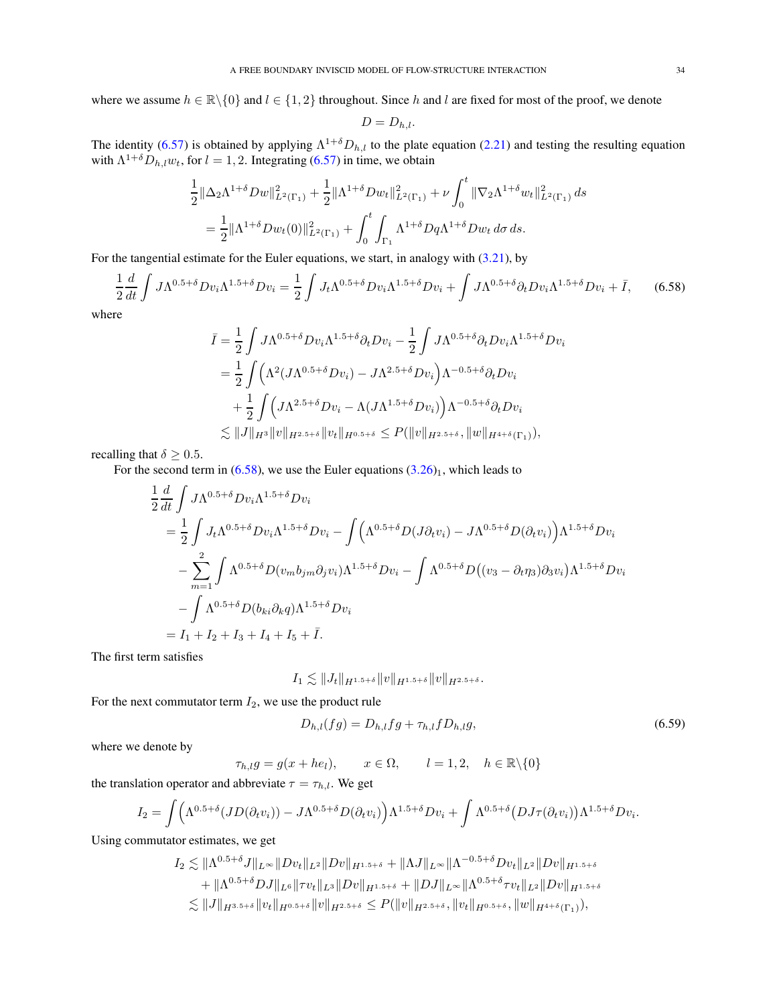where we assume  $h \in \mathbb{R} \setminus \{0\}$  and  $l \in \{1, 2\}$  throughout. Since h and l are fixed for most of the proof, we denote

<span id="page-33-0"></span>
$$
D=D_{h,l}.
$$

The identity [\(6.57\)](#page-32-3) is obtained by applying  $\Lambda^{1+\delta}D_{h,l}$  to the plate equation [\(2.21\)](#page-4-2) and testing the resulting equation with  $\Lambda^{1+\delta} D_{h,l} w_t$ , for  $l = 1, 2$ . Integrating [\(6.57\)](#page-32-3) in time, we obtain

$$
\frac{1}{2} \|\Delta_2 \Lambda^{1+\delta} Dw\|_{L^2(\Gamma_1)}^2 + \frac{1}{2} \|\Lambda^{1+\delta} Dw_t\|_{L^2(\Gamma_1)}^2 + \nu \int_0^t \|\nabla_2 \Lambda^{1+\delta} w_t\|_{L^2(\Gamma_1)}^2 ds
$$
  
= 
$$
\frac{1}{2} \|\Lambda^{1+\delta} Dw_t(0)\|_{L^2(\Gamma_1)}^2 + \int_0^t \int_{\Gamma_1} \Lambda^{1+\delta} Dq \Lambda^{1+\delta} Dw_t d\sigma ds.
$$

For the tangential estimate for the Euler equations, we start, in analogy with  $(3.21)$ , by

$$
\frac{1}{2}\frac{d}{dt}\int J\Lambda^{0.5+\delta}Dv_i\Lambda^{1.5+\delta}Dv_i = \frac{1}{2}\int J_t\Lambda^{0.5+\delta}Dv_i\Lambda^{1.5+\delta}Dv_i + \int J\Lambda^{0.5+\delta}\partial_t Dv_i\Lambda^{1.5+\delta}Dv_i + \bar{I},\qquad(6.58)
$$

where

$$
\bar{I} = \frac{1}{2} \int J\Lambda^{0.5+\delta} Dv_i \Lambda^{1.5+\delta} \partial_t Dv_i - \frac{1}{2} \int J\Lambda^{0.5+\delta} \partial_t Dv_i \Lambda^{1.5+\delta} Dv_i \n= \frac{1}{2} \int \left( \Lambda^2 (J\Lambda^{0.5+\delta} Dv_i) - J\Lambda^{2.5+\delta} Dv_i \right) \Lambda^{-0.5+\delta} \partial_t Dv_i \n+ \frac{1}{2} \int \left( J\Lambda^{2.5+\delta} Dv_i - \Lambda (J\Lambda^{1.5+\delta} Dv_i) \right) \Lambda^{-0.5+\delta} \partial_t Dv_i \n\lesssim ||J||_{H^3} ||v||_{H^{2.5+\delta}} ||v_t||_{H^{0.5+\delta}} \leq P(||v||_{H^{2.5+\delta}}, ||w||_{H^{4+\delta}(\Gamma_1)}),
$$

recalling that  $\delta \geq 0.5$ .

For the second term in  $(6.58)$ , we use the Euler equations  $(3.26)_1$  $(3.26)_1$ , which leads to

$$
\frac{1}{2} \frac{d}{dt} \int J \Lambda^{0.5+\delta} D v_i \Lambda^{1.5+\delta} D v_i
$$
\n
$$
= \frac{1}{2} \int J_t \Lambda^{0.5+\delta} D v_i \Lambda^{1.5+\delta} D v_i - \int (\Lambda^{0.5+\delta} D (J \partial_t v_i) - J \Lambda^{0.5+\delta} D (\partial_t v_i)) \Lambda^{1.5+\delta} D v_i
$$
\n
$$
- \sum_{m=1}^2 \int \Lambda^{0.5+\delta} D (v_m b_{jm} \partial_j v_i) \Lambda^{1.5+\delta} D v_i - \int \Lambda^{0.5+\delta} D ( (v_3 - \partial_t \eta_3) \partial_3 v_i) \Lambda^{1.5+\delta} D v_i
$$
\n
$$
- \int \Lambda^{0.5+\delta} D (b_{ki} \partial_k q) \Lambda^{1.5+\delta} D v_i
$$
\n
$$
= I_1 + I_2 + I_3 + I_4 + I_5 + \bar{I}.
$$

The first term satisfies

$$
I_1 \lesssim \|J_t\|_{H^{1.5+\delta}} \|v\|_{H^{1.5+\delta}} \|v\|_{H^{2.5+\delta}}.
$$

For the next commutator term  $I_2$ , we use the product rule

<span id="page-33-1"></span>
$$
D_{h,l}(fg) = D_{h,l}fg + \tau_{h,l}f D_{h,l}g,\tag{6.59}
$$

where we denote by

$$
\tau_{h,l}g = g(x + he_l), \qquad x \in \Omega, \qquad l = 1, 2, \quad h \in \mathbb{R} \setminus \{0\}
$$

the translation operator and abbreviate  $\tau = \tau_{h,l}$ . We get

$$
I_2 = \int \Big( \Lambda^{0.5+\delta}(JD(\partial_t v_i)) - J\Lambda^{0.5+\delta}D(\partial_t v_i) \Big) \Lambda^{1.5+\delta}Dv_i + \int \Lambda^{0.5+\delta}(DJ\tau(\partial_t v_i)) \Lambda^{1.5+\delta}Dv_i.
$$

Using commutator estimates, we get

$$
I_2 \lesssim \|\Lambda^{0.5+\delta} J\|_{L^\infty} \|Dv_t\|_{L^2} \|Dv\|_{H^{1.5+\delta}} + \|\Lambda J\|_{L^\infty} \|\Lambda^{-0.5+\delta} Dv_t\|_{L^2} \|Dv\|_{H^{1.5+\delta}} + \|\Lambda^{0.5+\delta} D J\|_{L^6} \| \tau v_t\|_{L^3} \|Dv\|_{H^{1.5+\delta}} + \|D J\|_{L^\infty} \|\Lambda^{0.5+\delta} \tau v_t\|_{L^2} \|Dv\|_{H^{1.5+\delta}} \lesssim \|J\|_{H^{3.5+\delta}} \|v_t\|_{H^{0.5+\delta}} \|v\|_{H^{2.5+\delta}} \le P(\|v\|_{H^{2.5+\delta}}, \|v_t\|_{H^{0.5+\delta}}, \|w\|_{H^{4+\delta}(\Gamma_1)}),
$$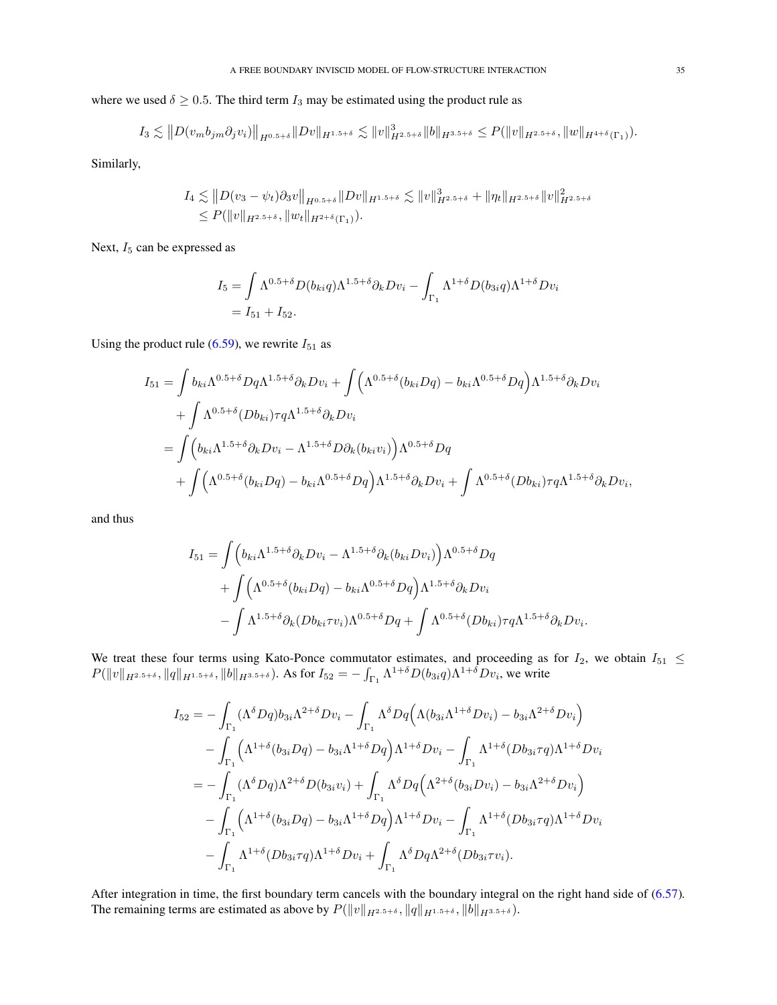where we used  $\delta \geq 0.5$ . The third term  $I_3$  may be estimated using the product rule as

$$
I_3 \lesssim ||D(v_m b_{jm} \partial_j v_i)||_{H^{0.5+\delta}} ||Dv||_{H^{1.5+\delta}} \lesssim ||v||_{H^{2.5+\delta}}^3 ||b||_{H^{3.5+\delta}} \leq P(||v||_{H^{2.5+\delta}}, ||w||_{H^{4+\delta}(\Gamma_1)}).
$$

Similarly,

$$
I_4 \lesssim ||D(v_3 - \psi_t)\partial_3 v||_{H^{0.5+\delta}} ||Dv||_{H^{1.5+\delta}} \lesssim ||v||_{H^{2.5+\delta}}^3 + ||\eta_t||_{H^{2.5+\delta}} ||v||_{H^{2.5+\delta}}^2
$$
  

$$
\leq P(||v||_{H^{2.5+\delta}}, ||w_t||_{H^{2+\delta}(\Gamma_1)}).
$$

Next,  $I_5$  can be expressed as

$$
I_5 = \int \Lambda^{0.5+\delta} D(b_{ki}q) \Lambda^{1.5+\delta} \partial_k Dv_i - \int_{\Gamma_1} \Lambda^{1+\delta} D(b_{3i}q) \Lambda^{1+\delta} Dv_i
$$
  
=  $I_{51} + I_{52}$ .

Using the product rule [\(6.59\)](#page-33-1), we rewrite  $I_{51}$  as

$$
I_{51} = \int b_{ki} \Lambda^{0.5+\delta} Dq \Lambda^{1.5+\delta} \partial_k Dv_i + \int \Big( \Lambda^{0.5+\delta} (b_{ki} Dq) - b_{ki} \Lambda^{0.5+\delta} Dq \Big) \Lambda^{1.5+\delta} \partial_k Dv_i
$$
  
+ 
$$
\int \Lambda^{0.5+\delta} (Db_{ki}) \tau q \Lambda^{1.5+\delta} \partial_k Dv_i
$$
  
= 
$$
\int \Big( b_{ki} \Lambda^{1.5+\delta} \partial_k Dv_i - \Lambda^{1.5+\delta} D\partial_k (b_{ki} v_i) \Big) \Lambda^{0.5+\delta} Dq
$$
  
+ 
$$
\int \Big( \Lambda^{0.5+\delta} (b_{ki} Dq) - b_{ki} \Lambda^{0.5+\delta} Dq \Big) \Lambda^{1.5+\delta} \partial_k Dv_i + \int \Lambda^{0.5+\delta} (Db_{ki}) \tau q \Lambda^{1.5+\delta} \partial_k Dv_i,
$$

and thus

$$
I_{51} = \int \Big( b_{ki} \Lambda^{1.5+\delta} \partial_k Dv_i - \Lambda^{1.5+\delta} \partial_k (b_{ki} Dv_i) \Big) \Lambda^{0.5+\delta} Dq
$$
  
+ 
$$
\int \Big( \Lambda^{0.5+\delta} (b_{ki} Dq) - b_{ki} \Lambda^{0.5+\delta} Dq \Big) \Lambda^{1.5+\delta} \partial_k Dv_i
$$
  
- 
$$
\int \Lambda^{1.5+\delta} \partial_k (Db_{ki} \tau v_i) \Lambda^{0.5+\delta} Dq + \int \Lambda^{0.5+\delta} (Db_{ki}) \tau q \Lambda^{1.5+\delta} \partial_k Dv_i.
$$

We treat these four terms using Kato-Ponce commutator estimates, and proceeding as for  $I_2$ , we obtain  $I_{51} \leq$  $P(\|v\|_{H^{2.5+\delta}}, \|q\|_{H^{1.5+\delta}}, \|b\|_{H^{3.5+\delta}})$ . As for  $I_{52} = -\int_{\Gamma_1} \Lambda^{1+\delta} D(b_{3i}q) \Lambda^{1+\delta} Dv_i$ , we write

$$
I_{52} = -\int_{\Gamma_1} (\Lambda^{\delta} Dq) b_{3i} \Lambda^{2+\delta} Dv_i - \int_{\Gamma_1} \Lambda^{\delta} Dq \Big( \Lambda (b_{3i} \Lambda^{1+\delta} Dv_i) - b_{3i} \Lambda^{2+\delta} Dv_i \Big) - \int_{\Gamma_1} (\Lambda^{1+\delta} (b_{3i} Dq) - b_{3i} \Lambda^{1+\delta} Dq) \Lambda^{1+\delta} Dv_i - \int_{\Gamma_1} \Lambda^{1+\delta} (Db_{3i} \tau q) \Lambda^{1+\delta} Dv_i = - \int_{\Gamma_1} (\Lambda^{\delta} Dq) \Lambda^{2+\delta} D(b_{3i} v_i) + \int_{\Gamma_1} \Lambda^{\delta} Dq \Big( \Lambda^{2+\delta} (b_{3i} Dv_i) - b_{3i} \Lambda^{2+\delta} Dv_i \Big) - \int_{\Gamma_1} (\Lambda^{1+\delta} (b_{3i} Dq) - b_{3i} \Lambda^{1+\delta} Dq) \Lambda^{1+\delta} Dv_i - \int_{\Gamma_1} \Lambda^{1+\delta} (Db_{3i} \tau q) \Lambda^{1+\delta} Dv_i - \int_{\Gamma_1} \Lambda^{1+\delta} (Db_{3i} \tau q) \Lambda^{1+\delta} Dv_i + \int_{\Gamma_1} \Lambda^{\delta} Dq \Lambda^{2+\delta} (Db_{3i} \tau v_i).
$$

After integration in time, the first boundary term cancels with the boundary integral on the right hand side of  $(6.57)$ . The remaining terms are estimated as above by  $P(||v||_{H^{2.5+\delta}}, ||q||_{H^{1.5+\delta}}, ||b||_{H^{3.5+\delta}})$ .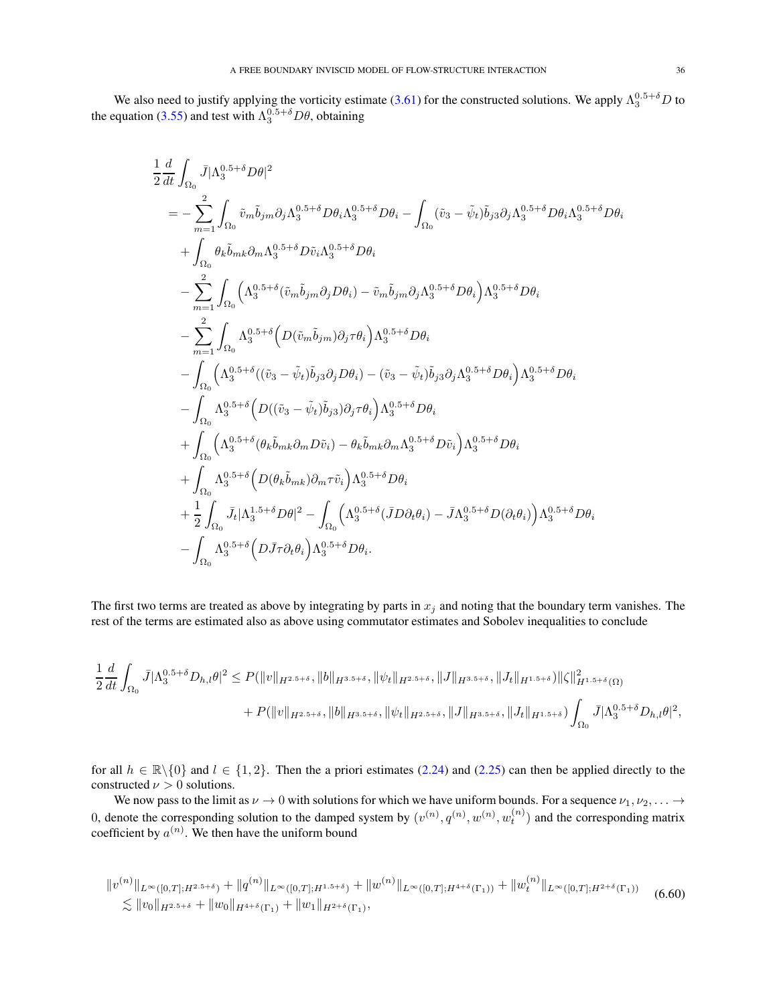We also need to justify applying the vorticity estimate [\(3.61\)](#page-14-4) for the constructed solutions. We apply  $\Lambda_3^{0.5+\delta}D$  to the equation [\(3.55\)](#page-13-7) and test with  $\Lambda_3^{0.5+\delta}D\theta$ , obtaining

$$
\begin{split} &\frac{1}{2}\frac{d}{dt}\int_{\Omega_{0}}\bar{J}|\Lambda_{3}^{0.5+\delta}D\theta|^{2}\\ &=-\sum_{m=1}^{2}\int_{\Omega_{0}}\tilde{v}_{m}\tilde{b}_{jm}\partial_{j}\Lambda_{3}^{0.5+\delta}D\theta_{i}\Lambda_{3}^{0.5+\delta}D\theta_{i}-\int_{\Omega_{0}}(\tilde{v}_{3}-\tilde{\psi}_{t})\tilde{b}_{j3}\partial_{j}\Lambda_{3}^{0.5+\delta}D\theta_{i}\Lambda_{3}^{0.5+\delta}D\theta_{i}\\ &+\int_{\Omega_{0}}\theta_{k}\tilde{b}_{mk}\partial_{m}\Lambda_{3}^{0.5+\delta}D\tilde{v}_{i}\Lambda_{3}^{0.5+\delta}D\theta_{i}\\ &-\sum_{m=1}^{2}\int_{\Omega_{0}}\left(\Lambda_{3}^{0.5+\delta}(\tilde{v}_{m}\tilde{b}_{jm}\partial_{j}D\theta_{i})-\tilde{v}_{m}\tilde{b}_{jm}\partial_{j}\Lambda_{3}^{0.5+\delta}D\theta_{i}\right)\Lambda_{3}^{0.5+\delta}D\theta_{i}\\ &-\sum_{m=1}^{2}\int_{\Omega_{0}}\Lambda_{3}^{0.5+\delta}\left(D(\tilde{v}_{m}\tilde{b}_{jm})\partial_{j}\tau\theta_{i}\right)\Lambda_{3}^{0.5+\delta}D\theta_{i}\\ &-\int_{\Omega_{0}}\left(\Lambda_{3}^{0.5+\delta}\left(D((\tilde{v}_{3}-\tilde{\psi}_{t})\tilde{b}_{j3}\partial_{j}D\theta_{i}\right)-(\tilde{v}_{3}-\tilde{\psi}_{t})\tilde{b}_{j3}\partial_{j}\Lambda_{3}^{0.5+\delta}D\theta_{i}\right)\Lambda_{3}^{0.5+\delta}D\theta_{i}\\ &+\int_{\Omega_{0}}\Lambda_{3}^{0.5+\delta}\left(D((\tilde{v}_{3}-\tilde{\psi}_{t})\tilde{b}_{j3})\partial_{j}\tau\theta_{i}\right)\Lambda_{3}^{0.5+\delta}D\theta_{i}\\ &+\int_{\Omega_{0}}\Lambda_{3}^{0.5+\delta}\left(D((\tilde{v}_{3}-\tilde{\psi}_{t})\tilde{b}_{j3})\partial_{j}\tau\theta_{i}\right)\Lambda_{3}^{0.5+\delta}D\theta_{i}\\ &+\int_{\Omega_{0}}\Lambda_{3}^{0.5+\delta}\left(D(\theta_{k}\tilde{
$$

The first two terms are treated as above by integrating by parts in  $x_j$  and noting that the boundary term vanishes. The rest of the terms are estimated also as above using commutator estimates and Sobolev inequalities to conclude

$$
\frac{1}{2}\frac{d}{dt}\int_{\Omega_{0}}\bar{J}|\Lambda_{3}^{0.5+\delta}D_{h,l}\theta|^{2} \leq P(\|v\|_{H^{2.5+\delta}},\|b\|_{H^{3.5+\delta}},\|\psi_{t}\|_{H^{2.5+\delta}},\|J\|_{H^{3.5+\delta}},\|J_{t}\|_{H^{1.5+\delta}})\|\zeta\|_{H^{1.5+\delta}}^{2}(\Omega) \n+P(\|v\|_{H^{2.5+\delta}},\|b\|_{H^{3.5+\delta}},\|\psi_{t}\|_{H^{2.5+\delta}},\|J\|_{H^{3.5+\delta}},\|J_{t}\|_{H^{1.5+\delta}})\int_{\Omega_{0}}\bar{J}|\Lambda_{3}^{0.5+\delta}D_{h,l}\theta|^{2},
$$

for all  $h \in \mathbb{R} \setminus \{0\}$  and  $l \in \{1, 2\}$ . Then the a priori estimates [\(2.24\)](#page-4-3) and [\(2.25\)](#page-4-10) can then be applied directly to the constructed  $\nu > 0$  solutions.

We now pass to the limit as  $\nu \to 0$  with solutions for which we have uniform bounds. For a sequence  $\nu_1, \nu_2, \ldots \to$ 0, denote the corresponding solution to the damped system by  $(v^{(n)}, q^{(n)}, w^{(n)}, w_t^{(n)})$  and the corresponding matrix coefficient by  $a^{(n)}$ . We then have the uniform bound

$$
||v^{(n)}||_{L^{\infty}([0,T];H^{2.5+\delta})} + ||q^{(n)}||_{L^{\infty}([0,T];H^{1.5+\delta})} + ||w^{(n)}||_{L^{\infty}([0,T];H^{4+\delta}(\Gamma_1))} + ||w^{(n)}||_{L^{\infty}([0,T];H^{2+\delta}(\Gamma_1))}
$$
(6.60)  

$$
\lesssim ||v_0||_{H^{2.5+\delta}} + ||w_0||_{H^{4+\delta}(\Gamma_1)} + ||w_1||_{H^{2+\delta}(\Gamma_1)},
$$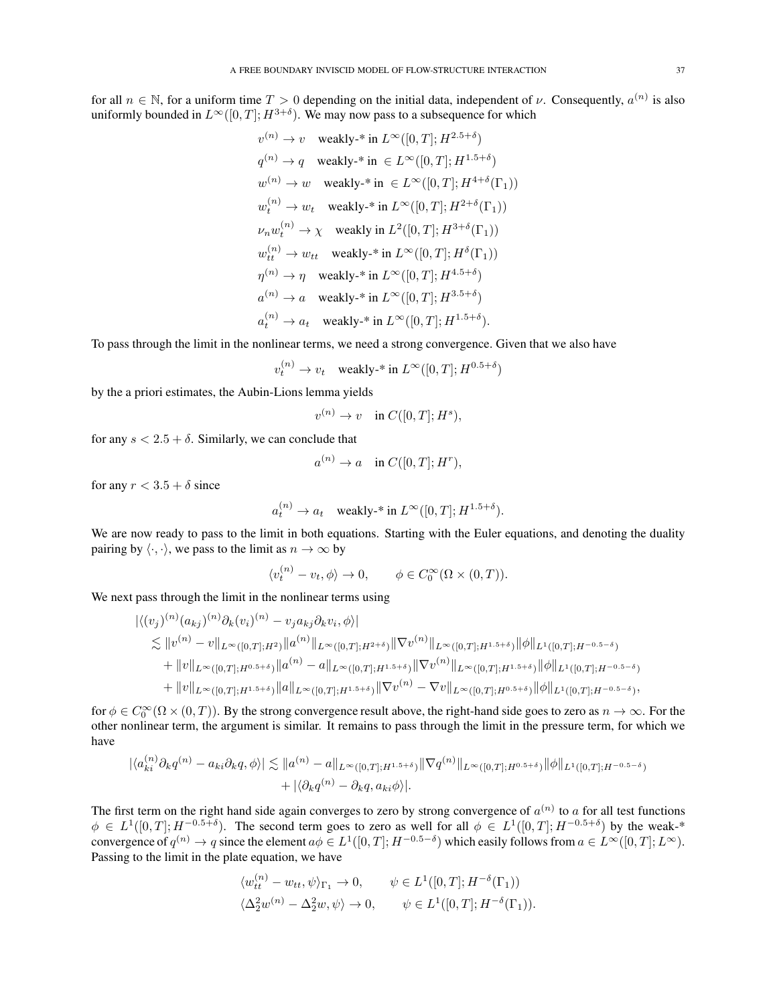for all  $n \in \mathbb{N}$ , for a uniform time  $T > 0$  depending on the initial data, independent of  $\nu$ . Consequently,  $a^{(n)}$  is also uniformly bounded in  $L^{\infty}([0,T]; H^{3+\delta})$ . We may now pass to a subsequence for which

$$
\begin{array}{ll} v^{(n)}\rightarrow v & \mbox{weakly-* in }L^{\infty}([0,T];H^{2.5+\delta})\\ q^{(n)}\rightarrow q & \mbox{weakly-* in }\in L^{\infty}([0,T];H^{1.5+\delta})\\ w^{(n)}\rightarrow w & \mbox{weakly-* in }\in L^{\infty}([0,T];H^{4+\delta}(\Gamma_1))\\ w^{(n)}_t\rightarrow w_t & \mbox{weakly-* in }L^{\infty}([0,T];H^{2+\delta}(\Gamma_1))\\ \nu_nw^{(n)}_t\rightarrow \chi & \mbox{weakly in }L^2([0,T];H^{3+\delta}(\Gamma_1))\\ w^{(n)}_{tt}\rightarrow w_{tt} & \mbox{weakly-* in }L^{\infty}([0,T];H^{\delta}(\Gamma_1))\\ \eta^{(n)}\rightarrow \eta & \mbox{weakly-* in }L^{\infty}([0,T];H^{4.5+\delta})\\ a^{(n)}\rightarrow a & \mbox{weakly-* in }L^{\infty}([0,T];H^{3.5+\delta})\\ a^{(n)}_t\rightarrow a_t & \mbox{weakly-* in }L^{\infty}([0,T];H^{1.5+\delta}). \end{array}
$$

To pass through the limit in the nonlinear terms, we need a strong convergence. Given that we also have

$$
v_t^{(n)} \to v_t \quad \text{weakly-* in } L^\infty([0,T]; H^{0.5+\delta})
$$

by the a priori estimates, the Aubin-Lions lemma yields

$$
v^{(n)} \to v \quad \text{in } C([0,T]; H^s),
$$

for any  $s < 2.5 + \delta$ . Similarly, we can conclude that

$$
a^{(n)} \to a \quad \text{in } C([0,T];H^r),
$$

for any  $r < 3.5 + \delta$  since

$$
a_t^{(n)} \to a_t
$$
 weakly-\* in  $L^{\infty}([0,T]; H^{1.5+\delta}).$ 

We are now ready to pass to the limit in both equations. Starting with the Euler equations, and denoting the duality pairing by  $\langle \cdot, \cdot \rangle$ , we pass to the limit as  $n \to \infty$  by

$$
\langle v_t^{(n)} - v_t, \phi \rangle \to 0, \qquad \phi \in C_0^{\infty}(\Omega \times (0, T)).
$$

We next pass through the limit in the nonlinear terms using

$$
\begin{split}\n&\|\langle (v_j)^{(n)}(a_{kj})^{(n)}\partial_k(v_i)^{(n)} - v_j a_{kj}\partial_k v_i, \phi \rangle \\
&\lesssim \|v^{(n)} - v\|_{L^{\infty}([0,T];H^2)} \|a^{(n)}\|_{L^{\infty}([0,T];H^{2+\delta})} \|\nabla v^{(n)}\|_{L^{\infty}([0,T];H^{1.5+\delta})} \|\phi\|_{L^1([0,T];H^{-0.5-\delta})} \\
&\quad + \|v\|_{L^{\infty}([0,T];H^{0.5+\delta})} \|a^{(n)} - a\|_{L^{\infty}([0,T];H^{1.5+\delta})} \|\nabla v^{(n)}\|_{L^{\infty}([0,T];H^{1.5+\delta})} \|\phi\|_{L^1([0,T];H^{-0.5-\delta})} \\
&\quad + \|v\|_{L^{\infty}([0,T];H^{1.5+\delta})} \|a\|_{L^{\infty}([0,T];H^{1.5+\delta})} \|\nabla v^{(n)} - \nabla v\|_{L^{\infty}([0,T];H^{0.5+\delta})} \|\phi\|_{L^1([0,T];H^{-0.5-\delta})},\n\end{split}
$$

for  $\phi \in C_0^{\infty}(\Omega \times (0,T))$ . By the strong convergence result above, the right-hand side goes to zero as  $n \to \infty$ . For the other nonlinear term, the argument is similar. It remains to pass through the limit in the pressure term, for which we have

$$
|\langle a_{ki}^{(n)}\partial_k q^{(n)} - a_{ki}\partial_k q, \phi \rangle| \lesssim \|a^{(n)} - a\|_{L^{\infty}([0,T];H^{1.5+\delta})} \|\nabla q^{(n)}\|_{L^{\infty}([0,T];H^{0.5+\delta})} \|\phi\|_{L^1([0,T];H^{-0.5-\delta})} + |\langle \partial_k q^{(n)} - \partial_k q, a_{ki}\phi \rangle|.
$$

The first term on the right hand side again converges to zero by strong convergence of  $a^{(n)}$  to a for all test functions  $\phi \in L^1([0,T]; H^{-0.5+\delta})$ . The second term goes to zero as well for all  $\phi \in L^1([0,T]; H^{-0.5+\delta})$  by the weak-\* convergence of  $q^{(n)} \to q$  since the element  $a\phi \in L^1([0,T];H^{-0.5-\delta})$  which easily follows from  $a \in L^\infty([0,T];L^\infty)$ . Passing to the limit in the plate equation, we have

$$
\langle w_{tt}^{(n)} - w_{tt}, \psi \rangle_{\Gamma_1} \to 0, \qquad \psi \in L^1([0, T]; H^{-\delta}(\Gamma_1))
$$
  

$$
\langle \Delta_2^2 w^{(n)} - \Delta_2^2 w, \psi \rangle \to 0, \qquad \psi \in L^1([0, T]; H^{-\delta}(\Gamma_1)).
$$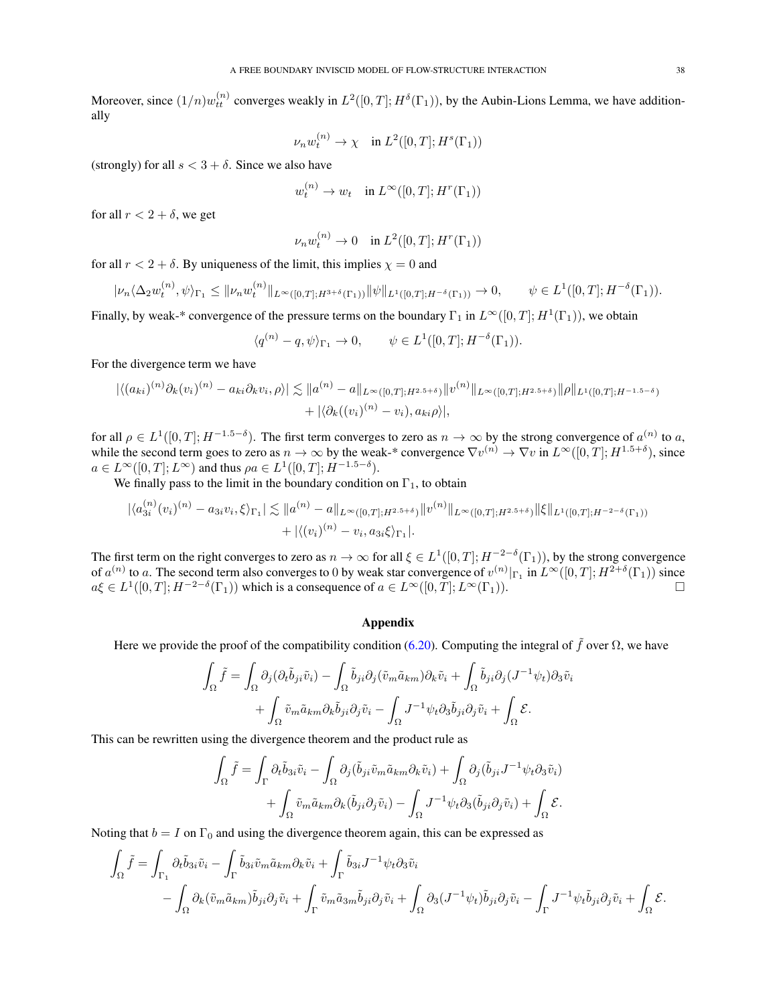Moreover, since  $(1/n)w_{tt}^{(n)}$  converges weakly in  $L^2([0,T];H^{\delta}(\Gamma_1))$ , by the Aubin-Lions Lemma, we have additionally

$$
\nu_n w_t^{(n)} \to \chi \quad \text{in } L^2([0,T];H^s(\Gamma_1))
$$

(strongly) for all  $s < 3 + \delta$ . Since we also have

$$
w_t^{(n)} \to w_t \quad \text{in } L^\infty([0,T]; H^r(\Gamma_1))
$$

for all  $r < 2 + \delta$ , we get

$$
\nu_n w_t^{(n)} \to 0 \quad \text{in } L^2([0,T]; H^r(\Gamma_1))
$$

for all  $r < 2 + \delta$ . By uniqueness of the limit, this implies  $\chi = 0$  and

$$
|\nu_n \langle \Delta_2 w_t^{(n)}, \psi \rangle_{\Gamma_1} \leq ||\nu_n w_t^{(n)}||_{L^{\infty}([0,T];H^{3+\delta}(\Gamma_1))} ||\psi||_{L^1([0,T];H^{-\delta}(\Gamma_1))} \to 0, \qquad \psi \in L^1([0,T];H^{-\delta}(\Gamma_1)).
$$

Finally, by weak-\* convergence of the pressure terms on the boundary  $\Gamma_1$  in  $L^\infty([0,T];H^1(\Gamma_1))$ , we obtain

$$
\langle q^{(n)} - q, \psi \rangle_{\Gamma_1} \to 0, \qquad \psi \in L^1([0, T]; H^{-\delta}(\Gamma_1)).
$$

For the divergence term we have

$$
|\langle (a_{ki})^{(n)}\partial_k(v_i)^{(n)} - a_{ki}\partial_k v_i, \rho \rangle| \lesssim ||a^{(n)} - a||_{L^{\infty}([0,T];H^{2.5+\delta})} ||v^{(n)}||_{L^{\infty}([0,T];H^{2.5+\delta})} ||\rho||_{L^1([0,T];H^{-1.5-\delta})} + |\langle \partial_k((v_i)^{(n)} - v_i), a_{ki}\rho \rangle|,
$$

for all  $\rho \in L^1([0,T]; H^{-1.5-\delta})$ . The first term converges to zero as  $n \to \infty$  by the strong convergence of  $a^{(n)}$  to a, while the second term goes to zero as  $n \to \infty$  by the weak-\* convergence  $\nabla v^{(n)} \to \nabla v$  in  $L^{\infty}([0,T]; H^{1.5+\delta})$ , since  $a \in L^{\infty}([0,T];L^{\infty})$  and thus  $\rho a \in L^{1}([0,T];\dot{H}^{-1.5-\delta}).$ 

We finally pass to the limit in the boundary condition on  $\Gamma_1$ , to obtain

$$
\begin{aligned} |\langle a_{3i}^{(n)}(v_i)^{(n)} - a_{3i}v_i, \xi \rangle_{\Gamma_1}| \lesssim \|a^{(n)} - a\|_{L^{\infty}([0,T];H^{2.5+\delta})} \|v^{(n)}\|_{L^{\infty}([0,T];H^{2.5+\delta})} \|\xi\|_{L^1([0,T];H^{-2-\delta}(\Gamma_1))} \\ &+ |\langle (v_i)^{(n)} - v_i, a_{3i}\xi \rangle_{\Gamma_1}|. \end{aligned}
$$

The first term on the right converges to zero as  $n \to \infty$  for all  $\xi \in L^1([0,T];H^{-2-\delta}(\Gamma_1))$ , by the strong convergence of  $a^{(n)}$  to a. The second term also converges to 0 by weak star convergence of  $v^{(n)}|_{\Gamma_1}$  in  $L^{\infty}([0,T]; H^{2+\delta}(\Gamma_1))$  since  $a\xi \in L^1([0,T];H^{-2-\delta}(\Gamma_1))$  which is a consequence of  $a \in L^{\infty}([0,T];L^{\infty}(\Gamma_1)).$ 

### <span id="page-37-0"></span>Appendix

Here we provide the proof of the compatibility condition [\(6.20\)](#page-25-0). Computing the integral of  $\tilde{f}$  over  $\Omega$ , we have

$$
\int_{\Omega} \tilde{f} = \int_{\Omega} \partial_j (\partial_t \tilde{b}_{ji} \tilde{v}_i) - \int_{\Omega} \tilde{b}_{ji} \partial_j (\tilde{v}_m \tilde{a}_{km}) \partial_k \tilde{v}_i + \int_{\Omega} \tilde{b}_{ji} \partial_j (J^{-1} \psi_t) \partial_3 \tilde{v}_i \n+ \int_{\Omega} \tilde{v}_m \tilde{a}_{km} \partial_k \tilde{b}_{ji} \partial_j \tilde{v}_i - \int_{\Omega} J^{-1} \psi_t \partial_3 \tilde{b}_{ji} \partial_j \tilde{v}_i + \int_{\Omega} \mathcal{E}.
$$

This can be rewritten using the divergence theorem and the product rule as

$$
\int_{\Omega} \tilde{f} = \int_{\Gamma} \partial_{t} \tilde{b}_{3i} \tilde{v}_{i} - \int_{\Omega} \partial_{j} (\tilde{b}_{ji} \tilde{v}_{m} \tilde{a}_{km} \partial_{k} \tilde{v}_{i}) + \int_{\Omega} \partial_{j} (\tilde{b}_{ji} J^{-1} \psi_{t} \partial_{3} \tilde{v}_{i}) + \int_{\Omega} \tilde{v}_{m} \tilde{a}_{km} \partial_{k} (\tilde{b}_{ji} \partial_{j} \tilde{v}_{i}) - \int_{\Omega} J^{-1} \psi_{t} \partial_{3} (\tilde{b}_{ji} \partial_{j} \tilde{v}_{i}) + \int_{\Omega} \mathcal{E}.
$$

Noting that  $b = I$  on  $\Gamma_0$  and using the divergence theorem again, this can be expressed as

$$
\int_{\Omega} \tilde{f} = \int_{\Gamma_1} \partial_t \tilde{b}_{3i} \tilde{v}_i - \int_{\Gamma} \tilde{b}_{3i} \tilde{v}_m \tilde{a}_{km} \partial_k \tilde{v}_i + \int_{\Gamma} \tilde{b}_{3i} J^{-1} \psi_t \partial_3 \tilde{v}_i \n- \int_{\Omega} \partial_k (\tilde{v}_m \tilde{a}_{km}) \tilde{b}_{ji} \partial_j \tilde{v}_i + \int_{\Gamma} \tilde{v}_m \tilde{a}_{3m} \tilde{b}_{ji} \partial_j \tilde{v}_i + \int_{\Omega} \partial_3 (J^{-1} \psi_t) \tilde{b}_{ji} \partial_j \tilde{v}_i - \int_{\Gamma} J^{-1} \psi_t \tilde{b}_{ji} \partial_j \tilde{v}_i + \int_{\Omega} \mathcal{E}.
$$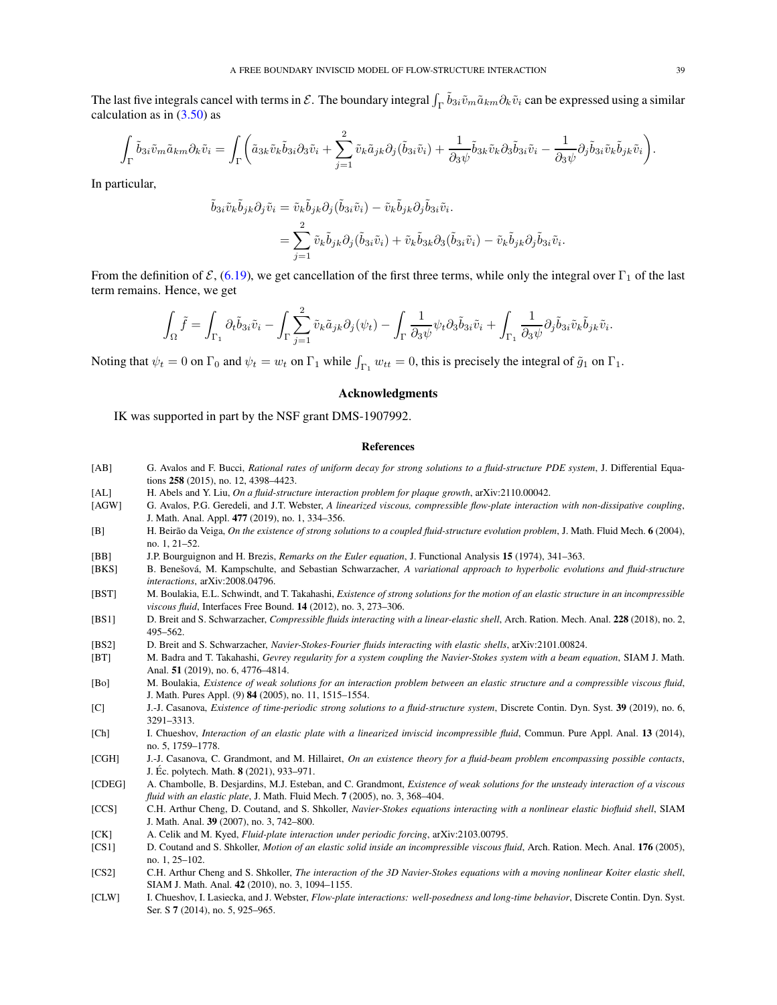The last five integrals cancel with terms in  $\mathcal{E}$ . The boundary integral  $\int_{\Gamma} \tilde{b}_{3i} \tilde{v}_m \tilde{a}_{km} \partial_k \tilde{v}_i$  can be expressed using a similar calculation as in  $(3.50)$  as

$$
\int_{\Gamma} \tilde{b}_{3i} \tilde{v}_{m} \tilde{a}_{km} \partial_{k} \tilde{v}_{i} = \int_{\Gamma} \left( \tilde{a}_{3k} \tilde{v}_{k} \tilde{b}_{3i} \partial_{3} \tilde{v}_{i} + \sum_{j=1}^{2} \tilde{v}_{k} \tilde{a}_{jk} \partial_{j} (\tilde{b}_{3i} \tilde{v}_{i}) + \frac{1}{\partial_{3} \psi} \tilde{b}_{3k} \tilde{v}_{k} \partial_{3} \tilde{b}_{3i} \tilde{v}_{i} - \frac{1}{\partial_{3} \psi} \partial_{j} \tilde{b}_{3i} \tilde{v}_{k} \tilde{b}_{jk} \tilde{v}_{i} \right).
$$

In particular,

$$
\tilde{b}_{3i}\tilde{v}_{k}\tilde{b}_{jk}\partial_{j}\tilde{v}_{i} = \tilde{v}_{k}\tilde{b}_{jk}\partial_{j}(\tilde{b}_{3i}\tilde{v}_{i}) - \tilde{v}_{k}\tilde{b}_{jk}\partial_{j}\tilde{b}_{3i}\tilde{v}_{i}.
$$
\n
$$
= \sum_{j=1}^{2} \tilde{v}_{k}\tilde{b}_{jk}\partial_{j}(\tilde{b}_{3i}\tilde{v}_{i}) + \tilde{v}_{k}\tilde{b}_{3k}\partial_{3}(\tilde{b}_{3i}\tilde{v}_{i}) - \tilde{v}_{k}\tilde{b}_{jk}\partial_{j}\tilde{b}_{3i}\tilde{v}_{i}.
$$

From the definition of  $\mathcal{E}$ , [\(6.19\)](#page-25-4), we get cancellation of the first three terms, while only the integral over  $\Gamma_1$  of the last term remains. Hence, we get

$$
\int_{\Omega} \tilde{f} = \int_{\Gamma_1} \partial_t \tilde{b}_{3i} \tilde{v}_i - \int_{\Gamma} \sum_{j=1}^2 \tilde{v}_k \tilde{a}_{jk} \partial_j(\psi_t) - \int_{\Gamma} \frac{1}{\partial_3 \psi} \psi_t \partial_3 \tilde{b}_{3i} \tilde{v}_i + \int_{\Gamma_1} \frac{1}{\partial_3 \psi} \partial_j \tilde{b}_{3i} \tilde{v}_k \tilde{b}_{jk} \tilde{v}_i.
$$

Noting that  $\psi_t = 0$  on  $\Gamma_0$  and  $\psi_t = w_t$  on  $\Gamma_1$  while  $\int_{\Gamma_1} w_{tt} = 0$ , this is precisely the integral of  $\tilde{g}_1$  on  $\Gamma_1$ .

#### <span id="page-38-0"></span>Acknowledgments

IK was supported in part by the NSF grant DMS-1907992.

#### <span id="page-38-1"></span>References

- [AB] G. Avalos and F. Bucci, *Rational rates of uniform decay for strong solutions to a fluid-structure PDE system*, J. Differential Equations 258 (2015), no. 12, 4398–4423.
- [AL] H. Abels and Y. Liu, *On a fluid-structure interaction problem for plaque growth*, arXiv:2110.00042.
- [AGW] G. Avalos, P.G. Geredeli, and J.T. Webster, *A linearized viscous, compressible flow-plate interaction with non-dissipative coupling*, J. Math. Anal. Appl. 477 (2019), no. 1, 334–356.
- [B] H. Beirão da Veiga, *On the existence of strong solutions to a coupled fluid-structure evolution problem*, J. Math. Fluid Mech. 6 (2004), no. 1, 21–52.

[BB] J.P. Bourguignon and H. Brezis, *Remarks on the Euler equation*, J. Functional Analysis 15 (1974), 341–363.

- [BKS] B. Benešová, M. Kampschulte, and Sebastian Schwarzacher, *A variational approach to hyperbolic evolutions and fluid-structure interactions*, arXiv:2008.04796.
- [BST] M. Boulakia, E.L. Schwindt, and T. Takahashi, *Existence of strong solutions for the motion of an elastic structure in an incompressible viscous fluid*, Interfaces Free Bound. 14 (2012), no. 3, 273–306.
- [BS1] D. Breit and S. Schwarzacher, *Compressible fluids interacting with a linear-elastic shell*, Arch. Ration. Mech. Anal. 228 (2018), no. 2, 495–562.
- [BS2] D. Breit and S. Schwarzacher, *Navier-Stokes-Fourier fluids interacting with elastic shells*, arXiv:2101.00824.
- [BT] M. Badra and T. Takahashi, *Gevrey regularity for a system coupling the Navier-Stokes system with a beam equation*, SIAM J. Math. Anal. 51 (2019), no. 6, 4776–4814.
- [Bo] M. Boulakia, *Existence of weak solutions for an interaction problem between an elastic structure and a compressible viscous fluid*, J. Math. Pures Appl. (9) 84 (2005), no. 11, 1515–1554.
- [C] J.-J. Casanova, *Existence of time-periodic strong solutions to a fluid-structure system*, Discrete Contin. Dyn. Syst. 39 (2019), no. 6, 3291–3313.
- [Ch] I. Chueshov, *Interaction of an elastic plate with a linearized inviscid incompressible fluid*, Commun. Pure Appl. Anal. 13 (2014), no. 5, 1759–1778.
- [CGH] J.-J. Casanova, C. Grandmont, and M. Hillairet, *On an existence theory for a fluid-beam problem encompassing possible contacts*, J. Éc. polytech. Math. **8** (2021), 933–971.
- [CDEG] A. Chambolle, B. Desjardins, M.J. Esteban, and C. Grandmont, *Existence of weak solutions for the unsteady interaction of a viscous fluid with an elastic plate*, J. Math. Fluid Mech. 7 (2005), no. 3, 368–404.
- [CCS] C.H. Arthur Cheng, D. Coutand, and S. Shkoller, *Navier-Stokes equations interacting with a nonlinear elastic biofluid shell*, SIAM J. Math. Anal. 39 (2007), no. 3, 742–800.
- [CK] A. Celik and M. Kyed, *Fluid-plate interaction under periodic forcing*, arXiv:2103.00795.
- [CS1] D. Coutand and S. Shkoller, *Motion of an elastic solid inside an incompressible viscous fluid*, Arch. Ration. Mech. Anal. 176 (2005), no. 1, 25–102.
- [CS2] C.H. Arthur Cheng and S. Shkoller, *The interaction of the 3D Navier-Stokes equations with a moving nonlinear Koiter elastic shell*, SIAM J. Math. Anal. 42 (2010), no. 3, 1094–1155.
- [CLW] I. Chueshov, I. Lasiecka, and J. Webster, *Flow-plate interactions: well-posedness and long-time behavior*, Discrete Contin. Dyn. Syst. Ser. S 7 (2014), no. 5, 925–965.